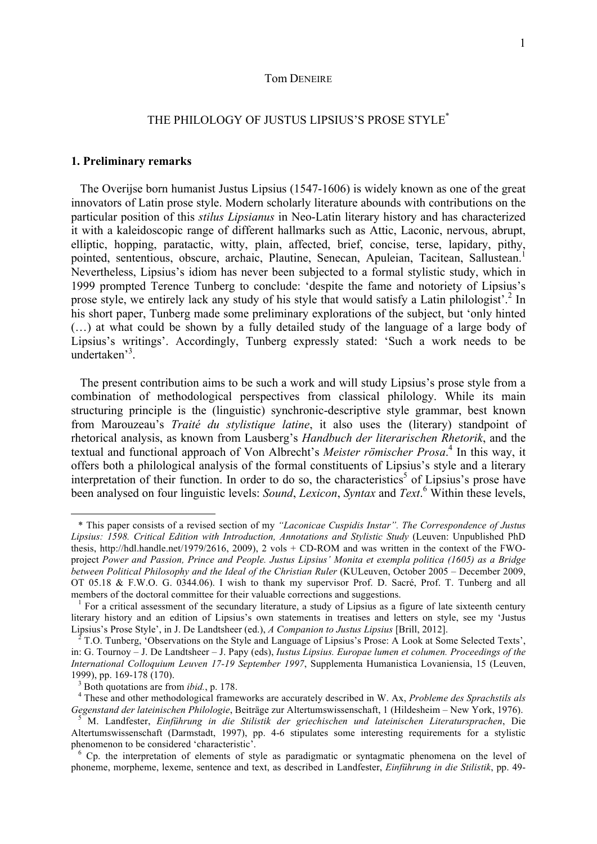#### Tom DENEIRE

# THE PHILOLOGY OF JUSTUS LIPSIUS'S PROSE STYLE\*

# **1. Preliminary remarks**

The Overijse born humanist Justus Lipsius (1547-1606) is widely known as one of the great innovators of Latin prose style. Modern scholarly literature abounds with contributions on the particular position of this *stilus Lipsianus* in Neo-Latin literary history and has characterized it with a kaleidoscopic range of different hallmarks such as Attic, Laconic, nervous, abrupt, elliptic, hopping, paratactic, witty, plain, affected, brief, concise, terse, lapidary, pithy, pointed, sententious, obscure, archaic, Plautine, Senecan, Apuleian, Tacitean, Sallustean.<sup>1</sup> Nevertheless, Lipsius's idiom has never been subjected to a formal stylistic study, which in 1999 prompted Terence Tunberg to conclude: 'despite the fame and notoriety of Lipsius's prose style, we entirely lack any study of his style that would satisfy a Latin philologist'.<sup>2</sup> In his short paper, Tunberg made some preliminary explorations of the subject, but 'only hinted (…) at what could be shown by a fully detailed study of the language of a large body of Lipsius's writings'. Accordingly, Tunberg expressly stated: 'Such a work needs to be undertaken'<sup>3</sup> .

The present contribution aims to be such a work and will study Lipsius's prose style from a combination of methodological perspectives from classical philology. While its main structuring principle is the (linguistic) synchronic-descriptive style grammar, best known from Marouzeau's *Traité du stylistique latine*, it also uses the (literary) standpoint of rhetorical analysis, as known from Lausberg's *Handbuch der literarischen Rhetorik*, and the textual and functional approach of Von Albrecht's *Meister römischer Prosa*. <sup>4</sup> In this way, it offers both a philological analysis of the formal constituents of Lipsius's style and a literary interpretation of their function. In order to do so, the characteristics<sup>5</sup> of Lipsius's prose have been analysed on four linguistic levels: *Sound*, *Lexicon*, *Syntax* and *Text*. 6 Within these levels,

 <sup>\*</sup> This paper consists of a revised section of my *"Laconicae Cuspidis Instar". The Correspondence of Justus Lipsius: 1598. Critical Edition with Introduction, Annotations and Stylistic Study* (Leuven: Unpublished PhD thesis, http://hdl.handle.net/1979/2616, 2009), 2 vols + CD-ROM and was written in the context of the FWOproject *Power and Passion, Prince and People. Justus Lipsius' Monita et exempla politica (1605) as a Bridge between Political Philosophy and the Ideal of the Christian Ruler* (KULeuven, October 2005 – December 2009, OT 05.18 & F.W.O. G. 0344.06). I wish to thank my supervisor Prof. D. Sacré, Prof. T. Tunberg and all members of the doctoral committee for their valuable corrections and suggestions.

 $<sup>1</sup>$  For a critical assessment of the secundary literature, a study of Lipsius as a figure of late sixteenth century</sup> literary history and an edition of Lipsius's own statements in treatises and letters on style, see my 'Justus Lipsius's Prose Style', in J. De Landtsheer (ed.), *A Companion to Justus Lipsius* [Brill, 2012]. <sup>2</sup>

T.O. Tunberg, 'Observations on the Style and Language of Lipsius's Prose: A Look at Some Selected Texts', in: G. Tournoy – J. De Landtsheer – J. Papy (eds), *Iustus Lipsius. Europae lumen et columen. Proceedings of the International Colloquium Leuven 17-19 September 1997*, Supplementa Humanistica Lovaniensia, 15 (Leuven, 1999), pp. 169-178 (170). <sup>3</sup>

<sup>&</sup>lt;sup>3</sup> Both quotations are from *ibid.*, p. 178.

These and other methodological frameworks are accurately described in W. Ax, *Probleme des Sprachstils als Gegenstand der lateinischen Philologie*, Beiträge zur Altertumswissenschaft, 1 (Hildesheim – New York, 1976). <sup>5</sup>

M. Landfester, *Einführung in die Stilistik der griechischen und lateinischen Literatursprachen*, Die Altertumswissenschaft (Darmstadt, 1997), pp. 4-6 stipulates some interesting requirements for a stylistic phenomenon to be considered 'characteristic'.

 $6$  Cp. the interpretation of elements of style as paradigmatic or syntagmatic phenomena on the level of phoneme, morpheme, lexeme, sentence and text, as described in Landfester, *Einführung in die Stilistik*, pp. 49-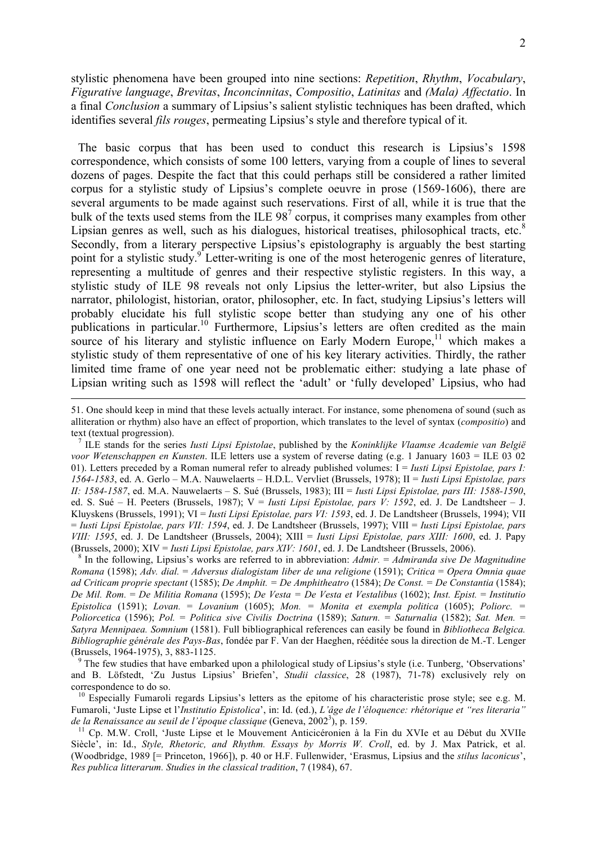stylistic phenomena have been grouped into nine sections: *Repetition*, *Rhythm*, *Vocabulary*, *Figurative language*, *Brevitas*, *Inconcinnitas*, *Compositio*, *Latinitas* and *(Mala) Affectatio*. In a final *Conclusion* a summary of Lipsius's salient stylistic techniques has been drafted, which identifies several *fils rouges*, permeating Lipsius's style and therefore typical of it.

The basic corpus that has been used to conduct this research is Lipsius's 1598 correspondence, which consists of some 100 letters, varying from a couple of lines to several dozens of pages. Despite the fact that this could perhaps still be considered a rather limited corpus for a stylistic study of Lipsius's complete oeuvre in prose (1569-1606), there are several arguments to be made against such reservations. First of all, while it is true that the bulk of the texts used stems from the ILE  $98<sup>7</sup>$  corpus, it comprises many examples from other Lipsian genres as well, such as his dialogues, historical treatises, philosophical tracts, etc.<sup>8</sup> Secondly, from a literary perspective Lipsius's epistolography is arguably the best starting point for a stylistic study.<sup>9</sup> Letter-writing is one of the most heterogenic genres of literature, representing a multitude of genres and their respective stylistic registers. In this way, a stylistic study of ILE 98 reveals not only Lipsius the letter-writer, but also Lipsius the narrator, philologist, historian, orator, philosopher, etc. In fact, studying Lipsius's letters will probably elucidate his full stylistic scope better than studying any one of his other publications in particular.<sup>10</sup> Furthermore, Lipsius's letters are often credited as the main source of his literary and stylistic influence on Early Modern Europe, $11$  which makes a stylistic study of them representative of one of his key literary activities. Thirdly, the rather limited time frame of one year need not be problematic either: studying a late phase of Lipsian writing such as 1598 will reflect the 'adult' or 'fully developed' Lipsius, who had

*Romana* (1598); *Adv. dial.* = *Adversus dialogistam liber de una religione* (1591); *Critica* = *Opera Omnia quae ad Criticam proprie spectant* (1585); *De Amphit. = De Amphitheatro* (1584); *De Const. = De Constantia* (1584); *De Mil. Rom.* = *De Militia Romana* (1595); *De Vesta = De Vesta et Vestalibus* (1602); *Inst. Epist.* = *Institutio Epistolica* (1591); *Lovan.* = *Lovanium* (1605); *Mon. = Monita et exempla politica* (1605); *Poliorc. = Poliorcetica* (1596); *Pol.* = *Politica sive Civilis Doctrina* (1589); *Saturn.* = *Saturnalia* (1582); *Sat. Men.* = *Satyra Mennipaea. Somnium* (1581). Full bibliographical references can easily be found in *Bibliotheca Belgica. Bibliographie générale des Pays-Bas*, fondée par F. Van der Haeghen, rééditée sous la direction de M.-T. Lenger (Brussels, 1964-1975), 3, 883-1125. <sup>9</sup>

<sup>9</sup> The few studies that have embarked upon a philological study of Lipsius's style (i.e. Tunberg, 'Observations' and B. Löfstedt, 'Zu Justus Lipsius' Briefen', *Studii classice*, 28 (1987), 71-78) exclusively rely on correspondence to do so.<br><sup>10</sup> Especially Fumaroli regards Lipsius's letters as the epitome of his characteristic prose style; see e.g. M.

Fumaroli, 'Juste Lipse et l'*Institutio Epistolica*', in: Id. (ed.), *L'âge de l'éloquence: rhétorique et "res literaria" de la Renaissance au seuil de l'époque classique (Geneva, 2002<sup>3</sup>), p. 159.* 

<sup>11</sup> Cp. M.W. Croll, 'Juste Lipse et le Mouvement Anticicéronien à la Fin du XVIe et au Début du XVIIe Siècle', in: Id., *Style, Rhetoric, and Rhythm. Essays by Morris W. Croll*, ed. by J. Max Patrick, et al. (Woodbridge, 1989 [= Princeton, 1966]), p. 40 or H.F. Fullenwider, 'Erasmus, Lipsius and the *stilus laconicus*', *Res publica litterarum. Studies in the classical tradition*, 7 (1984), 67.

 <sup>51.</sup> One should keep in mind that these levels actually interact. For instance, some phenomena of sound (such as alliteration or rhythm) also have an effect of proportion, which translates to the level of syntax (*compositio*) and text (textual progression).

ILE stands for the series *Iusti Lipsi Epistolae*, published by the *Koninklijke Vlaamse Academie van België voor Wetenschappen en Kunsten*. ILE letters use a system of reverse dating (e.g. 1 January 1603 = ILE 03 02 01). Letters preceded by a Roman numeral refer to already published volumes:  $\overline{I} = I$ *usti Lipsi Epistolae, pars I: 1564-1583*, ed. A. Gerlo – M.A. Nauwelaerts – H.D.L. Vervliet (Brussels, 1978); II = *Iusti Lipsi Epistolae, pars II: 1584-1587*, ed. M.A. Nauwelaerts – S. Sué (Brussels, 1983); III = *Iusti Lipsi Epistolae, pars III: 1588-1590*, ed. S. Sué – H. Peeters (Brussels, 1987); V = *Iusti Lipsi Epistolae, pars V: 1592*, ed. J. De Landtsheer – J. Kluyskens (Brussels, 1991); VI = *Iusti Lipsi Epistolae, pars VI: 1593*, ed. J. De Landtsheer (Brussels, 1994); VII = *Iusti Lipsi Epistolae, pars VII: 1594*, ed. J. De Landtsheer (Brussels, 1997); VIII = *Iusti Lipsi Epistolae, pars VIII: 1595*, ed. J. De Landtsheer (Brussels, 2004); XIII = *Iusti Lipsi Epistolae, pars XIII: 1600*, ed. J. Papy (Brussels, 2000); XIV = *Iusti Lipsi Epistolae, pars XIV: 1601*, ed. J. De Landtsheer (Brussels, 2006).<br><sup>8</sup> In the following. Lipsius's works are referred to in abbreviation: *Admir.* = *Admiranda sive De Magnitudine*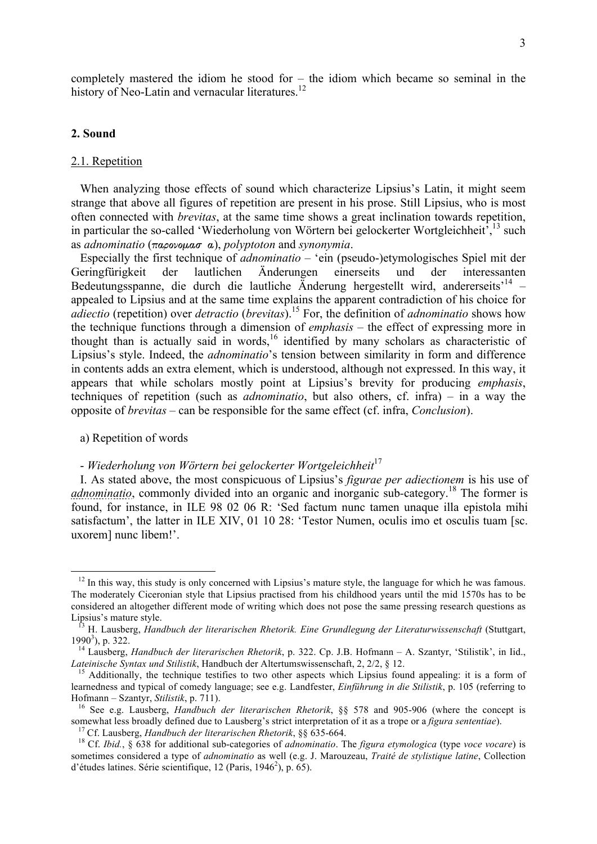completely mastered the idiom he stood for – the idiom which became so seminal in the history of Neo-Latin and vernacular literatures. $^{12}$ 

# **2. Sound**

### 2.1. Repetition

When analyzing those effects of sound which characterize Lipsius's Latin, it might seem strange that above all figures of repetition are present in his prose. Still Lipsius, who is most often connected with *brevitas*, at the same time shows a great inclination towards repetition, in particular the so-called 'Wiederholung von Wörtern bei gelockerter Wortgleichheit',  $^{13}$  such as *adnominatio* ( $\pi a \rho o \nu \rho \mu a \sigma$  *a*), *polyptoton* and *synonymia*.

Especially the first technique of *adnominatio* – 'ein (pseudo-)etymologisches Spiel mit der Geringfürigkeit der lautlichen Änderungen einerseits und der interessanten Bedeutungsspanne, die durch die lautliche Änderung hergestellt wird, andererseits<sup> $14$ </sup> – appealed to Lipsius and at the same time explains the apparent contradiction of his choice for *adiectio* (repetition) over *detractio* (*brevitas*).15 For, the definition of *adnominatio* shows how the technique functions through a dimension of *emphasis* – the effect of expressing more in thought than is actually said in words, $16$  identified by many scholars as characteristic of Lipsius's style. Indeed, the *adnominatio*'s tension between similarity in form and difference in contents adds an extra element, which is understood, although not expressed. In this way, it appears that while scholars mostly point at Lipsius's brevity for producing *emphasis*, techniques of repetition (such as *adnominatio*, but also others, cf. infra) – in a way the opposite of *brevitas* – can be responsible for the same effect (cf. infra, *Conclusion*).

# a) Repetition of words

# - *Wiederholung von Wörtern bei gelockerter Wortgeleichheit*<sup>17</sup>

I. As stated above, the most conspicuous of Lipsius's *figurae per adiectionem* is his use of *adnominatio*, commonly divided into an organic and inorganic sub*-*category.18 The former is found, for instance, in ILE 98 02 06 R: 'Sed factum nunc tamen unaque illa epistola mihi satisfactum', the latter in ILE XIV, 01 10 28: 'Testor Numen, oculis imo et osculis tuam [sc. uxorem] nunc libem!'.

 $12$  In this way, this study is only concerned with Lipsius's mature style, the language for which he was famous. The moderately Ciceronian style that Lipsius practised from his childhood years until the mid 1570s has to be considered an altogether different mode of writing which does not pose the same pressing research questions as Lipsius's mature style. 13 H. Lausberg, *Handbuch der literarischen Rhetorik. Eine Grundlegung der Literaturwissenschaft* (Stuttgart,

 $1990<sup>3</sup>$ , p. 322.

<sup>&</sup>lt;sup>14</sup> Lausberg, *Handbuch der literarischen Rhetorik*, p. 322. Cp. J.B. Hofmann – A. Szantyr, 'Stilistik', in Iid., *Lateinische Syntax und Stilistik*, Handbuch der Altertumswissenschaft, 2, 2/2, § 12.

<sup>&</sup>lt;sup>15</sup> Additionally, the technique testifies to two other aspects which Lipsius found appealing: it is a form of learnedness and typical of comedy language; see e.g. Landfester, *Einführung in die Stilistik*, p. 105 (referring to

Hofmann – Szantyr, *Stilistik*, p. 711).<br><sup>16</sup> See e.g. Lausberg, *Handbuch der literarischen Rhetorik*, §§ 578 and 905-906 (where the concept is somewhat less broadly defined due to Lausberg's strict interpretation of it a

<sup>&</sup>lt;sup>17</sup> Cf. Lausberg, *Handbuch der literarischen Rhetorik*, §§ 635-664.<br><sup>18</sup> Cf. *Ibid.*, § 638 for additional sub-categories of *adnominatio*. The *figura etymologica* (type voce vocare) is sometimes considered a type of *adnominatio* as well (e.g. J. Marouzeau, *Traité de stylistique latine*, Collection d'études latines. Série scientifique, 12 (Paris, 1946<sup>2</sup>), p. 65).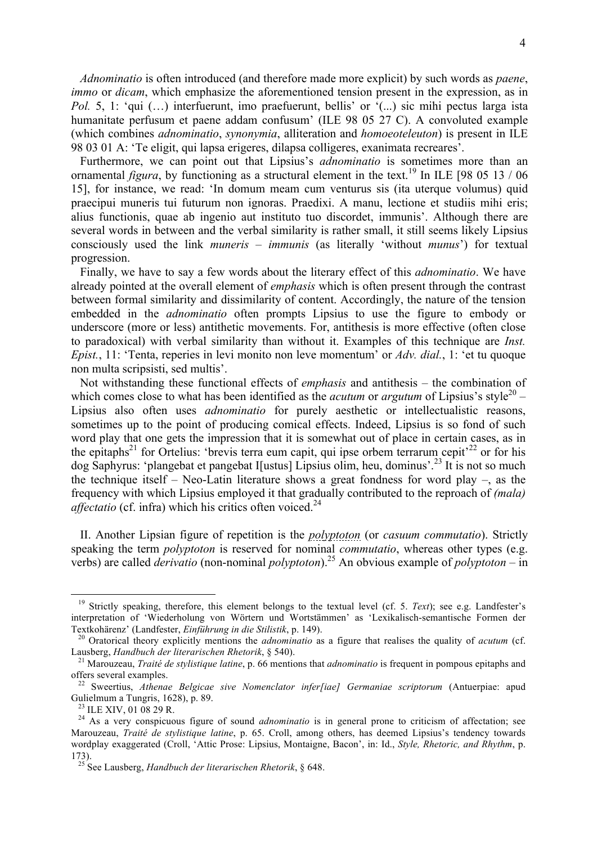*Adnominatio* is often introduced (and therefore made more explicit) by such words as *paene*, *immo* or *dicam*, which emphasize the aforementioned tension present in the expression, as in *Pol.* 5, 1: 'qui (...) interfuerunt, imo praefuerunt, bellis' or '(...) sic mihi pectus larga ista humanitate perfusum et paene addam confusum' (ILE 98 05 27 C). A convoluted example (which combines *adnominatio*, *synonymia*, alliteration and *homoeoteleuton*) is present in ILE 98 03 01 A: 'Te eligit, qui lapsa erigeres, dilapsa colligeres, exanimata recreares'.

Furthermore, we can point out that Lipsius's *adnominatio* is sometimes more than an ornamental *figura*, by functioning as a structural element in the text.<sup>19</sup> In ILE [98 05 13 / 06] 15], for instance, we read: 'In domum meam cum venturus sis (ita uterque volumus) quid praecipui muneris tui futurum non ignoras. Praedixi. A manu, lectione et studiis mihi eris; alius functionis, quae ab ingenio aut instituto tuo discordet, immunis'. Although there are several words in between and the verbal similarity is rather small, it still seems likely Lipsius consciously used the link *muneris – immunis* (as literally 'without *munus*') for textual progression.

Finally, we have to say a few words about the literary effect of this *adnominatio*. We have already pointed at the overall element of *emphasis* which is often present through the contrast between formal similarity and dissimilarity of content. Accordingly, the nature of the tension embedded in the *adnominatio* often prompts Lipsius to use the figure to embody or underscore (more or less) antithetic movements. For, antithesis is more effective (often close to paradoxical) with verbal similarity than without it. Examples of this technique are *Inst. Epist.*, 11: 'Tenta, reperies in levi monito non leve momentum' or *Adv. dial.*, 1: 'et tu quoque non multa scripsisti, sed multis'.

Not withstanding these functional effects of *emphasis* and antithesis – the combination of which comes close to what has been identified as the *acutum* or *argutum* of Lipsius's style<sup>20</sup> – Lipsius also often uses *adnominatio* for purely aesthetic or intellectualistic reasons, sometimes up to the point of producing comical effects. Indeed, Lipsius is so fond of such word play that one gets the impression that it is somewhat out of place in certain cases, as in the epitaphs<sup>21</sup> for Ortelius: 'brevis terra eum capit, qui ipse orbem terrarum cepit<sup> $22$ </sup> or for his dog Saphyrus: 'plangebat et pangebat I[ustus] Lipsius olim, heu, dominus'.23 It is not so much the technique itself – Neo-Latin literature shows a great fondness for word play –, as the frequency with which Lipsius employed it that gradually contributed to the reproach of *(mala) affectatio* (cf. infra) which his critics often voiced.<sup>24</sup>

II. Another Lipsian figure of repetition is the *polyptoton* (or *casuum commutatio*). Strictly speaking the term *polyptoton* is reserved for nominal *commutatio*, whereas other types (e.g. verbs) are called *derivatio* (non-nominal *polyptoton*).25 An obvious example of *polyptoton* – in

<sup>&</sup>lt;sup>19</sup> Strictly speaking, therefore, this element belongs to the textual level (cf. 5. *Text*); see e.g. Landfester's interpretation of 'Wiederholung von Wörtern und Wortstämmen' as 'Lexikalisch-semantische Formen der

Textkohärenz' (Landfester, *Einführung in die Stilistik*, p. 149). 20 Oratorical theory explicitly mentions the *adnominatio* as a figure that realises the quality of *acutum* (cf.

<sup>&</sup>lt;sup>21</sup> Marouzeau, *Traité de stylistique latine*, p. 66 mentions that *adnominatio* is frequent in pompous epitaphs and offers several examples. <sup>22</sup> Sweertius, *Athenae Belgicae sive Nomenclator infer[iae] Germaniae scriptorum* (Antuerpiae: apud

Gulielmum a Tungris, 1628), p. 89.<br><sup>23</sup> ILE XIV, 01 08 29 R.

<sup>&</sup>lt;sup>24</sup> As a very conspicuous figure of sound *adnominatio* is in general prone to criticism of affectation; see Marouzeau, *Traité de stylistique latine*, p. 65. Croll, among others, has deemed Lipsius's tendency towards wordplay exaggerated (Croll, 'Attic Prose: Lipsius, Montaigne, Bacon', in: Id., *Style, Rhetoric, and Rhythm*, p. 173). 25 See Lausberg, *Handbuch der literarischen Rhetorik*, § 648.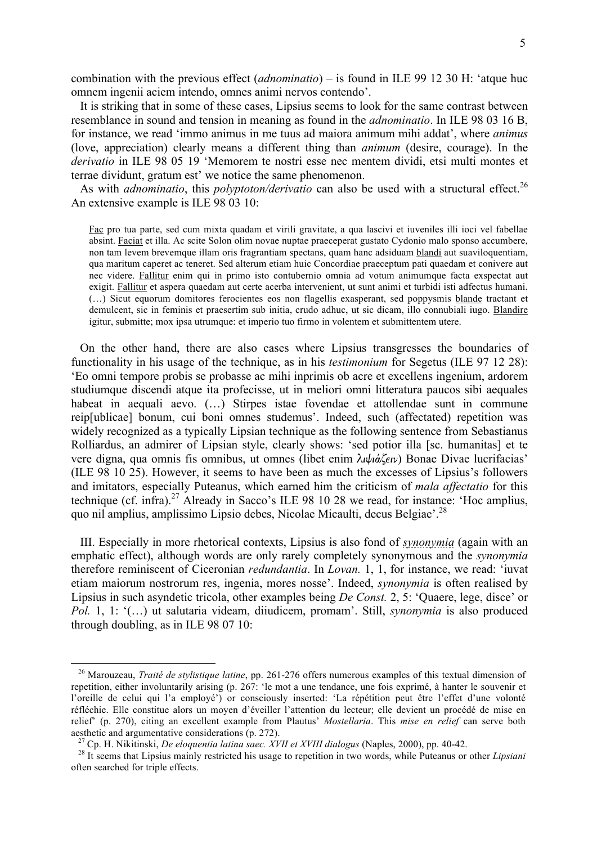combination with the previous effect (*adnominatio*) – is found in ILE 99 12 30 H: 'atque huc omnem ingenii aciem intendo, omnes animi nervos contendo'.

It is striking that in some of these cases, Lipsius seems to look for the same contrast between resemblance in sound and tension in meaning as found in the *adnominatio*. In ILE 98 03 16 B, for instance, we read 'immo animus in me tuus ad maiora animum mihi addat', where *animus*  (love, appreciation) clearly means a different thing than *animum* (desire, courage). In the *derivatio* in ILE 98 05 19 'Memorem te nostri esse nec mentem dividi, etsi multi montes et terrae dividunt, gratum est' we notice the same phenomenon.

As with *adnominatio*, this *polyptoton/derivatio* can also be used with a structural effect.<sup>26</sup> An extensive example is ILE 98 03 10:

Fac pro tua parte, sed cum mixta quadam et virili gravitate, a qua lascivi et iuveniles illi ioci vel fabellae absint. Faciat et illa. Ac scite Solon olim novae nuptae praeceperat gustato Cydonio malo sponso accumbere, non tam levem brevemque illam oris fragrantiam spectans, quam hanc adsiduam blandi aut suaviloquentiam, qua maritum caperet ac teneret. Sed alterum etiam huic Concordiae praeceptum pati quaedam et conivere aut nec videre. Fallitur enim qui in primo isto contubernio omnia ad votum animumque facta exspectat aut exigit. Fallitur et aspera quaedam aut certe acerba intervenient, ut sunt animi et turbidi isti adfectus humani. (…) Sicut equorum domitores ferocientes eos non flagellis exasperant, sed poppysmis blande tractant et demulcent, sic in feminis et praesertim sub initia, crudo adhuc, ut sic dicam, illo connubiali iugo. Blandire igitur, submitte; mox ipsa utrumque: et imperio tuo firmo in volentem et submittentem utere.

On the other hand, there are also cases where Lipsius transgresses the boundaries of functionality in his usage of the technique, as in his *testimonium* for Segetus (ILE 97 12 28): 'Eo omni tempore probis se probasse ac mihi inprimis ob acre et excellens ingenium, ardorem studiumque discendi atque ita profecisse, ut in meliori omni litteratura paucos sibi aequales habeat in aequali aevo. (…) Stirpes istae fovendae et attollendae sunt in commune reip[ublicae] bonum, cui boni omnes studemus'. Indeed, such (affectated) repetition was widely recognized as a typically Lipsian technique as the following sentence from Sebastianus Rolliardus, an admirer of Lipsian style, clearly shows: 'sed potior illa [sc. humanitas] et te vere digna, qua omnis fis omnibus, ut omnes (libet enim λιψιάζειν) Bonae Divae lucrifacias' (ILE 98 10 25). However, it seems to have been as much the excesses of Lipsius's followers and imitators, especially Puteanus, which earned him the criticism of *mala affectatio* for this technique (cf. infra). $27$  Already in Sacco's ILE 98 10 28 we read, for instance: 'Hoc amplius, quo nil amplius, amplissimo Lipsio debes, Nicolae Micaulti, decus Belgiae'.<sup>28</sup>

III. Especially in more rhetorical contexts, Lipsius is also fond of *synonymia* (again with an emphatic effect), although words are only rarely completely synonymous and the *synonymia*  therefore reminiscent of Ciceronian *redundantia*. In *Lovan.* 1, 1, for instance, we read: 'iuvat etiam maiorum nostrorum res, ingenia, mores nosse'. Indeed, *synonymia* is often realised by Lipsius in such asyndetic tricola, other examples being *De Const.* 2, 5: 'Quaere, lege, disce' or *Pol.* 1, 1: '(…) ut salutaria videam, diiudicem, promam'. Still, *synonymia* is also produced through doubling, as in ILE 98 07 10:

 <sup>26</sup> Marouzeau, *Traité de stylistique latine*, pp. 261-276 offers numerous examples of this textual dimension of repetition, either involuntarily arising (p. 267: 'le mot a une tendance, une fois exprimé, à hanter le souvenir et l'oreille de celui qui l'a employé') or consciously inserted: 'La répétition peut être l'effet d'une volonté réfléchie. Elle constitue alors un moyen d'éveiller l'attention du lecteur; elle devient un procédé de mise en relief' (p. 270), citing an excellent example from Plautus' *Mostellaria*. This *mise en relief* can serve both aesthetic and argumentative considerations (p. 272).<br><sup>27</sup> Cp. H. Nikitinski, *De eloquentia latina saec. XVII et XVIII dialogus* (Naples, 2000), pp. 40-42.<br><sup>28</sup> It seems that Lipsius mainly restricted his usage to repetit

often searched for triple effects.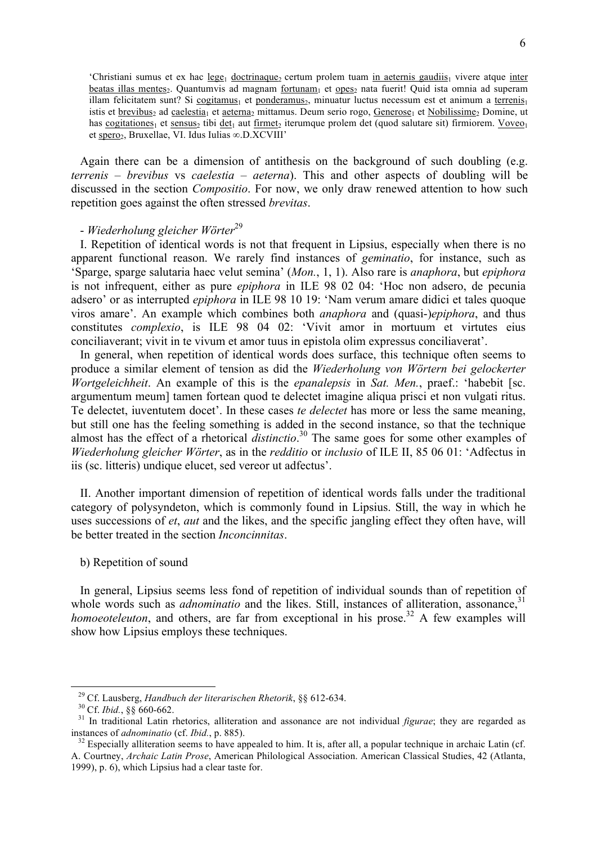'Christiani sumus et ex hac lege<sub>1</sub> doctrinaque<sub>2</sub> certum prolem tuam in aeternis gaudiis<sub>1</sub> vivere atque inter beatas illas mentes<sub>2</sub>. Quantumvis ad magnam fortunam<sub>1</sub> et opes<sub>2</sub> nata fuerit! Quid ista omnia ad superam illam felicitatem sunt? Si  $cogitamus<sub>1</sub>$  et ponderamus<sub>2</sub>, minuatur luctus necessum est et animum a terrenis<sub>1</sub></u> istis et brevibus<sub>2</sub> ad caelestia<sub>1</sub> et aeterna<sub>2</sub> mittamus. Deum serio rogo, Generose<sub>1</sub> et Nobilissime<sub>2</sub> Domine, ut has cogitationes<sub>1</sub> et sensus<sub>2</sub> tibi det<sub>1</sub> aut firmet<sub>2</sub> iterumque prolem det (quod salutare sit) firmiorem. Voveo<sub>1</sub> et spero<sub>2</sub>, Bruxellae, VI. Idus Iulias  $\infty$ .D.XCVIII'

Again there can be a dimension of antithesis on the background of such doubling (e.g. *terrenis – brevibus* vs *caelestia* – *aeterna*). This and other aspects of doubling will be discussed in the section *Compositio*. For now, we only draw renewed attention to how such repetition goes against the often stressed *brevitas*.

# - *Wiederholung gleicher Wörter*<sup>29</sup>

I. Repetition of identical words is not that frequent in Lipsius, especially when there is no apparent functional reason. We rarely find instances of *geminatio*, for instance, such as 'Sparge, sparge salutaria haec velut semina' (*Mon.*, 1, 1). Also rare is *anaphora*, but *epiphora*  is not infrequent, either as pure *epiphora* in ILE 98 02 04: 'Hoc non adsero, de pecunia adsero' or as interrupted *epiphora* in ILE 98 10 19: 'Nam verum amare didici et tales quoque viros amare'. An example which combines both *anaphora* and (quasi-)*epiphora*, and thus constitutes *complexio*, is ILE 98 04 02: 'Vivit amor in mortuum et virtutes eius conciliaverant; vivit in te vivum et amor tuus in epistola olim expressus conciliaverat'.

In general, when repetition of identical words does surface, this technique often seems to produce a similar element of tension as did the *Wiederholung von Wörtern bei gelockerter Wortgeleichheit*. An example of this is the *epanalepsis* in *Sat. Men.*, praef.: 'habebit [sc. argumentum meum] tamen fortean quod te delectet imagine aliqua prisci et non vulgati ritus. Te delectet, iuventutem docet'. In these cases *te delectet* has more or less the same meaning, but still one has the feeling something is added in the second instance, so that the technique almost has the effect of a rhetorical *distinctio*. 30 The same goes for some other examples of *Wiederholung gleicher Wörter*, as in the *redditio* or *inclusio* of ILE II, 85 06 01: 'Adfectus in iis (sc. litteris) undique elucet, sed vereor ut adfectus'.

II. Another important dimension of repetition of identical words falls under the traditional category of polysyndeton, which is commonly found in Lipsius. Still, the way in which he uses successions of *et*, *aut* and the likes, and the specific jangling effect they often have, will be better treated in the section *Inconcinnitas*.

# b) Repetition of sound

In general, Lipsius seems less fond of repetition of individual sounds than of repetition of whole words such as *adnominatio* and the likes. Still, instances of alliteration, assonance,<sup>31</sup> *homoeoteleuton*, and others, are far from exceptional in his prose.<sup>32</sup> A few examples will show how Lipsius employs these techniques.

<sup>&</sup>lt;sup>29</sup> Cf. Lausberg, *Handbuch der literarischen Rhetorik*, §§ 612-634.<br><sup>30</sup> Cf. *Ibid.*, §§ 660-662.<br><sup>31</sup> In traditional Latin rhetorics, alliteration and assonance are not individual *figurae*; they are regarded as instances of *adnominatio* (cf. *Ibid.*, p. 885).<br><sup>32</sup> Especially alliteration seems to have appealed to him. It is, after all, a popular technique in archaic Latin (cf.

A. Courtney, *Archaic Latin Prose*, American Philological Association. American Classical Studies, 42 (Atlanta, 1999), p. 6), which Lipsius had a clear taste for.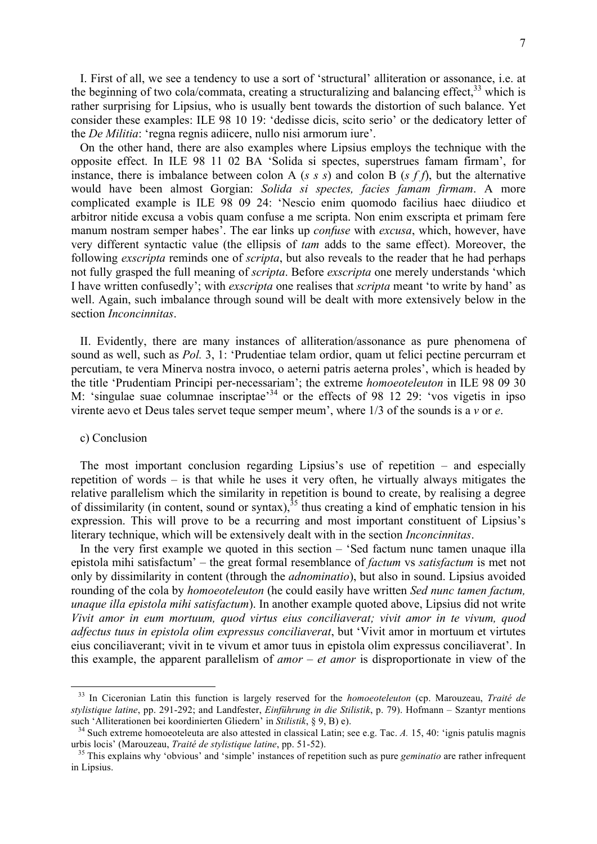I. First of all, we see a tendency to use a sort of 'structural' alliteration or assonance, i.e. at the beginning of two cola/commata, creating a structuralizing and balancing effect,  $33$  which is rather surprising for Lipsius, who is usually bent towards the distortion of such balance. Yet consider these examples: ILE 98 10 19: 'dedisse dicis, scito serio' or the dedicatory letter of the *De Militia*: 'regna regnis adiicere, nullo nisi armorum iure'.

On the other hand, there are also examples where Lipsius employs the technique with the opposite effect. In ILE 98 11 02 BA 'Solida si spectes, superstrues famam firmam', for instance, there is imbalance between colon A (*s s s*) and colon B (*s f f*), but the alternative would have been almost Gorgian: *Solida si spectes, facies famam firmam*. A more complicated example is ILE 98 09 24: 'Nescio enim quomodo facilius haec diiudico et arbitror nitide excusa a vobis quam confuse a me scripta. Non enim exscripta et primam fere manum nostram semper habes'. The ear links up *confuse* with *excusa*, which, however, have very different syntactic value (the ellipsis of *tam* adds to the same effect). Moreover, the following *exscripta* reminds one of *scripta*, but also reveals to the reader that he had perhaps not fully grasped the full meaning of *scripta*. Before *exscripta* one merely understands 'which I have written confusedly'; with *exscripta* one realises that *scripta* meant 'to write by hand' as well. Again, such imbalance through sound will be dealt with more extensively below in the section *Inconcinnitas*.

II. Evidently, there are many instances of alliteration/assonance as pure phenomena of sound as well, such as *Pol.* 3, 1: 'Prudentiae telam ordior, quam ut felici pectine percurram et percutiam, te vera Minerva nostra invoco, o aeterni patris aeterna proles', which is headed by the title 'Prudentiam Principi per-necessariam'; the extreme *homoeoteleuton* in ILE 98 09 30 M: 'singulae suae columnae inscriptae'<sup>34</sup> or the effects of 98 12 29: 'vos vigetis in ipso virente aevo et Deus tales servet teque semper meum', where 1/3 of the sounds is a *v* or *e*.

# c) Conclusion

The most important conclusion regarding Lipsius's use of repetition – and especially repetition of words – is that while he uses it very often, he virtually always mitigates the relative parallelism which the similarity in repetition is bound to create, by realising a degree of dissimilarity (in content, sound or syntax),  $35$  thus creating a kind of emphatic tension in his expression. This will prove to be a recurring and most important constituent of Lipsius's literary technique, which will be extensively dealt with in the section *Inconcinnitas*.

In the very first example we quoted in this section – 'Sed factum nunc tamen unaque illa epistola mihi satisfactum' – the great formal resemblance of *factum* vs *satisfactum* is met not only by dissimilarity in content (through the *adnominatio*), but also in sound. Lipsius avoided rounding of the cola by *homoeoteleuton* (he could easily have written *Sed nunc tamen factum, unaque illa epistola mihi satisfactum*). In another example quoted above, Lipsius did not write *Vivit amor in eum mortuum, quod virtus eius conciliaverat; vivit amor in te vivum, quod adfectus tuus in epistola olim expressus conciliaverat*, but 'Vivit amor in mortuum et virtutes eius conciliaverant; vivit in te vivum et amor tuus in epistola olim expressus conciliaverat'. In this example, the apparent parallelism of *amor – et amor* is disproportionate in view of the

 <sup>33</sup> In Ciceronian Latin this function is largely reserved for the *homoeoteleuton* (cp. Marouzeau, *Traité de stylistique latine*, pp. 291-292; and Landfester, *Einführung in die Stilistik*, p. 79). Hofmann – Szantyr mentions

<sup>&</sup>lt;sup>34</sup> Such extreme homoeoteleuta are also attested in classical Latin; see e.g. Tac. *A.* 15, 40: 'ignis patulis magnis urbis locis' (Marouzeau, *Traité de stylistique latine*, pp. 51-52).<br><sup>35</sup> This explains why 'obvious' and 'simple' instances of repetition such as pure *geminatio* are rather infrequent

in Lipsius.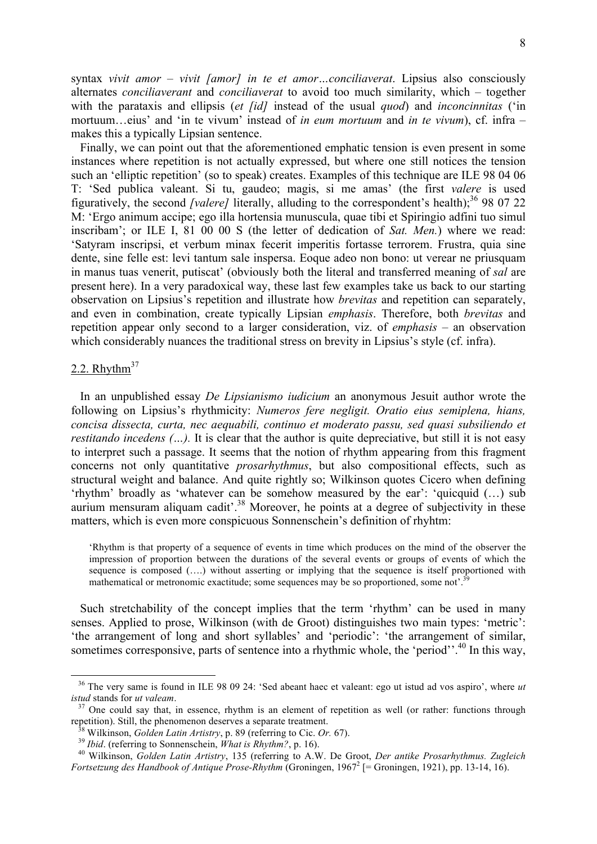syntax *vivit amor* – *vivit [amor] in te et amor…conciliaverat*. Lipsius also consciously alternates *conciliaverant* and *conciliaverat* to avoid too much similarity, which – together with the parataxis and ellipsis (*et [id]* instead of the usual *quod*) and *inconcinnitas* ('in mortuum…eius' and 'in te vivum' instead of *in eum mortuum* and *in te vivum*), cf. infra – makes this a typically Lipsian sentence.

Finally, we can point out that the aforementioned emphatic tension is even present in some instances where repetition is not actually expressed, but where one still notices the tension such an 'elliptic repetition' (so to speak) creates. Examples of this technique are ILE 98 04 06 T: 'Sed publica valeant. Si tu, gaudeo; magis, si me amas' (the first *valere* is used figuratively, the second *[valere]* literally, alluding to the correspondent's health);<sup>36</sup> 98 07 22 M: 'Ergo animum accipe; ego illa hortensia munuscula, quae tibi et Spiringio adfini tuo simul inscribam'; or ILE I, 81 00 00 S (the letter of dedication of *Sat. Men.*) where we read: 'Satyram inscripsi, et verbum minax fecerit imperitis fortasse terrorem. Frustra, quia sine dente, sine felle est: levi tantum sale inspersa. Eoque adeo non bono: ut verear ne priusquam in manus tuas venerit, putiscat' (obviously both the literal and transferred meaning of *sal* are present here). In a very paradoxical way, these last few examples take us back to our starting observation on Lipsius's repetition and illustrate how *brevitas* and repetition can separately, and even in combination, create typically Lipsian *emphasis*. Therefore, both *brevitas* and repetition appear only second to a larger consideration, viz. of *emphasis* – an observation which considerably nuances the traditional stress on brevity in Lipsius's style (cf. infra).

# 2.2.  $R$ hythm $37$

In an unpublished essay *De Lipsianismo iudicium* an anonymous Jesuit author wrote the following on Lipsius's rhythmicity: *Numeros fere negligit. Oratio eius semiplena, hians, concisa dissecta, curta, nec aequabili, continuo et moderato passu, sed quasi subsiliendo et restitando incedens (...).* It is clear that the author is quite depreciative, but still it is not easy to interpret such a passage. It seems that the notion of rhythm appearing from this fragment concerns not only quantitative *prosarhythmus*, but also compositional effects, such as structural weight and balance. And quite rightly so; Wilkinson quotes Cicero when defining 'rhythm' broadly as 'whatever can be somehow measured by the ear': 'quicquid (…) sub aurium mensuram aliquam cadit'.<sup>38</sup> Moreover, he points at a degree of subjectivity in these matters, which is even more conspicuous Sonnenschein's definition of rhyhtm:

'Rhythm is that property of a sequence of events in time which produces on the mind of the observer the impression of proportion between the durations of the several events or groups of events of which the sequence is composed (….) without asserting or implying that the sequence is itself proportioned with mathematical or metronomic exactitude; some sequences may be so proportioned, some not'.<sup>39</sup>

Such stretchability of the concept implies that the term 'rhythm' can be used in many senses. Applied to prose, Wilkinson (with de Groot) distinguishes two main types: 'metric': 'the arrangement of long and short syllables' and 'periodic': 'the arrangement of similar, sometimes corresponsive, parts of sentence into a rhythmic whole, the 'period'.<sup>40</sup> In this way,

 <sup>36</sup> The very same is found in ILE 98 09 24: 'Sed abeant haec et valeant: ego ut istud ad vos aspiro', where *ut istud* stands for *ut valeam*.<br><sup>37</sup> One could say that, in essence, rhythm is an element of repetition as well (or rather: functions through

repetition). Still, the phenomenon deserves a separate treatment.<br><sup>38</sup> Wilkinson, *Golden Latin Artistry*, p. 89 (referring to Cic. *Or*. 67).<br><sup>39</sup> *Ibid*. (referring to Sonnenschein, *What is Rhythm*?, p. 16).<br><sup>40</sup> Wilkin

*Fortsetzung des Handbook of Antique Prose-Rhythm* (Groningen, 1967<sup>2</sup> [= Groningen, 1921), pp. 13-14, 16).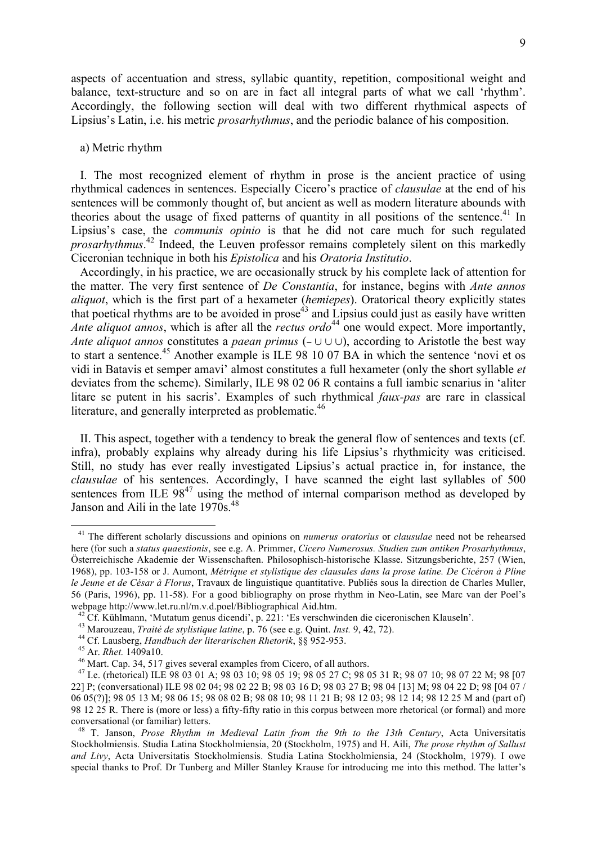aspects of accentuation and stress, syllabic quantity, repetition, compositional weight and balance, text-structure and so on are in fact all integral parts of what we call 'rhythm'. Accordingly, the following section will deal with two different rhythmical aspects of Lipsius's Latin, i.e. his metric *prosarhythmus*, and the periodic balance of his composition.

# a) Metric rhythm

I. The most recognized element of rhythm in prose is the ancient practice of using rhythmical cadences in sentences. Especially Cicero's practice of *clausulae* at the end of his sentences will be commonly thought of, but ancient as well as modern literature abounds with theories about the usage of fixed patterns of quantity in all positions of the sentence.<sup>41</sup> In Lipsius's case, the *communis opinio* is that he did not care much for such regulated *prosarhythmus*. 42 Indeed, the Leuven professor remains completely silent on this markedly Ciceronian technique in both his *Epistolica* and his *Oratoria Institutio*.

Accordingly, in his practice, we are occasionally struck by his complete lack of attention for the matter. The very first sentence of *De Constantia*, for instance, begins with *Ante annos aliquot*, which is the first part of a hexameter (*hemiepes*). Oratorical theory explicitly states that poetical rhythms are to be avoided in prose<sup> $43$ </sup> and Lipsius could just as easily have written *Ante aliquot annos*, which is after all the *rectus ordo*<sup>44</sup> one would expect. More importantly, *Ante aliquot annos* constitutes a *paean primus* (– ∪ ∪ ∪), according to Aristotle the best way to start a sentence.<sup>45</sup> Another example is ILE 98 10 07 BA in which the sentence 'novi et os vidi in Batavis et semper amavi' almost constitutes a full hexameter (only the short syllable *et* deviates from the scheme). Similarly, ILE 98 02 06 R contains a full iambic senarius in 'aliter litare se putent in his sacris'. Examples of such rhythmical *faux-pas* are rare in classical literature, and generally interpreted as problematic.<sup>46</sup>

II. This aspect, together with a tendency to break the general flow of sentences and texts (cf. infra), probably explains why already during his life Lipsius's rhythmicity was criticised. Still, no study has ever really investigated Lipsius's actual practice in, for instance, the *clausulae* of his sentences. Accordingly, I have scanned the eight last syllables of 500 sentences from ILE  $98^{47}$  using the method of internal comparison method as developed by Janson and Aili in the late  $1970s$ .<sup>48</sup>

 <sup>41</sup> The different scholarly discussions and opinions on *numerus oratorius* or *clausulae* need not be rehearsed here (for such a *status quaestionis*, see e.g. A. Primmer, *Cicero Numerosus. Studien zum antiken Prosarhythmus*, Österreichische Akademie der Wissenschaften. Philosophisch-historische Klasse. Sitzungsberichte, 257 (Wien, 1968), pp. 103-158 or J. Aumont, *Métrique et stylistique des clausules dans la prose latine. De Cicéron à Pline le Jeune et de César à Florus*, Travaux de linguistique quantitative. Publiés sous la direction de Charles Muller, 56 (Paris, 1996), pp. 11-58). For a good bibliography on prose rhythm in Neo-Latin, see Marc van der Poel's webpage http://www.let.ru.nl/m.v.d.poel/Bibliographical Aid.htm.<br><sup>42</sup> Cf. Kühlmann, 'Mutatum genus dicendi', p. 221: 'Es verschwinden die ciceronischen Klauseln'.

<sup>&</sup>lt;sup>43</sup> Marouzeau, *Traité de stylistique latine*, p. 76 (see e.g. Quint. *Inst.* 9, 42, 72).<br><sup>44</sup> Cf. Lausberg, *Handbuch der literarischen Rhetorik*, §§ 952-953.<br><sup>45</sup> Ar. *Rhet.* 1409a10.<br><sup>46</sup> Mart. Cap. 34, 517 gives seve

<sup>47</sup> I.e. (rhetorical) ILE 98 03 01 A; 98 03 10; 98 05 19; 98 05 27 C; 98 05 31 R; 98 07 10; 98 07 22 M; 98 [07 22] P; (conversational) ILE 98 02 04; 98 02 22 B; 98 03 16 D; 98 03 27 B; 98 04 [13] M; 98 04 22 D; 98 [04 07 / 06 05(?)]; 98 05 13 M; 98 06 15; 98 08 02 B; 98 08 10; 98 11 21 B; 98 12 03; 98 12 14; 98 12 25 M and (part of) 98 12 25 R. There is (more or less) a fifty-fifty ratio in this corpus between more rhetorical (or formal) and more

<sup>&</sup>lt;sup>48</sup> T. Janson, *Prose Rhythm in Medieval Latin from the 9th to the 13th Century*, Acta Universitatis Stockholmiensis. Studia Latina Stockholmiensia, 20 (Stockholm, 1975) and H. Aili, *The prose rhythm of Sallust and Livy*, Acta Universitatis Stockholmiensis. Studia Latina Stockholmiensia, 24 (Stockholm, 1979). I owe special thanks to Prof. Dr Tunberg and Miller Stanley Krause for introducing me into this method. The latter's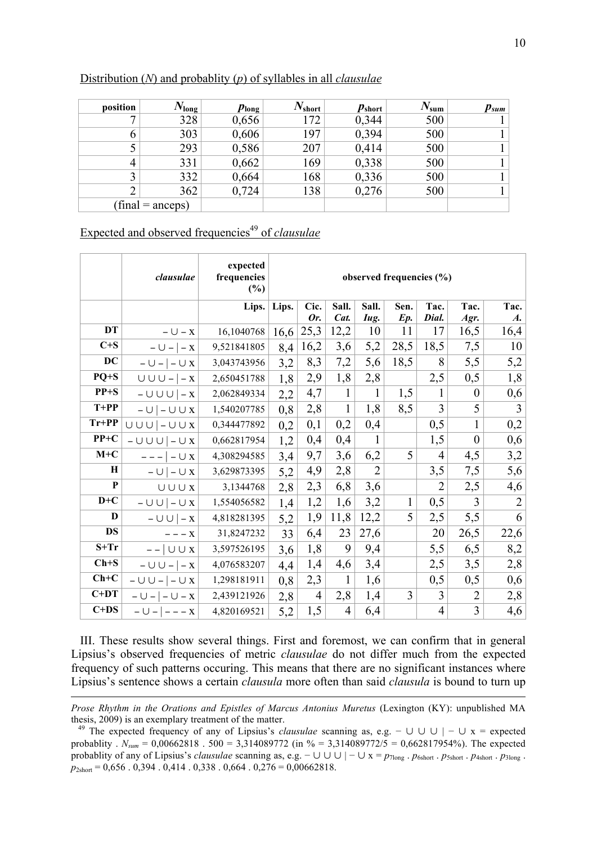| position | $N_{\text{long}}$                | $p_{\text{long}}$ | $N_{\text{short}}$ | $\boldsymbol{p}_{\text{short}}$ | $N_{\rm sum}$ | $p_{sum}$ |
|----------|----------------------------------|-------------------|--------------------|---------------------------------|---------------|-----------|
|          | 328                              | 0,656             | 172                | 0,344                           | 500           |           |
|          | 303                              | 0,606             | 197                | 0,394                           | 500           |           |
|          | 293                              | 0,586             | 207                | 0,414                           | 500           |           |
|          | 331                              | 0,662             | 169                | 0,338                           | 500           |           |
|          | 332                              | 0,664             | 168                | 0,336                           | 500           |           |
|          | 362                              | 0,724             | 138                | 0,276                           | 500           |           |
|          | $(\text{final} = \text{anceps})$ |                   |                    |                                 |               |           |

## Distribution (*N*) and probablity (*p*) of syllables in all *clausulae*

# Expected and observed frequencies<sup>49</sup> of *clausulae*

<u>.</u>

|                         | clausulae                        | expected<br>frequencies<br>(%) | observed frequencies (%) |                |                |                |                |                |                  |                            |
|-------------------------|----------------------------------|--------------------------------|--------------------------|----------------|----------------|----------------|----------------|----------------|------------------|----------------------------|
|                         |                                  | Lips.                          | Lips.                    | Cic.<br>Or.    | Sall.<br>Cat.  | Sall.<br>Iug.  | Sen.           | Tac.<br>Dial.  | Tac.             | Tac.<br>$\boldsymbol{A}$ . |
| DT                      | $ \cup$ $-$ X                    | 16,1040768                     | 16,6                     | 25,3           | 12,2           | 10             | Ep.<br>11      | 17             | Agr.<br>16,5     | 16,4                       |
| $C + S$                 | $ \cup$ $ \vert$ $ X$ $\vert$    | 9,521841805                    |                          |                | 3,6            |                | 28,5           | 18,5           | 7,5              | 10                         |
|                         |                                  |                                | 8,4                      | 16,2           |                | 5,2            |                |                |                  |                            |
| $\mathbf{D}\mathbf{C}$  | $-$ U – $ -$ U X                 | 3,043743956                    | 3,2                      | 8,3            | 7,2            | 5,6            | 18,5           | 8              | 5,5              | 5,2                        |
| $PQ + S$                | $U U U -  -X $                   | 2,650451788                    | 1,8                      | 2,9            | 1,8            | 2,8            |                | 2,5            | 0,5              | 1,8                        |
| $PP + S$                | $ \cup$ $\cup$ $\cup$ $  X$      | 2,062849334                    | 2,2                      | 4,7            | $\mathbf{1}$   | $\mathbf{1}$   | 1,5            | $\mathbf{1}$   | $\boldsymbol{0}$ | 0,6                        |
| $T+PP$                  | $-$ U $ -$ U U X                 | 1,540207785                    | 0,8                      | 2,8            | $\mathbf{1}$   | 1,8            | 8,5            | $\overline{3}$ | 5                | $\overline{3}$             |
| $Tr+PP$                 | $U U U  - U U X$                 | 0,344477892                    | 0,2                      | 0,1            | 0,2            | 0,4            |                | 0,5            | $\mathbf{1}$     | 0,2                        |
| $PP+C$                  | $ \cup$ $\cup$ $\cup$ $  \cup$ X | 0,662817954                    | 1,2                      | 0,4            | 0,4            | $\mathbf{1}$   |                | 1,5            | $\mathbf{0}$     | 0,6                        |
| $M+C$                   | $--   \cup$ x                    | 4,308294585                    | 3,4                      | 9,7            | 3,6            | 6,2            | 5              | $\overline{4}$ | 4,5              | 3,2                        |
| H                       | $- \cup  - \cup X$               | 3,629873395                    | 5,2                      | 4,9            | 2,8            | $\overline{2}$ |                | 3,5            | 7,5              | 5,6                        |
| $\mathbf{P}$            | $\cup \cup \cup x$               | 3,1344768                      | 2,8                      | 2,3            | 6,8            | 3,6            |                | $\overline{2}$ | 2,5              | 4,6                        |
| $\mathbf{D}+\mathbf{C}$ | $ \cup$ $\cup$ $  \cup$ $X$      | 1,554056582                    | 1,4                      | 1,2            | 1,6            | 3,2            | $\mathbf{1}$   | 0, 5           | 3                | $\overline{2}$             |
| D                       | $ \cup$ $\cup$ $  X $            | 4,818281395                    | 5,2                      | 1,9            | 11,8           | 12,2           | 5              | 2,5            | 5,5              | 6                          |
| <b>DS</b>               | $--- X$                          | 31,8247232                     | 33                       | 6,4            | 23             | 27,6           |                | 20             | 26,5             | 22,6                       |
| $S+Tr$                  | $ \cup$ $\cup$ $\mathbf{x}$      | 3,597526195                    | 3,6                      | 1,8            | 9              | 9,4            |                | 5,5            | 6,5              | 8,2                        |
| $Ch + S$                | $-$ U U $ \vert$ $-$ X $\vert$   | 4,076583207                    | 4,4                      | 1,4            | 4,6            | 3,4            |                | 2,5            | 3,5              | 2,8                        |
| $Ch+C$                  | $ \cup$ $\cup$ $   \cup$ X $ $   | 1,298181911                    | 0,8                      | 2,3            | $\mathbf{1}$   | 1,6            |                | 0,5            | 0,5              | 0,6                        |
| $C+DT$                  | $-$ U $  -$ U $-$ X              | 2,439121926                    | 2,8                      | $\overline{4}$ | 2,8            | 1,4            | $\overline{3}$ | 3              | $\overline{2}$   | 2,8                        |
| $C+DS$                  | $- \cup -$   - - - X             | 4,820169521                    | 5,2                      | 1,5            | $\overline{4}$ | 6,4            |                | $\overline{4}$ | $\overline{3}$   | 4,6                        |

III. These results show several things. First and foremost, we can confirm that in general Lipsius's observed frequencies of metric *clausulae* do not differ much from the expected frequency of such patterns occuring. This means that there are no significant instances where Lipsius's sentence shows a certain *clausula* more often than said *clausula* is bound to turn up

*Prose Rhythm in the Orations and Epistles of Marcus Antonius Muretus* (Lexington (KY): unpublished MA thesis, 2009) is an exemplary treatment of the matter.

49 The expected frequency of any of Lipsius's *clausulae* scanning as, e.g. − ∪ ∪ ∪ | − ∪ x = expected probablity . *Nsum* = 0,00662818 . 500 = 3,314089772 (in % = 3,314089772/5 = 0,662817954%). The expected probablity of any of Lipsius's *clausulae* scanning as, e.g.  $-\cup \cup \cup -\cup x = p_{7\text{long}}$ . *p*<sub>6short</sub> . *p*<sub>5short</sub> . *p*<sub>4short</sub> . *p*<sub>3long</sub> .  $p_{2short} = 0.656 \cdot 0.394 \cdot 0.414 \cdot 0.338 \cdot 0.664 \cdot 0.276 = 0.00662818.$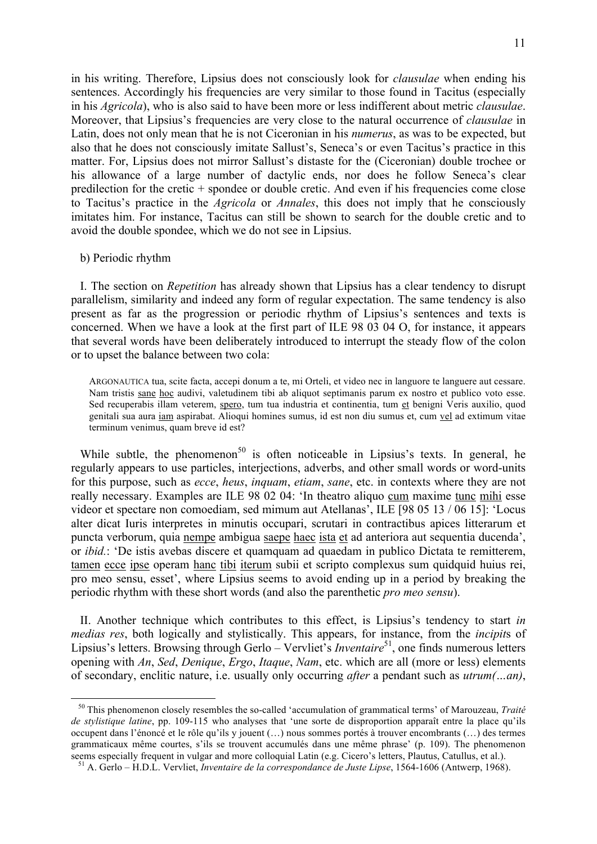in his writing. Therefore, Lipsius does not consciously look for *clausulae* when ending his sentences. Accordingly his frequencies are very similar to those found in Tacitus (especially in his *Agricola*), who is also said to have been more or less indifferent about metric *clausulae*. Moreover, that Lipsius's frequencies are very close to the natural occurrence of *clausulae* in Latin, does not only mean that he is not Ciceronian in his *numerus*, as was to be expected, but also that he does not consciously imitate Sallust's, Seneca's or even Tacitus's practice in this matter. For, Lipsius does not mirror Sallust's distaste for the (Ciceronian) double trochee or his allowance of a large number of dactylic ends, nor does he follow Seneca's clear predilection for the cretic + spondee or double cretic. And even if his frequencies come close to Tacitus's practice in the *Agricola* or *Annales*, this does not imply that he consciously imitates him. For instance, Tacitus can still be shown to search for the double cretic and to avoid the double spondee, which we do not see in Lipsius.

## b) Periodic rhythm

I. The section on *Repetition* has already shown that Lipsius has a clear tendency to disrupt parallelism, similarity and indeed any form of regular expectation. The same tendency is also present as far as the progression or periodic rhythm of Lipsius's sentences and texts is concerned. When we have a look at the first part of ILE 98 03 04 O, for instance, it appears that several words have been deliberately introduced to interrupt the steady flow of the colon or to upset the balance between two cola:

ARGONAUTICA tua, scite facta, accepi donum a te, mi Orteli, et video nec in languore te languere aut cessare. Nam tristis sane hoc audivi, valetudinem tibi ab aliquot septimanis parum ex nostro et publico voto esse. Sed recuperabis illam veterem, spero, tum tua industria et continentia, tum et benigni Veris auxilio, quod genitali sua aura iam aspirabat. Alioqui homines sumus, id est non diu sumus et, cum vel ad extimum vitae terminum venimus, quam breve id est?

While subtle, the phenomenon<sup>50</sup> is often noticeable in Lipsius's texts. In general, he regularly appears to use particles, interjections, adverbs, and other small words or word-units for this purpose, such as *ecce*, *heus*, *inquam*, *etiam*, *sane*, etc. in contexts where they are not really necessary. Examples are ILE 98 02 04: 'In theatro aliquo cum maxime tunc mihi esse videor et spectare non comoediam, sed mimum aut Atellanas', ILE [98 05 13 / 06 15]: 'Locus alter dicat Iuris interpretes in minutis occupari, scrutari in contractibus apices litterarum et puncta verborum, quia nempe ambigua saepe haec ista et ad anteriora aut sequentia ducenda', or *ibid.*: 'De istis avebas discere et quamquam ad quaedam in publico Dictata te remitterem, tamen ecce ipse operam hanc tibi iterum subii et scripto complexus sum quidquid huius rei, pro meo sensu, esset', where Lipsius seems to avoid ending up in a period by breaking the periodic rhythm with these short words (and also the parenthetic *pro meo sensu*).

II. Another technique which contributes to this effect, is Lipsius's tendency to start *in medias res*, both logically and stylistically. This appears, for instance, from the *incipit*s of Lipsius's letters. Browsing through Gerlo – Vervliet's *Inventaire*<sup>51</sup>, one finds numerous letters opening with *An*, *Sed*, *Denique*, *Ergo*, *Itaque*, *Nam*, etc. which are all (more or less) elements of secondary, enclitic nature, i.e. usually only occurring *after* a pendant such as *utrum(…an)*,

 <sup>50</sup> This phenomenon closely resembles the so-called 'accumulation of grammatical terms' of Marouzeau, *Traité de stylistique latine*, pp. 109-115 who analyses that 'une sorte de disproportion apparaît entre la place qu'ils occupent dans l'énoncé et le rôle qu'ils y jouent (…) nous sommes portés à trouver encombrants (…) des termes grammaticaux même courtes, s'ils se trouvent accumulés dans une même phrase' (p. 109). The phenomenon seems especially frequent in vulgar and more colloquial Latin (e.g. Cicero's letters, Plautus, Catullus, et al.).<br><sup>51</sup> A. Gerlo – H.D.L. Vervliet, *Inventaire de la correspondance de Juste Lipse*, 1564-1606 (Antwerp, 1968)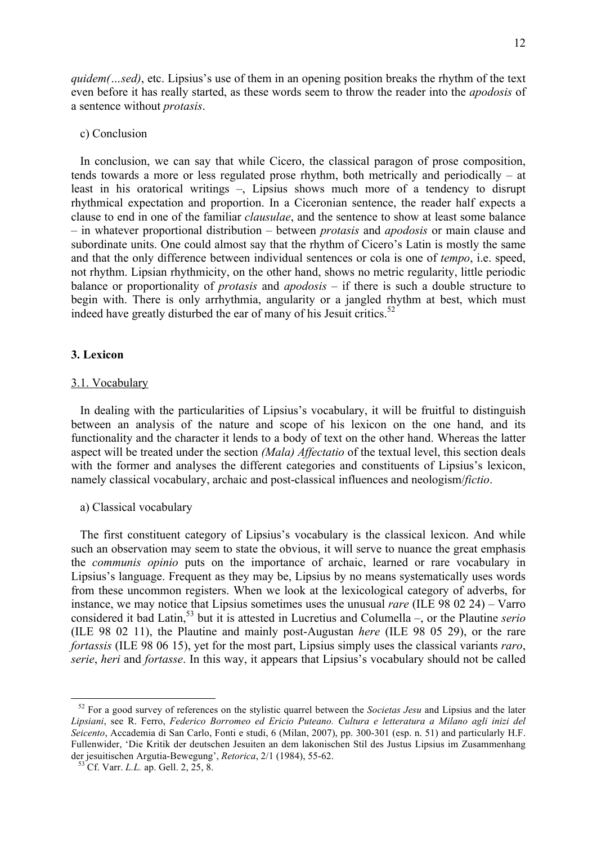*quidem(…sed)*, etc. Lipsius's use of them in an opening position breaks the rhythm of the text even before it has really started, as these words seem to throw the reader into the *apodosis* of a sentence without *protasis*.

c) Conclusion

In conclusion, we can say that while Cicero, the classical paragon of prose composition, tends towards a more or less regulated prose rhythm, both metrically and periodically – at least in his oratorical writings –, Lipsius shows much more of a tendency to disrupt rhythmical expectation and proportion. In a Ciceronian sentence, the reader half expects a clause to end in one of the familiar *clausulae*, and the sentence to show at least some balance – in whatever proportional distribution – between *protasis* and *apodosis* or main clause and subordinate units. One could almost say that the rhythm of Cicero's Latin is mostly the same and that the only difference between individual sentences or cola is one of *tempo*, i.e. speed, not rhythm. Lipsian rhythmicity, on the other hand, shows no metric regularity, little periodic balance or proportionality of *protasis* and *apodosis* – if there is such a double structure to begin with. There is only arrhythmia, angularity or a jangled rhythm at best, which must indeed have greatly disturbed the ear of many of his Jesuit critics.<sup>52</sup>

# **3. Lexicon**

### 3.1. Vocabulary

In dealing with the particularities of Lipsius's vocabulary, it will be fruitful to distinguish between an analysis of the nature and scope of his lexicon on the one hand, and its functionality and the character it lends to a body of text on the other hand. Whereas the latter aspect will be treated under the section *(Mala) Affectatio* of the textual level, this section deals with the former and analyses the different categories and constituents of Lipsius's lexicon, namely classical vocabulary, archaic and post-classical influences and neologism/*fictio*.

# a) Classical vocabulary

The first constituent category of Lipsius's vocabulary is the classical lexicon. And while such an observation may seem to state the obvious, it will serve to nuance the great emphasis the *communis opinio* puts on the importance of archaic, learned or rare vocabulary in Lipsius's language. Frequent as they may be, Lipsius by no means systematically uses words from these uncommon registers. When we look at the lexicological category of adverbs, for instance, we may notice that Lipsius sometimes uses the unusual *rare* (ILE 98 02 24) – Varro considered it bad Latin,53 but it is attested in Lucretius and Columella –, or the Plautine *serio*  (ILE 98 02 11), the Plautine and mainly post-Augustan *here* (ILE 98 05 29), or the rare *fortassis* (ILE 98 06 15), yet for the most part, Lipsius simply uses the classical variants *raro*, *serie*, *heri* and *fortasse*. In this way, it appears that Lipsius's vocabulary should not be called

 <sup>52</sup> For a good survey of references on the stylistic quarrel between the *Societas Jesu* and Lipsius and the later *Lipsiani*, see R. Ferro, *Federico Borromeo ed Ericio Puteano. Cultura e letteratura a Milano agli inizi del Seicento*, Accademia di San Carlo, Fonti e studi, 6 (Milan, 2007), pp. 300-301 (esp. n. 51) and particularly H.F. Fullenwider, 'Die Kritik der deutschen Jesuiten an dem lakonischen Stil des Justus Lipsius im Zusammenhang der jesuitischen Argutia-Bewegung', *Retorica*, 2/1 (1984), 55-62. 53 Cf. Varr. *L.L.* ap. Gell. 2, 25, 8.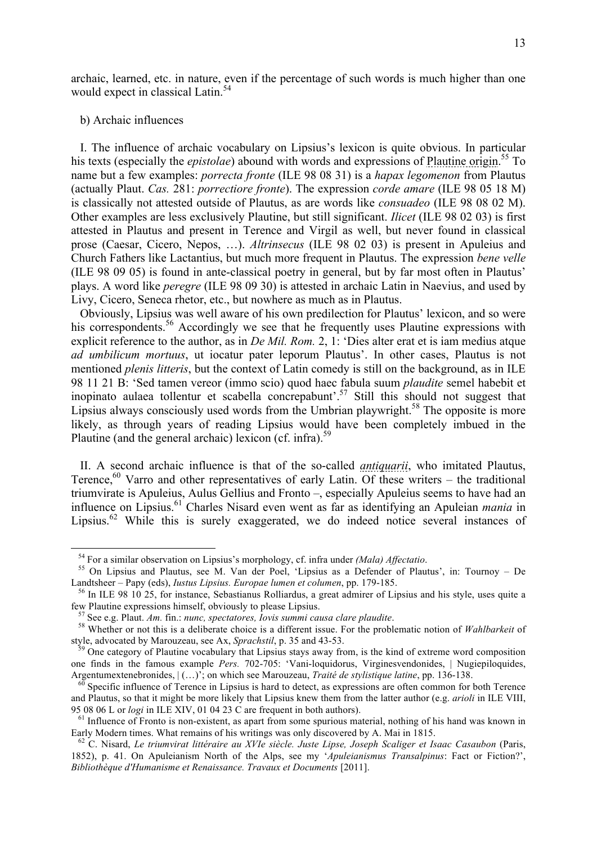archaic, learned, etc. in nature, even if the percentage of such words is much higher than one would expect in classical Latin.<sup>54</sup>

# b) Archaic influences

I. The influence of archaic vocabulary on Lipsius's lexicon is quite obvious. In particular his texts (especially the *epistolae*) abound with words and expressions of Plautine origin.<sup>55</sup> To name but a few examples: *porrecta fronte* (ILE 98 08 31) is a *hapax legomenon* from Plautus (actually Plaut. *Cas.* 281: *porrectiore fronte*). The expression *corde amare* (ILE 98 05 18 M) is classically not attested outside of Plautus, as are words like *consuadeo* (ILE 98 08 02 M). Other examples are less exclusively Plautine, but still significant. *Ilicet* (ILE 98 02 03) is first attested in Plautus and present in Terence and Virgil as well, but never found in classical prose (Caesar, Cicero, Nepos, …). *Altrinsecus* (ILE 98 02 03) is present in Apuleius and Church Fathers like Lactantius, but much more frequent in Plautus. The expression *bene velle*  (ILE 98 09 05) is found in ante-classical poetry in general, but by far most often in Plautus' plays. A word like *peregre* (ILE 98 09 30) is attested in archaic Latin in Naevius, and used by Livy, Cicero, Seneca rhetor, etc., but nowhere as much as in Plautus.

Obviously, Lipsius was well aware of his own predilection for Plautus' lexicon, and so were his correspondents.<sup>56</sup> Accordingly we see that he frequently uses Plautine expressions with explicit reference to the author, as in *De Mil. Rom.* 2, 1: 'Dies alter erat et is iam medius atque *ad umbilicum mortuus*, ut iocatur pater leporum Plautus'. In other cases, Plautus is not mentioned *plenis litteris*, but the context of Latin comedy is still on the background, as in ILE 98 11 21 B: 'Sed tamen vereor (immo scio) quod haec fabula suum *plaudite* semel habebit et inopinato aulaea tollentur et scabella concrepabunt'.57 Still this should not suggest that Lipsius always consciously used words from the Umbrian playwright.<sup>58</sup> The opposite is more likely, as through years of reading Lipsius would have been completely imbued in the Plautine (and the general archaic) lexicon (cf. infra).<sup>59</sup>

II. A second archaic influence is that of the so-called *antiquarii*, who imitated Plautus, Terence,  $60$  Varro and other representatives of early Latin. Of these writers – the traditional triumvirate is Apuleius, Aulus Gellius and Fronto –, especially Apuleius seems to have had an influence on Lipsius.<sup>61</sup> Charles Nisard even went as far as identifying an Apuleian *mania* in Lipsius.<sup>62</sup> While this is surely exaggerated, we do indeed notice several instances of

 <sup>54</sup> For a similar observation on Lipsius's morphology, cf. infra under *(Mala) Affectatio*. <sup>55</sup> On Lipsius and Plautus, see M. Van der Poel, 'Lipsius as a Defender of Plautus', in: Tournoy – De Landtsheer – Papy (eds), *Iustus Lipsius. Europae lumen et columen*, pp. 179-185.<br><sup>56</sup> In ILE 98 10 25, for instance, Sebastianus Rolliardus, a great admirer of Lipsius and his style, uses quite a

few Plautine expressions himself, obviously to please Lipsius.<br><sup>57</sup> See e.g. Plaut. Am. fin.: nunc, spectatores, Iovis summi causa clare plaudite.<br><sup>58</sup> Whether or not this is a deliberate choice is a different issue. For

<sup>&</sup>lt;sup>3</sup> One category of Plautine vocabulary that Lipsius stays away from, is the kind of extreme word composition one finds in the famous example *Pers.* 702-705: 'Vani-loquidorus, Virginesvendonides, | Nugiepiloquides, Argentumextenebronides,  $|$  (…)<sup>7</sup>; on which see Marouzeau, *Traité de stylistique latine*, pp. 136-138.<br><sup>60</sup> Specific influence of Terence in Lipsius is hard to detect, as expressions are often common for both Terence

and Plautus, so that it might be more likely that Lipsius knew them from the latter author (e.g. *arioli* in ILE VIII,

<sup>&</sup>lt;sup>61</sup> Influence of Fronto is non-existent, as apart from some spurious material, nothing of his hand was known in Early Modern times. What remains of his writings was only discovered by A. Mai in 1815.<br><sup>62</sup> C. Nisard, *Le triumvirat littéraire au XVIe siècle. Juste Lipse, Joseph Scaliger et Isaac Casaubon* (Paris,

<sup>1852),</sup> p. 41. On Apuleianism North of the Alps, see my '*Apuleianismus Transalpinus*: Fact or Fiction?', *Bibliothèque d'Humanisme et Renaissance. Travaux et Documents* [2011].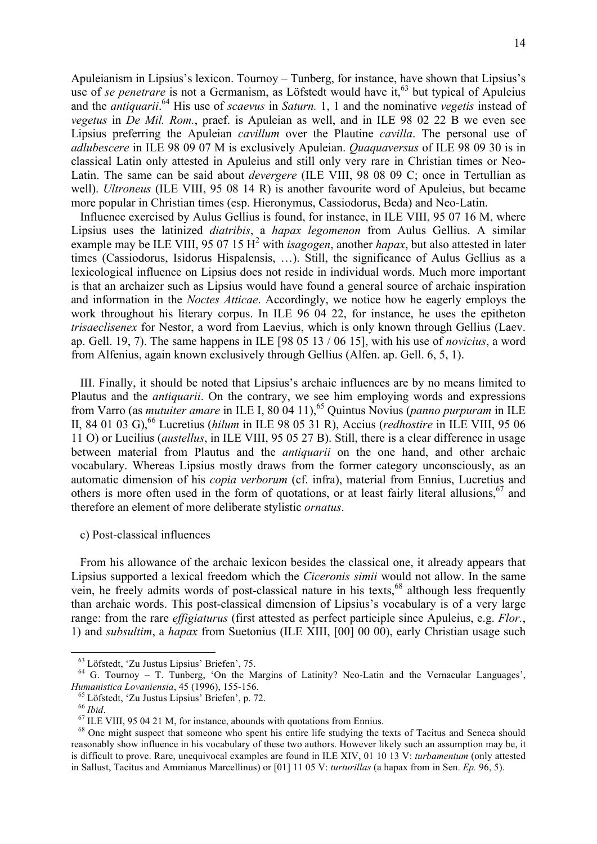Apuleianism in Lipsius's lexicon. Tournoy – Tunberg, for instance, have shown that Lipsius's use of *se penetrare* is not a Germanism, as Löfstedt would have it.<sup>63</sup> but typical of Apuleius and the *antiquarii*. 64 His use of *scaevus* in *Saturn.* 1, 1 and the nominative *vegetis* instead of *vegetus* in *De Mil. Rom.*, praef. is Apuleian as well, and in ILE 98 02 22 B we even see Lipsius preferring the Apuleian *cavillum* over the Plautine *cavilla*. The personal use of *adlubescere* in ILE 98 09 07 M is exclusively Apuleian. *Quaquaversus* of ILE 98 09 30 is in classical Latin only attested in Apuleius and still only very rare in Christian times or Neo-Latin. The same can be said about *devergere* (ILE VIII, 98 08 09 C; once in Tertullian as well). *Ultroneus* (ILE VIII, 95 08 14 R) is another favourite word of Apuleius, but became more popular in Christian times (esp. Hieronymus, Cassiodorus, Beda) and Neo-Latin.

Influence exercised by Aulus Gellius is found, for instance, in ILE VIII, 95 07 16 M, where Lipsius uses the latinized *diatribis*, a *hapax legomenon* from Aulus Gellius. A similar example may be ILE VIII, 95 07 15  $H^2$  with *isagogen*, another *hapax*, but also attested in later times (Cassiodorus, Isidorus Hispalensis, …). Still, the significance of Aulus Gellius as a lexicological influence on Lipsius does not reside in individual words. Much more important is that an archaizer such as Lipsius would have found a general source of archaic inspiration and information in the *Noctes Atticae*. Accordingly, we notice how he eagerly employs the work throughout his literary corpus. In ILE 96 04 22, for instance, he uses the epitheton *trisaeclisenex* for Nestor, a word from Laevius, which is only known through Gellius (Laev. ap. Gell. 19, 7). The same happens in ILE [98 05 13 / 06 15], with his use of *novicius*, a word from Alfenius, again known exclusively through Gellius (Alfen. ap. Gell. 6, 5, 1).

III. Finally, it should be noted that Lipsius's archaic influences are by no means limited to Plautus and the *antiquarii*. On the contrary, we see him employing words and expressions from Varro (as *mutuiter amare* in ILE I, 80 04 11),<sup>65</sup> Quintus Novius (*panno purpuram* in ILE II, 84 01 03 G),66 Lucretius (*hilum* in ILE 98 05 31 R), Accius (*redhostire* in ILE VIII, 95 06 11 O) or Lucilius (*austellus*, in ILE VIII, 95 05 27 B). Still, there is a clear difference in usage between material from Plautus and the *antiquarii* on the one hand, and other archaic vocabulary. Whereas Lipsius mostly draws from the former category unconsciously, as an automatic dimension of his *copia verborum* (cf. infra), material from Ennius, Lucretius and others is more often used in the form of quotations, or at least fairly literal allusions,  $67$  and therefore an element of more deliberate stylistic *ornatus*.

c) Post-classical influences

From his allowance of the archaic lexicon besides the classical one, it already appears that Lipsius supported a lexical freedom which the *Ciceronis simii* would not allow. In the same vein, he freely admits words of post-classical nature in his texts,<sup>68</sup> although less frequently than archaic words. This post-classical dimension of Lipsius's vocabulary is of a very large range: from the rare *effigiaturus* (first attested as perfect participle since Apuleius, e.g. *Flor.*, 1) and *subsultim*, a *hapax* from Suetonius (ILE XIII, [00] 00 00), early Christian usage such

 $<sup>63</sup>$  Löfstedt, 'Zu Justus Lipsius' Briefen', 75.<br><sup>64</sup> G. Tournoy – T. Tunberg, 'On the Margins of Latinity? Neo-Latin and the Vernacular Languages',</sup> *Humanistica Lovaniensia*, 45 (1996), 155-156.<br><sup>65</sup> Löfstedt, 'Zu Justus Lipsius' Briefen', p. 72.<br><sup>66</sup> Ihid

<sup>&</sup>lt;sup>67</sup> ILE VIII, 95 04 21 M, for instance, abounds with quotations from Ennius.<br><sup>68</sup> One might suspect that someone who spent his entire life studying the texts of Tacitus and Seneca should reasonably show influence in his vocabulary of these two authors. However likely such an assumption may be, it is difficult to prove. Rare, unequivocal examples are found in ILE XIV, 01 10 13 V: *turbamentum* (only attested in Sallust, Tacitus and Ammianus Marcellinus) or [01] 11 05 V: *turturillas* (a hapax from in Sen. *Ep.* 96, 5).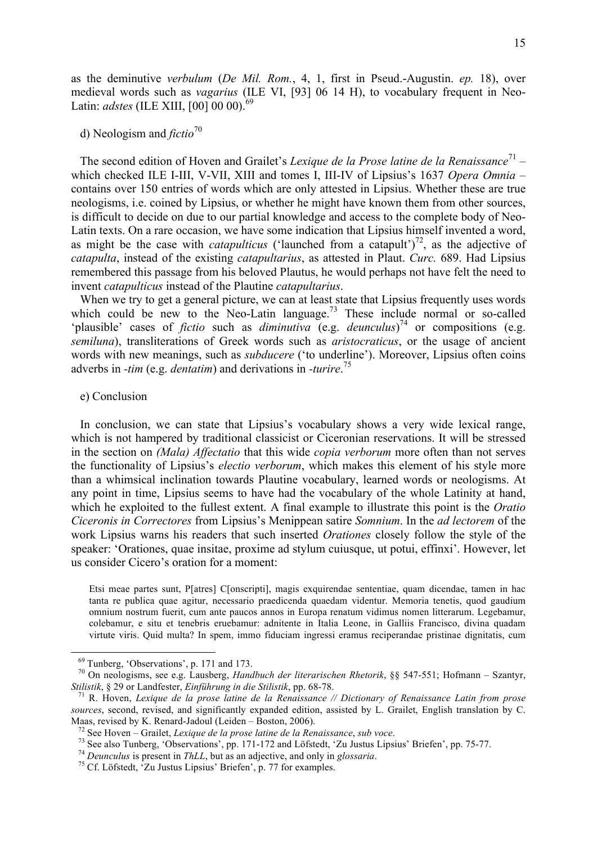as the deminutive *verbulum* (*De Mil. Rom.*, 4, 1, first in Pseud.-Augustin. *ep.* 18), over medieval words such as *vagarius* (ILE VI, [93] 06 14 H), to vocabulary frequent in Neo-Latin: *adstes* (ILE XIII, [00] 00 00).<sup>69</sup>

# d) Neologism and *fictio*<sup>70</sup>

The second edition of Hoven and Grailet's *Lexique de la Prose latine de la Renaissance*<sup>71</sup> – which checked ILE I-III, V-VII, XIII and tomes I, III-IV of Lipsius's 1637 *Opera Omnia* – contains over 150 entries of words which are only attested in Lipsius. Whether these are true neologisms, i.e. coined by Lipsius, or whether he might have known them from other sources, is difficult to decide on due to our partial knowledge and access to the complete body of Neo-Latin texts. On a rare occasion, we have some indication that Lipsius himself invented a word, as might be the case with *catapulticus* ('launched from a catapult')<sup>72</sup>, as the adjective of *catapulta*, instead of the existing *catapultarius*, as attested in Plaut. *Curc.* 689. Had Lipsius remembered this passage from his beloved Plautus, he would perhaps not have felt the need to invent *catapulticus* instead of the Plautine *catapultarius*.

When we try to get a general picture, we can at least state that Lipsius frequently uses words which could be new to the Neo-Latin language.<sup>73</sup> These include normal or so-called 'plausible' cases of *fictio* such as *diminutiva* (e.g. *deunculus*)<sup>74</sup> or compositions (e.g. *semiluna*), transliterations of Greek words such as *aristocraticus*, or the usage of ancient words with new meanings, such as *subducere* ('to underline'). Moreover, Lipsius often coins adverbs in *-tim* (e.g. *dentatim*) and derivations in *-turire*. 75

# e) Conclusion

In conclusion, we can state that Lipsius's vocabulary shows a very wide lexical range, which is not hampered by traditional classicist or Ciceronian reservations. It will be stressed in the section on *(Mala) Affectatio* that this wide *copia verborum* more often than not serves the functionality of Lipsius's *electio verborum*, which makes this element of his style more than a whimsical inclination towards Plautine vocabulary, learned words or neologisms. At any point in time, Lipsius seems to have had the vocabulary of the whole Latinity at hand, which he exploited to the fullest extent. A final example to illustrate this point is the *Oratio Ciceronis in Correctores* from Lipsius's Menippean satire *Somnium*. In the *ad lectorem* of the work Lipsius warns his readers that such inserted *Orationes* closely follow the style of the speaker: 'Orationes, quae insitae, proxime ad stylum cuiusque, ut potui, effinxi'. However, let us consider Cicero's oration for a moment:

Etsi meae partes sunt, P[atres] C[onscripti], magis exquirendae sententiae, quam dicendae, tamen in hac tanta re publica quae agitur, necessario praedicenda quaedam videntur. Memoria tenetis, quod gaudium omnium nostrum fuerit, cum ante paucos annos in Europa renatum vidimus nomen litterarum. Legebamur, colebamur, e situ et tenebris eruebamur: adnitente in Italia Leone, in Galliis Francisco, divina quadam virtute viris. Quid multa? In spem, immo fiduciam ingressi eramus reciperandae pristinae dignitatis, cum

 <sup>69</sup> Tunberg, 'Observations', p. 171 and 173.

<sup>70</sup> On neologisms, see e.g. Lausberg, *Handbuch der literarischen Rhetorik*, §§ 547-551; Hofmann – Szantyr,

*Stilistik*, § 29 or Landfester, *Einführung in die Stilistik*, pp. 68-78. <sup>71</sup> R. Hoven, *Lexique de la prose latine de la Renaissance // Dictionary of Renaissance Latin from prose sources*, second, revised, and significantly expanded edition, assisted by L. Grailet, English translation by C.

<sup>&</sup>lt;sup>72</sup> See Hoven – Grailet, *Lexique de la prose latine de la Renaissance*, *sub voce.*<br><sup>73</sup> See also Tunberg, 'Observations', pp. 171-172 and Löfstedt, 'Zu Justus Lipsius' Briefen', pp. 75-77.<br><sup>74</sup> Deunculus is present in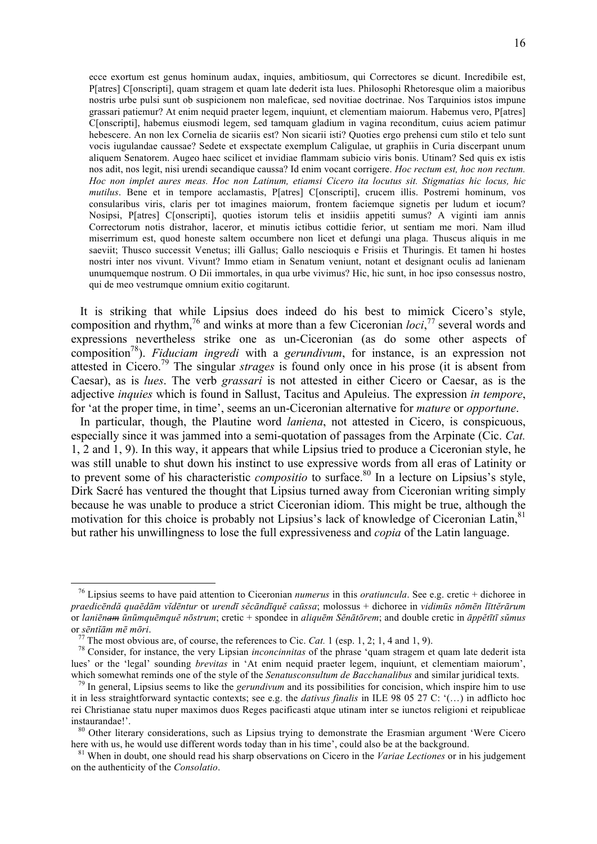ecce exortum est genus hominum audax, inquies, ambitiosum, qui Correctores se dicunt. Incredibile est, P[atres] C[onscripti], quam stragem et quam late dederit ista lues. Philosophi Rhetoresque olim a maioribus nostris urbe pulsi sunt ob suspicionem non maleficae, sed novitiae doctrinae. Nos Tarquinios istos impune grassari patiemur? At enim nequid praeter legem, inquiunt, et clementiam maiorum. Habemus vero, P[atres] C[onscripti], habemus eiusmodi legem, sed tamquam gladium in vagina reconditum, cuius aciem patimur hebescere. An non lex Cornelia de sicariis est? Non sicarii isti? Quoties ergo prehensi cum stilo et telo sunt vocis iugulandae caussae? Sedete et exspectate exemplum Caligulae, ut graphiis in Curia discerpant unum aliquem Senatorem. Augeo haec scilicet et invidiae flammam subicio viris bonis. Utinam? Sed quis ex istis nos adit, nos legit, nisi urendi secandique caussa? Id enim vocant corrigere. *Hoc rectum est, hoc non rectum. Hoc non implet aures meas. Hoc non Latinum, etiamsi Cicero ita locutus sit. Stigmatias hic locus, hic mutilus*. Bene et in tempore acclamastis, P[atres] C[onscripti], crucem illis. Postremi hominum, vos consularibus viris, claris per tot imagines maiorum, frontem faciemque signetis per ludum et iocum? Nosipsi, P[atres] C[onscripti], quoties istorum telis et insidiis appetiti sumus? A viginti iam annis Correctorum notis distrahor, laceror, et minutis ictibus cottidie ferior, ut sentiam me mori. Nam illud miserrimum est, quod honeste saltem occumbere non licet et defungi una plaga. Thuscus aliquis in me saeviit; Thusco successit Venetus; illi Gallus; Gallo nescioquis e Frisiis et Thuringis. Et tamen hi hostes nostri inter nos vivunt. Vivunt? Immo etiam in Senatum veniunt, notant et designant oculis ad lanienam unumquemque nostrum. O Dii immortales, in qua urbe vivimus? Hic, hic sunt, in hoc ipso consessus nostro, qui de meo vestrumque omnium exitio cogitarunt.

It is striking that while Lipsius does indeed do his best to mimick Cicero's style, composition and rhythm,<sup>76</sup> and winks at more than a few Ciceronian *loci*,<sup>77</sup> several words and expressions nevertheless strike one as un-Ciceronian (as do some other aspects of composition78). *Fiduciam ingredi* with a *gerundivum*, for instance, is an expression not attested in Cicero.79 The singular *strages* is found only once in his prose (it is absent from Caesar), as is *lues*. The verb *grassari* is not attested in either Cicero or Caesar, as is the adjective *inquies* which is found in Sallust, Tacitus and Apuleius. The expression *in tempore*, for 'at the proper time, in time', seems an un-Ciceronian alternative for *mature* or *opportune*.

In particular, though, the Plautine word *laniena*, not attested in Cicero, is conspicuous, especially since it was jammed into a semi-quotation of passages from the Arpinate (Cic. *Cat.*  1, 2 and 1, 9). In this way, it appears that while Lipsius tried to produce a Ciceronian style, he was still unable to shut down his instinct to use expressive words from all eras of Latinity or to prevent some of his characteristic *compositio* to surface.<sup>80</sup> In a lecture on Lipsius's style, Dirk Sacré has ventured the thought that Lipsius turned away from Ciceronian writing simply because he was unable to produce a strict Ciceronian idiom. This might be true, although the motivation for this choice is probably not Lipsius's lack of knowledge of Ciceronian Latin, <sup>81</sup> but rather his unwillingness to lose the full expressiveness and *copia* of the Latin language.

 <sup>76</sup> Lipsius seems to have paid attention to Ciceronian *numerus* in this *oratiuncula*. See e.g. cretic + dichoree in praedicēndă quaēdām vidēntur or urendī sĕcāndīquĕ caūssa; molossus + dichoree in vidimūs nōmēn līttěrārum or lanienam ūnūmquemque no strum; cretic + spondee in aliquem Senātorem; and double cretic in appetītī sumus or *sēntiām mē mōri*.<br><sup>77</sup> The most obvious are, of course, the references to Cic. *Cat*. 1 (esp. 1, 2; 1, 4 and 1, 9).<br><sup>78</sup> Consider, for instance, the very Lipsian *inconcinnitas* of the phrase 'quam stragem et quam lat

lues' or the 'legal' sounding *brevitas* in 'At enim nequid praeter legem, inquiunt, et clementiam maiorum', which somewhat reminds one of the style of the *Senatusconsultum de Bacchanalibus* and similar juridical texts.<br><sup>79</sup> In general, Lipsius seems to like the *gerundivum* and its possibilities for concision, which inspire hi

it in less straightforward syntactic contexts; see e.g. the *dativus finalis* in ILE 98 05 27 C: '(…) in adflicto hoc rei Christianae statu nuper maximos duos Reges pacificasti atque utinam inter se iunctos religioni et reipublicae instaurandae!'. 80 Other literary considerations, such as Lipsius trying to demonstrate the Erasmian argument 'Were Cicero

here with us, he would use different words today than in his time', could also be at the background. 81 When in doubt, one should read his sharp observations on Cicero in the *Variae Lectiones* or in his judgement

on the authenticity of the *Consolatio*.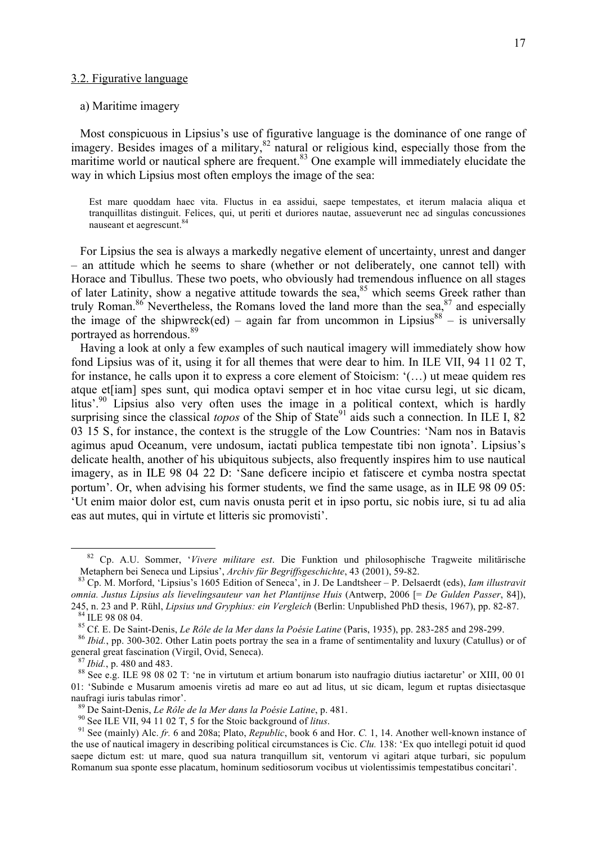### 3.2. Figurative language

# a) Maritime imagery

Most conspicuous in Lipsius's use of figurative language is the dominance of one range of imagery. Besides images of a military,<sup>82</sup> natural or religious kind, especially those from the maritime world or nautical sphere are frequent. $83$  One example will immediately elucidate the way in which Lipsius most often employs the image of the sea:

Est mare quoddam haec vita. Fluctus in ea assidui, saepe tempestates, et iterum malacia aliqua et tranquillitas distinguit. Felices, qui, ut periti et duriores nautae, assueverunt nec ad singulas concussiones nauseant et aegrescunt.<sup>84</sup>

For Lipsius the sea is always a markedly negative element of uncertainty, unrest and danger – an attitude which he seems to share (whether or not deliberately, one cannot tell) with Horace and Tibullus. These two poets, who obviously had tremendous influence on all stages of later Latinity, show a negative attitude towards the sea,<sup>85</sup> which seems Greek rather than truly Roman.<sup>86</sup> Nevertheless, the Romans loved the land more than the sea,  $87$  and especially the image of the shipwreck(ed) – again far from uncommon in Lipsius<sup>88</sup> – is universally portrayed as horrendous.<sup>89</sup>

Having a look at only a few examples of such nautical imagery will immediately show how fond Lipsius was of it, using it for all themes that were dear to him. In ILE VII, 94 11 02 T, for instance, he calls upon it to express a core element of Stoicism: '(…) ut meae quidem res atque et[iam] spes sunt, qui modica optavi semper et in hoc vitae cursu legi, ut sic dicam, litus'.<sup>90</sup> Lipsius also very often uses the image in a political context, which is hardly surprising since the classical *topos* of the Ship of State<sup>91</sup> aids such a connection. In ILE I, 82 03 15 S, for instance, the context is the struggle of the Low Countries: 'Nam nos in Batavis agimus apud Oceanum, vere undosum, iactati publica tempestate tibi non ignota'. Lipsius's delicate health, another of his ubiquitous subjects, also frequently inspires him to use nautical imagery, as in ILE 98 04 22 D: 'Sane deficere incipio et fatiscere et cymba nostra spectat portum'. Or, when advising his former students, we find the same usage, as in ILE 98 09 05: 'Ut enim maior dolor est, cum navis onusta perit et in ipso portu, sic nobis iure, si tu ad alia eas aut mutes, qui in virtute et litteris sic promovisti'.

<sup>&</sup>lt;sup>82</sup> Cp. A.U. Sommer, '*Vivere militare est*. Die Funktion und philosophische Tragweite militärische Metaphern bei Seneca und Lipsius', *Archiv für Begriffsgeschichte*, 43 (2001), 59-82.

<sup>&</sup>lt;sup>83</sup> Cp. M. Morford, 'Lipsius's 1605 Edition of Seneca', in J. De Landtsheer – P. Delsaerdt (eds), *Iam illustravit omnia. Justus Lipsius als lievelingsauteur van het Plantijnse Huis* (Antwerp, 2006 [= *De Gulden Passer*, 84]), 245, n. 23 and P. Rühl, *Lipsius und Gryphius: ein Vergleich* (Berlin: Unpublished PhD thesis, 1967), pp. 82-87. 84 ILE 98 08 04.

<sup>&</sup>lt;sup>85</sup> Cf. E. De Saint-Denis, *Le Rôle de la Mer dans la Poésie Latine* (Paris, 1935), pp. 283-285 and 298-299.<br><sup>86</sup> *Ibid.*, pp. 300-302. Other Latin poets portray the sea in a frame of sentimentality and luxury (Catullus)

<sup>&</sup>lt;sup>87</sup> *Ibid.*, p. 480 and 483. **87** *Simula, A88* See e.g. ILE 98 08 02 T: 'ne in virtutum et artium bonarum isto naufragio diutius iactaretur' or XIII, 00 01 01: 'Subinde e Musarum amoenis viretis ad mare eo aut ad litus, ut sic dicam, legum et ruptas disiectasque

naufragi iuris tabulas rimor'.<br><sup>89</sup> De Saint-Denis, *Le Rôle de la Mer dans la Poésie Latine*, p. 481.<br><sup>90</sup> See ILE VII, 94 11 02 T, 5 for the Stoic background of *litus*.<br><sup>91</sup> See (mainly) Alc. *fr.* 6 and 208a; Plato, the use of nautical imagery in describing political circumstances is Cic. *Clu.* 138: 'Ex quo intellegi potuit id quod saepe dictum est: ut mare, quod sua natura tranquillum sit, ventorum vi agitari atque turbari, sic populum Romanum sua sponte esse placatum, hominum seditiosorum vocibus ut violentissimis tempestatibus concitari'.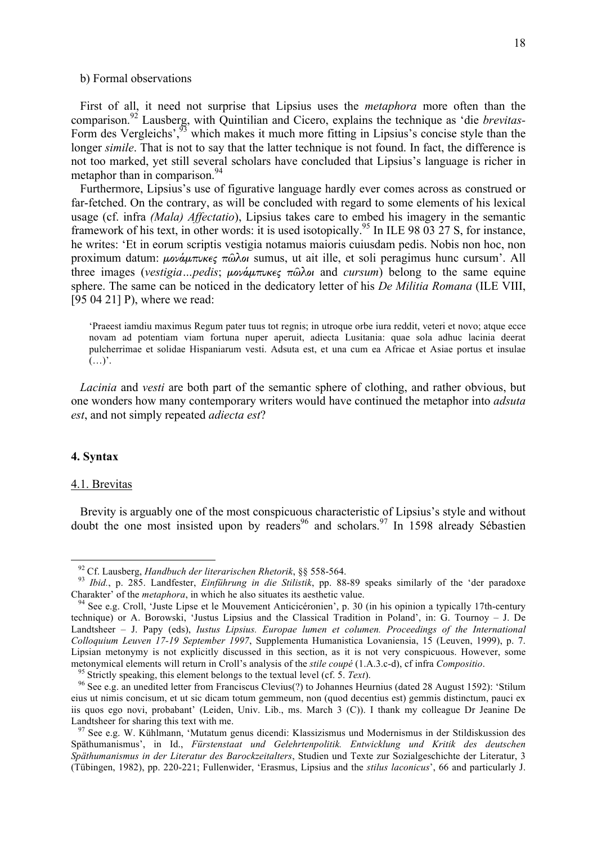b) Formal observations

First of all, it need not surprise that Lipsius uses the *metaphora* more often than the comparison.92 Lausberg, with Quintilian and Cicero, explains the technique as 'die *brevitas-*Form des Vergleichs',  $\frac{93}{3}$  which makes it much more fitting in Lipsius's concise style than the longer *simile*. That is not to say that the latter technique is not found. In fact, the difference is not too marked, yet still several scholars have concluded that Lipsius's language is richer in metaphor than in comparison.<sup>94</sup>

Furthermore, Lipsius's use of figurative language hardly ever comes across as construed or far-fetched. On the contrary, as will be concluded with regard to some elements of his lexical usage (cf. infra *(Mala) Affectatio*), Lipsius takes care to embed his imagery in the semantic framework of his text, in other words: it is used isotopically.<sup>95</sup> In ILE 98 03 27 S, for instance, he writes: 'Et in eorum scriptis vestigia notamus maioris cuiusdam pedis. Nobis non hoc, non proximum datum:  $\mu \nu \alpha \mu \pi \nu \kappa \epsilon \varsigma \pi \omega \lambda \nu$  sumus, ut ait ille, et soli peragimus hunc cursum'. All three images (*vestigia*...*pedis*;  $\mu \omega \omega \mu \pi \nu \kappa \epsilon \tau$   $\widehat{\omega} \lambda \omega$  and *cursum*) belong to the same equine sphere. The same can be noticed in the dedicatory letter of his *De Militia Romana* (ILE VIII, [95 04 21] P), where we read:

'Praeest iamdiu maximus Regum pater tuus tot regnis; in utroque orbe iura reddit, veteri et novo; atque ecce novam ad potentiam viam fortuna nuper aperuit, adiecta Lusitania: quae sola adhuc lacinia deerat pulcherrimae et solidae Hispaniarum vesti. Adsuta est, et una cum ea Africae et Asiae portus et insulae  $(\ldots)'$ .

*Lacinia* and *vesti* are both part of the semantic sphere of clothing, and rather obvious, but one wonders how many contemporary writers would have continued the metaphor into *adsuta est*, and not simply repeated *adiecta est*?

# **4. Syntax**

### 4.1. Brevitas

Brevity is arguably one of the most conspicuous characteristic of Lipsius's style and without doubt the one most insisted upon by readers<sup>96</sup> and scholars.<sup>97</sup> In 1598 already Sébastien

 <sup>92</sup> Cf. Lausberg, *Handbuch der literarischen Rhetorik*, §§ 558-564. <sup>93</sup> *Ibid.*, p. 285. Landfester, *Einführung in die Stilistik*, pp. 88-89 speaks similarly of the 'der paradoxe Charakter' of the *metaphora*, in which he also situates its aesthetic value.<br><sup>94</sup> See e.g. Croll, 'Juste Lipse et le Mouvement Anticicéronien', p. 30 (in his opinion a typically 17th-century

technique) or A. Borowski, 'Justus Lipsius and the Classical Tradition in Poland', in: G. Tournoy – J. De Landtsheer – J. Papy (eds), *Iustus Lipsius. Europae lumen et columen. Proceedings of the International Colloquium Leuven 17-19 September 1997*, Supplementa Humanistica Lovaniensia, 15 (Leuven, 1999), p. 7. Lipsian metonymy is not explicitly discussed in this section, as it is not very conspicuous. However, some metonymical elements will return in Croll's analysis of the *stile coupé* (1.A.3.c-d), cf infra Compositio.<br><sup>95</sup> Strictly speaking, this element belongs to the textual level (cf. 5. Text).<br><sup>96</sup> See e.g. an unedited letter

eius ut nimis concisum, et ut sic dicam totum gemmeum, non (quod decentius est) gemmis distinctum, pauci ex iis quos ego novi, probabant' (Leiden, Univ. Lib., ms. March 3 (C)). I thank my colleague Dr Jeanine De

 $197$  See e.g. W. Kühlmann, 'Mutatum genus dicendi: Klassizismus und Modernismus in der Stildiskussion des Späthumanismus', in Id., *Fürstenstaat und Gelehrtenpolitik. Entwicklung und Kritik des deutschen Späthumanismus in der Literatur des Barockzeitalters*, Studien und Texte zur Sozialgeschichte der Literatur, 3 (Tübingen, 1982), pp. 220-221; Fullenwider, 'Erasmus, Lipsius and the *stilus laconicus*', 66 and particularly J.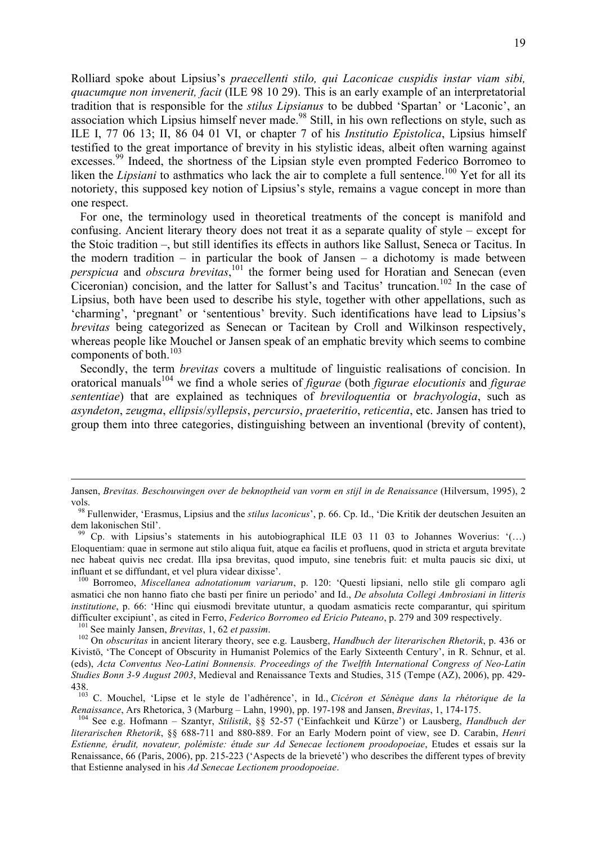Rolliard spoke about Lipsius's *praecellenti stilo, qui Laconicae cuspidis instar viam sibi, quacumque non invenerit, facit* (ILE 98 10 29). This is an early example of an interpretatorial tradition that is responsible for the *stilus Lipsianus* to be dubbed 'Spartan' or 'Laconic', an  $\frac{1}{2}$  association which Lipsius himself never made.<sup>98</sup> Still, in his own reflections on style, such as ILE I, 77 06 13; II, 86 04 01 VI, or chapter 7 of his *Institutio Epistolica*, Lipsius himself testified to the great importance of brevity in his stylistic ideas, albeit often warning against excesses.<sup>99</sup> Indeed, the shortness of the Lipsian style even prompted Federico Borromeo to liken the *Lipsiani* to asthmatics who lack the air to complete a full sentence.<sup>100</sup> Yet for all its notoriety, this supposed key notion of Lipsius's style, remains a vague concept in more than one respect.

For one, the terminology used in theoretical treatments of the concept is manifold and confusing. Ancient literary theory does not treat it as a separate quality of style – except for the Stoic tradition –, but still identifies its effects in authors like Sallust, Seneca or Tacitus. In the modern tradition – in particular the book of Jansen – a dichotomy is made between *perspicua* and *obscura brevitas*, 101 the former being used for Horatian and Senecan (even Ciceronian) concision, and the latter for Sallust's and Tacitus' truncation.102 In the case of Lipsius, both have been used to describe his style, together with other appellations, such as 'charming', 'pregnant' or 'sententious' brevity. Such identifications have lead to Lipsius's *brevitas* being categorized as Senecan or Tacitean by Croll and Wilkinson respectively, whereas people like Mouchel or Jansen speak of an emphatic brevity which seems to combine components of both. $103$ 

Secondly, the term *brevitas* covers a multitude of linguistic realisations of concision. In oratorical manuals<sup>104</sup> we find a whole series of *figurae* (both *figurae elocutionis* and *figurae sententiae*) that are explained as techniques of *breviloquentia* or *brachyologia*, such as *asyndeton*, *zeugma*, *ellipsis*/*syllepsis*, *percursio*, *praeteritio*, *reticentia*, etc. Jansen has tried to group them into three categories, distinguishing between an inventional (brevity of content),

Jansen, *Brevitas. Beschouwingen over de beknoptheid van vorm en stijl in de Renaissance* (Hilversum, 1995), 2 vols. 98 Fullenwider, 'Erasmus, Lipsius and the *stilus laconicus*', p. 66. Cp. Id., 'Die Kritik der deutschen Jesuiten an

dem lakonischen Stil'.<br><sup>99</sup> Cp. with Lipsius's statements in his autobiographical ILE 03 11 03 to Johannes Woverius: '(...)

Eloquentiam: quae in sermone aut stilo aliqua fuit, atque ea facilis et profluens, quod in stricta et arguta brevitate nec habeat quivis nec credat. Illa ipsa brevitas, quod imputo, sine tenebris fuit: et multa paucis sic dixi, ut influant et se diffundant, et vel plura videar dixisse'. 100 Borromeo, *Miscellanea adnotationum variarum*, p. 120: 'Questi lipsiani, nello stile gli comparo agli

asmatici che non hanno fiato che basti per finire un periodo' and Id., *De absoluta Collegi Ambrosiani in litteris institutione*, p. 66: 'Hinc qui eiusmodi brevitate utuntur, a quodam asmaticis recte comparantur, qui spiritum difficulter excipiunt', as cited in Ferro, *Federico Borromeo ed Ericio Puteano*, p. 279 and 309 respectively.<br><sup>101</sup> See mainly Jansen, *Brevitas*, 1, 62 *et passim*.<br><sup>102</sup> On *obscuritas* in ancient literary theory, see

Kivistö, 'The Concept of Obscurity in Humanist Polemics of the Early Sixteenth Century', in R. Schnur, et al. (eds), *Acta Conventus Neo-Latini Bonnensis. Proceedings of the Twelfth International Congress of Neo-Latin Studies Bonn 3-9 August 2003*, Medieval and Renaissance Texts and Studies, 315 (Tempe (AZ), 2006), pp. 429-

<sup>438.&</sup>lt;br><sup>103</sup> C. Mouchel, 'Lipse et le style de l'adhérence', in Id., *Cicéron et Sénèque dans la rhétorique de la Renaissance*, Ars Rhetorica, 3 (Marburg – Lahn, 1990), pp. 197-198 and Jansen, *Brevitas*, 1, 174-175.

<sup>&</sup>lt;sup>104</sup> See e.g. Hofmann – Szantyr, *Stilistik*, §§ 52-57 ('Einfachkeit und Kürze') or Lausberg, *Handbuch der literarischen Rhetorik*, §§ 688-711 and 880-889. For an Early Modern point of view, see D. Carabin, *Henri Estienne, érudit, novateur, polémiste: étude sur Ad Senecae lectionem proodopoeiae*, Etudes et essais sur la Renaissance, 66 (Paris, 2006), pp. 215-223 ('Aspects de la brieveté') who describes the different types of brevity that Estienne analysed in his *Ad Senecae Lectionem proodopoeiae*.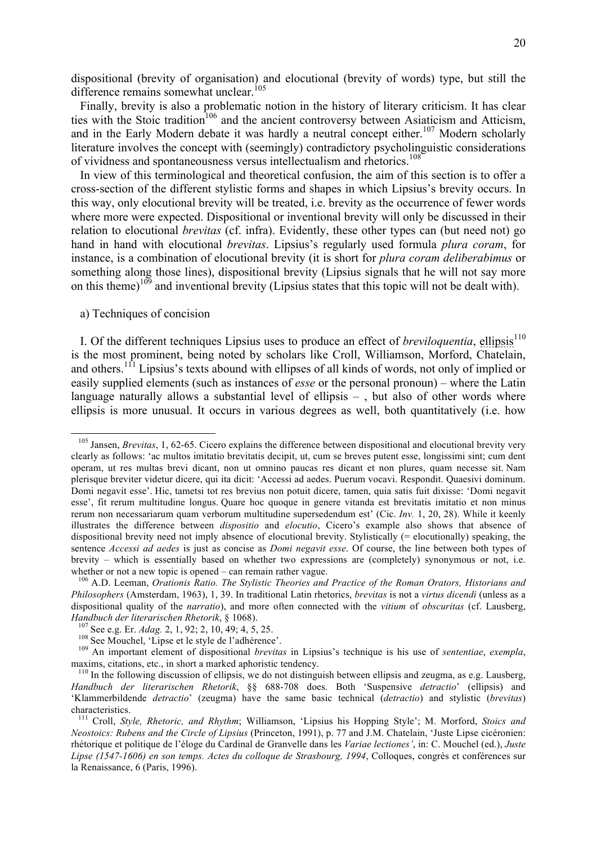dispositional (brevity of organisation) and elocutional (brevity of words) type, but still the difference remains somewhat unclear.<sup>105</sup>

Finally, brevity is also a problematic notion in the history of literary criticism. It has clear ties with the Stoic tradition<sup>106</sup> and the ancient controversy between Asiaticism and Atticism, and in the Early Modern debate it was hardly a neutral concept either.<sup>107</sup> Modern scholarly literature involves the concept with (seemingly) contradictory psycholinguistic considerations of vividness and spontaneousness versus intellectualism and rhetorics.<sup>108</sup>

In view of this terminological and theoretical confusion, the aim of this section is to offer a cross-section of the different stylistic forms and shapes in which Lipsius's brevity occurs. In this way, only elocutional brevity will be treated, i.e. brevity as the occurrence of fewer words where more were expected. Dispositional or inventional brevity will only be discussed in their relation to elocutional *brevitas* (cf. infra). Evidently, these other types can (but need not) go hand in hand with elocutional *brevitas*. Lipsius's regularly used formula *plura coram*, for instance, is a combination of elocutional brevity (it is short for *plura coram deliberabimus* or something along those lines), dispositional brevity (Lipsius signals that he will not say more on this theme)<sup>109</sup> and inventional brevity (Lipsius states that this topic will not be dealt with).

### a) Techniques of concision

I. Of the different techniques Lipsius uses to produce an effect of *breviloquentia*, ellipsis<sup>110</sup> is the most prominent, being noted by scholars like Croll, Williamson, Morford, Chatelain, and others.<sup>111</sup> Lipsius's texts abound with ellipses of all kinds of words, not only of implied or easily supplied elements (such as instances of *esse* or the personal pronoun) – where the Latin language naturally allows a substantial level of ellipsis –, but also of other words where ellipsis is more unusual. It occurs in various degrees as well, both quantitatively (i.e. how

<sup>&</sup>lt;sup>105</sup> Jansen, *Brevitas*, 1, 62-65. Cicero explains the difference between dispositional and elocutional brevity very clearly as follows: 'ac multos imitatio brevitatis decipit, ut, cum se breves putent esse, longissimi sint; cum dent operam, ut res multas brevi dicant, non ut omnino paucas res dicant et non plures, quam necesse sit. Nam plerisque breviter videtur dicere, qui ita dicit: 'Accessi ad aedes. Puerum vocavi. Respondit. Quaesivi dominum. Domi negavit esse'. Hic, tametsi tot res brevius non potuit dicere, tamen, quia satis fuit dixisse: 'Domi negavit esse', fit rerum multitudine longus. Quare hoc quoque in genere vitanda est brevitatis imitatio et non minus rerum non necessariarum quam verborum multitudine supersedendum est' (Cic. *Inv.* 1, 20, 28). While it keenly illustrates the difference between *dispositio* and *elocutio*, Cicero's example also shows that absence of dispositional brevity need not imply absence of elocutional brevity. Stylistically (= elocutionally) speaking, the sentence *Accessi ad aedes* is just as concise as *Domi negavit esse*. Of course, the line between both types of brevity – which is essentially based on whether two expressions are (completely) synonymous or not, i.e. whether or not a new topic is opened – can remain rather vague.<br><sup>106</sup> A.D. Leeman, *Orationis Ratio. The Stylistic Theories and Practice of the Roman Orators, Historians and* 

*Philosophers* (Amsterdam, 1963), 1, 39. In traditional Latin rhetorics, *brevitas* is not a *virtus dicendi* (unless as a dispositional quality of the *narratio*), and more often connected with the *vitium* of *obscuritas* (cf. Lausberg, Handbuch der literarischen Rhetorik, § 1068).<br><sup>107</sup> See e.g. Er. *Adag*. 2, 1, 92; 2, 10, 49; 4, 5, 25.<br><sup>108</sup> See Mouchel, 'Lipse et le style de l'adhérence'.<br><sup>109</sup> An important element of dispositional *brevitas* in Lips

maxims, citations, etc., in short a marked aphoristic tendency.<br><sup>110</sup> In the following discussion of ellipsis, we do not distinguish between ellipsis and zeugma, as e.g. Lausberg,

*Handbuch der literarischen Rhetorik*, §§ 688-708 does. Both 'Suspensive *detractio*' (ellipsis) and 'Klammerbildende *detractio*' (zeugma) have the same basic technical (*detractio*) and stylistic (*brevitas*) characteristics. 111 Croll, *Style, Rhetoric, and Rhythm*; Williamson, 'Lipsius his Hopping Style'; M. Morford, *Stoics and* 

*Neostoics: Rubens and the Circle of Lipsius* (Princeton, 1991), p. 77 and J.M. Chatelain, 'Juste Lipse cicéronien: rhétorique et politique de l'éloge du Cardinal de Granvelle dans les *Variae lectiones'*, in: C. Mouchel (ed.), *Juste Lipse (1547-1606) en son temps. Actes du colloque de Strasbourg, 1994*, Colloques, congrès et conférences sur la Renaissance, 6 (Paris, 1996).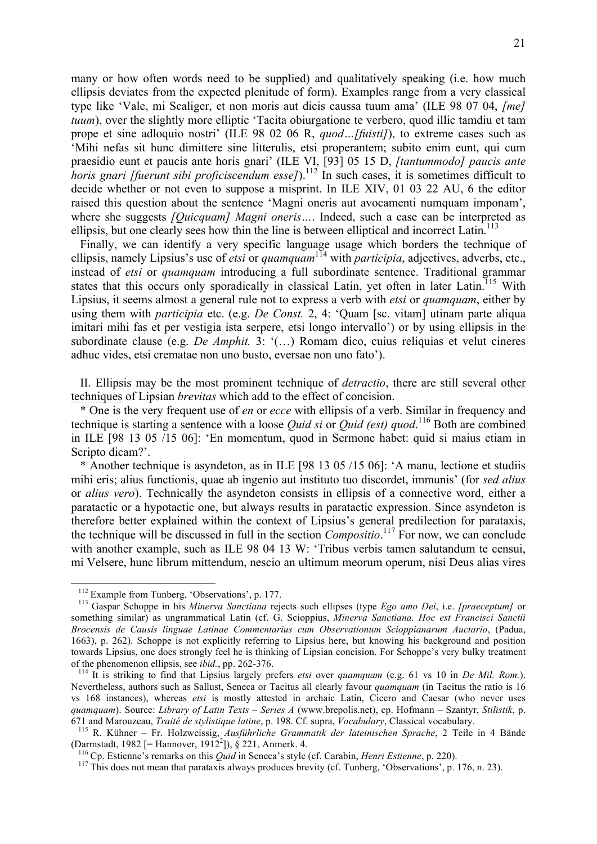many or how often words need to be supplied) and qualitatively speaking (i.e. how much ellipsis deviates from the expected plenitude of form). Examples range from a very classical type like 'Vale, mi Scaliger, et non moris aut dicis caussa tuum ama' (ILE 98 07 04, *[me] tuum*), over the slightly more elliptic 'Tacita obiurgatione te verbero, quod illic tamdiu et tam prope et sine adloquio nostri' (ILE 98 02 06 R, *quod…[fuisti]*), to extreme cases such as 'Mihi nefas sit hunc dimittere sine litterulis, etsi properantem; subito enim eunt, qui cum praesidio eunt et paucis ante horis gnari' (ILE VI, [93] 05 15 D, *[tantummodo] paucis ante horis gnari [fuerunt sibi proficiscendum esse]*).<sup>112</sup> In such cases, it is sometimes difficult to decide whether or not even to suppose a misprint. In ILE XIV, 01 03 22 AU, 6 the editor raised this question about the sentence 'Magni oneris aut avocamenti numquam imponam', where she suggests *[Quicquam] Magni oneris…*. Indeed, such a case can be interpreted as ellipsis, but one clearly sees how thin the line is between elliptical and incorrect Latin.<sup>113</sup>

Finally, we can identify a very specific language usage which borders the technique of ellipsis, namely Lipsius's use of *etsi* or *quamquam* <sup>114</sup> with *participia*, adjectives, adverbs, etc., instead of *etsi* or *quamquam* introducing a full subordinate sentence. Traditional grammar states that this occurs only sporadically in classical Latin, yet often in later Latin.<sup>115</sup> With Lipsius, it seems almost a general rule not to express a verb with *etsi* or *quamquam*, either by using them with *participia* etc. (e.g. *De Const.* 2, 4: 'Quam [sc. vitam] utinam parte aliqua imitari mihi fas et per vestigia ista serpere, etsi longo intervallo') or by using ellipsis in the subordinate clause (e.g. *De Amphit.* 3: '(…) Romam dico, cuius reliquias et velut cineres adhuc vides, etsi crematae non uno busto, eversae non uno fato').

II. Ellipsis may be the most prominent technique of *detractio*, there are still several other techniques of Lipsian *brevitas* which add to the effect of concision.

\* One is the very frequent use of *en* or *ecce* with ellipsis of a verb. Similar in frequency and technique is starting a sentence with a loose *Quid si* or *Quid (est) quod*. 116 Both are combined in ILE [98 13 05 /15 06]: 'En momentum, quod in Sermone habet: quid si maius etiam in Scripto dicam?'.

\* Another technique is asyndeton, as in ILE [98 13 05 /15 06]: 'A manu, lectione et studiis mihi eris; alius functionis, quae ab ingenio aut instituto tuo discordet, immunis' (for *sed alius* or *alius vero*). Technically the asyndeton consists in ellipsis of a connective word, either a paratactic or a hypotactic one, but always results in paratactic expression. Since asyndeton is therefore better explained within the context of Lipsius's general predilection for parataxis, the technique will be discussed in full in the section *Compositio*. 117 For now, we can conclude with another example, such as ILE 98 04 13 W: 'Tribus verbis tamen salutandum te censui. mi Velsere, hunc librum mittendum, nescio an ultimum meorum operum, nisi Deus alias vires

<sup>&</sup>lt;sup>112</sup> Example from Tunberg, 'Observations', p. 177.<br><sup>113</sup> Gaspar Schoppe in his *Minerva Sanctiana* rejects such ellipses (type *Ego amo Dei*, i.e. *[praeceptum]* or something similar) as ungrammatical Latin (cf. G. Scioppius, *Minerva Sanctiana. Hoc est Francisci Sanctii Brocensis de Causis linguae Latinae Commentarius cum Observationum Scioppianarum Auctario*, (Padua, 1663), p. 262). Schoppe is not explicitly referring to Lipsius here, but knowing his background and position towards Lipsius, one does strongly feel he is thinking of Lipsian concision. For Schoppe's very bulky treatment of the phenomenon ellipsis, see *ibid.*, pp. 262-376. 114 It is striking to find that Lipsius largely prefers *etsi* over *quamquam* (e.g. 61 vs 10 in *De Mil. Rom.*).

Nevertheless, authors such as Sallust, Seneca or Tacitus all clearly favour *quamquam* (in Tacitus the ratio is 16 vs 168 instances), whereas *etsi* is mostly attested in archaic Latin, Cicero and Caesar (who never uses *quamquam*). Source: *Library of Latin Texts – Series A* (www.brepolis.net), cp. Hofmann – Szantyr, *Stilistik*, p.

<sup>&</sup>lt;sup>115</sup> R. Kühner – Fr. Holzweissig, *Ausführliche Grammatik der lateinischen Sprache*, 2 Teile in 4 Bände (Darmstadt, 1982 [= Hannover, 1912<sup>2</sup>]), § 221, Anmerk. 4.

<sup>&</sup>lt;sup>116</sup> Cp. Estienne's remarks on this *Quid* in Seneca's style (cf. Carabin, *Henri Estienne*, p. 220).<br><sup>117</sup> This does not mean that parataxis always produces brevity (cf. Tunberg, 'Observations', p. 176, n. 23).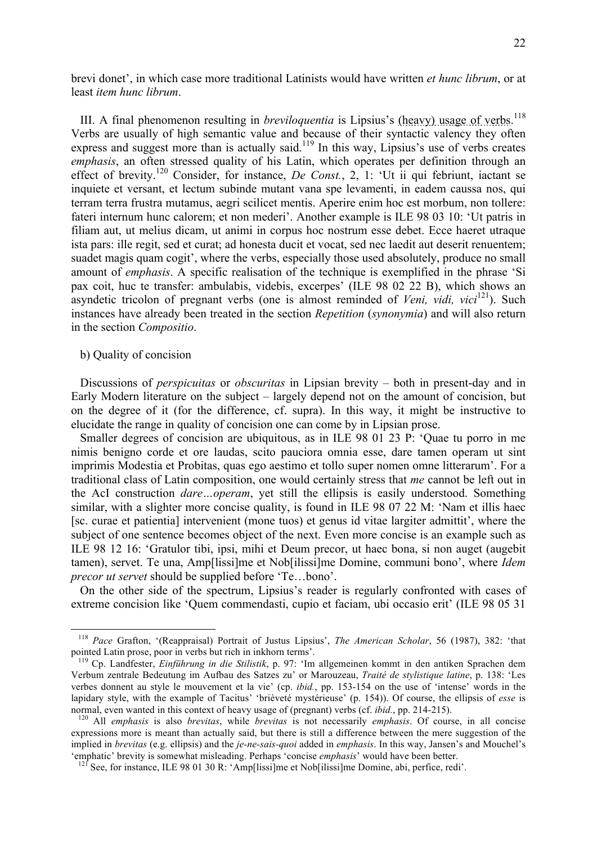brevi donet', in which case more traditional Latinists would have written *et hunc librum*, or at least *item hunc librum*.

III. A final phenomenon resulting in *breviloquentia* is Lipsius's (heavy) usage of verbs.<sup>118</sup> Verbs are usually of high semantic value and because of their syntactic valency they often express and suggest more than is actually said.<sup>119</sup> In this way, Lipsius's use of verbs creates *emphasis*, an often stressed quality of his Latin, which operates per definition through an effect of brevity.120 Consider, for instance, *De Const.*, 2, 1: 'Ut ii qui febriunt, iactant se inquiete et versant, et lectum subinde mutant vana spe levamenti, in eadem caussa nos, qui terram terra frustra mutamus, aegri scilicet mentis. Aperire enim hoc est morbum, non tollere: fateri internum hunc calorem; et non mederi'. Another example is ILE 98 03 10: 'Ut patris in filiam aut, ut melius dicam, ut animi in corpus hoc nostrum esse debet. Ecce haeret utraque ista pars: ille regit, sed et curat; ad honesta ducit et vocat, sed nec laedit aut deserit renuentem; suadet magis quam cogit', where the verbs, especially those used absolutely, produce no small amount of *emphasis*. A specific realisation of the technique is exemplified in the phrase 'Si pax coit, huc te transfer: ambulabis, videbis, excerpes' (ILE 98 02 22 B), which shows an asyndetic tricolon of pregnant verbs (one is almost reminded of *Veni, vidi, vici*<sup>121</sup>). Such instances have already been treated in the section *Repetition* (*synonymia*) and will also return in the section *Compositio*.

# b) Quality of concision

Discussions of *perspicuitas* or *obscuritas* in Lipsian brevity – both in present-day and in Early Modern literature on the subject – largely depend not on the amount of concision, but on the degree of it (for the difference, cf. supra). In this way, it might be instructive to elucidate the range in quality of concision one can come by in Lipsian prose.

Smaller degrees of concision are ubiquitous, as in ILE 98 01 23 P: 'Quae tu porro in me nimis benigno corde et ore laudas, scito pauciora omnia esse, dare tamen operam ut sint imprimis Modestia et Probitas, quas ego aestimo et tollo super nomen omne litterarum'. For a traditional class of Latin composition, one would certainly stress that *me* cannot be left out in the AcI construction *dare…operam*, yet still the ellipsis is easily understood. Something similar, with a slighter more concise quality, is found in ILE 98 07 22 M: 'Nam et illis haec [sc. curae et patientia] intervenient (mone tuos) et genus id vitae largiter admittit', where the subject of one sentence becomes object of the next. Even more concise is an example such as ILE 98 12 16: 'Gratulor tibi, ipsi, mihi et Deum precor, ut haec bona, si non auget (augebit tamen), servet. Te una, Amp[lissi]me et Nob[ilissi]me Domine, communi bono', where *Idem precor ut servet* should be supplied before 'Te…bono'.

On the other side of the spectrum, Lipsius's reader is regularly confronted with cases of extreme concision like 'Quem commendasti, cupio et faciam, ubi occasio erit' (ILE 98 05 31

 <sup>118</sup> *Pace* Grafton, '(Reappraisal) Portrait of Justus Lipsius', *The American Scholar*, 56 (1987), 382: 'that pointed Latin prose, poor in verbs but rich in inkhorn terms'. 119 Cp. Landfester, *Einführung in die Stilistik*, p. 97: 'Im allgemeinen kommt in den antiken Sprachen dem

Verbum zentrale Bedeutung im Aufbau des Satzes zu' or Marouzeau, *Traité de stylistique latine*, p. 138: 'Les verbes donnent au style le mouvement et la vie' (cp. *ibid.*, pp. 153-154 on the use of 'intense' words in the lapidary style, with the example of Tacitus' 'brièveté mystérieuse' (p. 154)). Of course, the ellipsis of *esse* is normal, even wanted in this context of heavy usage of (pregnant) verbs (cf. *ibid.*, pp. 214-215).<br><sup>120</sup> All *emphasis* is also *brevitas*, while *brevitas* is not necessarily *emphasis*. Of course, in all concise

expressions more is meant than actually said, but there is still a difference between the mere suggestion of the implied in *brevitas* (e.g. ellipsis) and the *je-ne-sais-quoi* added in *emphasis*. In this way, Jansen's and Mouchel's 'emphatic' brevity is somewhat misleading. Perhaps 'concise *emphasis'* would have been better.<br><sup>121</sup> See, for instance, ILE 98 01 30 R: 'Amp[lissi]me et Nob[ilissi]me Domine, abi, perfice, redi'.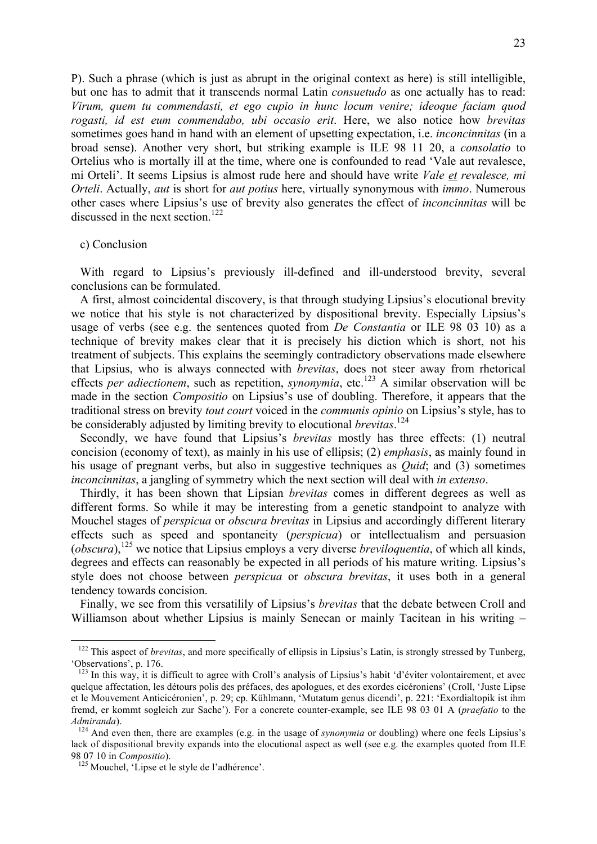P). Such a phrase (which is just as abrupt in the original context as here) is still intelligible, but one has to admit that it transcends normal Latin *consuetudo* as one actually has to read: *Virum, quem tu commendasti, et ego cupio in hunc locum venire; ideoque faciam quod rogasti, id est eum commendabo, ubi occasio erit*. Here, we also notice how *brevitas*  sometimes goes hand in hand with an element of upsetting expectation, i.e. *inconcinnitas* (in a broad sense). Another very short, but striking example is ILE 98 11 20, a *consolatio* to Ortelius who is mortally ill at the time, where one is confounded to read 'Vale aut revalesce, mi Orteli'. It seems Lipsius is almost rude here and should have write *Vale et revalesce, mi Orteli*. Actually, *aut* is short for *aut potius* here, virtually synonymous with *immo*. Numerous other cases where Lipsius's use of brevity also generates the effect of *inconcinnitas* will be discussed in the next section  $122$ 

### c) Conclusion

With regard to Lipsius's previously ill-defined and ill-understood brevity, several conclusions can be formulated.

A first, almost coincidental discovery, is that through studying Lipsius's elocutional brevity we notice that his style is not characterized by dispositional brevity. Especially Lipsius's usage of verbs (see e.g. the sentences quoted from *De Constantia* or ILE 98 03 10) as a technique of brevity makes clear that it is precisely his diction which is short, not his treatment of subjects. This explains the seemingly contradictory observations made elsewhere that Lipsius, who is always connected with *brevitas*, does not steer away from rhetorical effects *per adiectionem*, such as repetition, *synonymia*, etc.<sup>123</sup> A similar observation will be made in the section *Compositio* on Lipsius's use of doubling. Therefore, it appears that the traditional stress on brevity *tout court* voiced in the *communis opinio* on Lipsius's style, has to be considerably adjusted by limiting brevity to elocutional *brevitas*. 124

Secondly, we have found that Lipsius's *brevitas* mostly has three effects: (1) neutral concision (economy of text), as mainly in his use of ellipsis; (2) *emphasis*, as mainly found in his usage of pregnant verbs, but also in suggestive techniques as *Quid*; and (3) sometimes *inconcinnitas*, a jangling of symmetry which the next section will deal with *in extenso*.

Thirdly, it has been shown that Lipsian *brevitas* comes in different degrees as well as different forms. So while it may be interesting from a genetic standpoint to analyze with Mouchel stages of *perspicua* or *obscura brevitas* in Lipsius and accordingly different literary effects such as speed and spontaneity (*perspicua*) or intellectualism and persuasion (*obscura*),125 we notice that Lipsius employs a very diverse *breviloquentia*, of which all kinds, degrees and effects can reasonably be expected in all periods of his mature writing. Lipsius's style does not choose between *perspicua* or *obscura brevitas*, it uses both in a general tendency towards concision.

Finally, we see from this versatilily of Lipsius's *brevitas* that the debate between Croll and Williamson about whether Lipsius is mainly Senecan or mainly Tacitean in his writing –

<sup>&</sup>lt;sup>122</sup> This aspect of *brevitas*, and more specifically of ellipsis in Lipsius's Latin, is strongly stressed by Tunberg, 'Observations', p. 176.

 $^{123}$  In this way, it is difficult to agree with Croll's analysis of Lipsius's habit 'd'éviter volontairement, et avec quelque affectation, les détours polis des préfaces, des apologues, et des exordes cicéroniens' (Croll, 'Juste Lipse et le Mouvement Anticicéronien', p. 29; cp. Kühlmann, 'Mutatum genus dicendi', p. 221: 'Exordialtopik ist ihm fremd, er kommt sogleich zur Sache'). For a concrete counter-example, see ILE 98 03 01 A (*praefatio* to the *Admiranda*). 124 And even then, there are examples (e.g. in the usage of *synonymia* or doubling) where one feels Lipsius's

lack of dispositional brevity expands into the elocutional aspect as well (see e.g. the examples quoted from ILE 98 07 10 in *Compositio*). 125 Mouchel, 'Lipse et le style de l'adhérence'.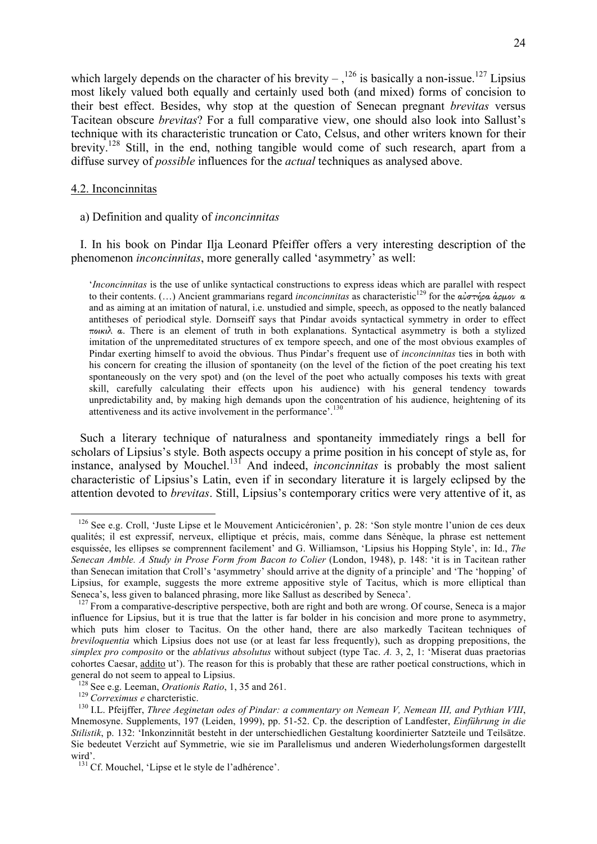which largely depends on the character of his brevity –  $^{126}$  is basically a non-issue.<sup>127</sup> Lipsius most likely valued both equally and certainly used both (and mixed) forms of concision to their best effect. Besides, why stop at the question of Senecan pregnant *brevitas* versus Tacitean obscure *brevitas*? For a full comparative view, one should also look into Sallust's technique with its characteristic truncation or Cato, Celsus, and other writers known for their brevity.<sup>128</sup> Still, in the end, nothing tangible would come of such research, apart from a diffuse survey of *possible* influences for the *actual* techniques as analysed above.

# 4.2. Inconcinnitas

# a) Definition and quality of *inconcinnitas*

I. In his book on Pindar Ilja Leonard Pfeiffer offers a very interesting description of the phenomenon *inconcinnitas*, more generally called 'asymmetry' as well:

'*Inconcinnitas* is the use of unlike syntactical constructions to express ideas which are parallel with respect to their contents. (...) Ancient grammarians regard *inconcinnitas* as characteristic<sup>129</sup> for the  $a\dot{v}\sigma\dot{\tau}$  *is a*  $\dot{a}$   $a\dot{\rho}$  *a* and as aiming at an imitation of natural, i.e. unstudied and simple, speech, as opposed to the neatly balanced antitheses of periodical style. Dornseiff says that Pindar avoids syntactical symmetry in order to effect  $\pi$ oiki $\lambda$  a. There is an element of truth in both explanations. Syntactical asymmetry is both a stylized imitation of the unpremeditated structures of ex tempore speech, and one of the most obvious examples of Pindar exerting himself to avoid the obvious. Thus Pindar's frequent use of *inconcinnitas* ties in both with his concern for creating the illusion of spontaneity (on the level of the fiction of the poet creating his text spontaneously on the very spot) and (on the level of the poet who actually composes his texts with great skill, carefully calculating their effects upon his audience) with his general tendency towards unpredictability and, by making high demands upon the concentration of his audience, heightening of its attentiveness and its active involvement in the performance'.<sup>130</sup>

Such a literary technique of naturalness and spontaneity immediately rings a bell for scholars of Lipsius's style. Both aspects occupy a prime position in his concept of style as, for instance, analysed by Mouchel.131 And indeed, *inconcinnitas* is probably the most salient characteristic of Lipsius's Latin, even if in secondary literature it is largely eclipsed by the attention devoted to *brevitas*. Still, Lipsius's contemporary critics were very attentive of it, as

 <sup>126</sup> See e.g. Croll, 'Juste Lipse et le Mouvement Anticicéronien', p. 28: 'Son style montre l'union de ces deux qualités; il est expressif, nerveux, elliptique et précis, mais, comme dans Sénèque, la phrase est nettement esquissée, les ellipses se comprennent facilement' and G. Williamson, 'Lipsius his Hopping Style', in: Id., *The Senecan Amble. A Study in Prose Form from Bacon to Colier* (London, 1948), p. 148: 'it is in Tacitean rather than Senecan imitation that Croll's 'asymmetry' should arrive at the dignity of a principle' and 'The 'hopping' of Lipsius, for example, suggests the more extreme appositive style of Tacitus, which is more elliptical than Seneca's, less given to balanced phrasing, more like Sallust as described by Seneca'.<br><sup>127</sup> From a comparative-descriptive perspective, both are right and both are wrong. Of course, Seneca is a major

influence for Lipsius, but it is true that the latter is far bolder in his concision and more prone to asymmetry, which puts him closer to Tacitus. On the other hand, there are also markedly Tacitean techniques of *breviloquentia* which Lipsius does not use (or at least far less frequently), such as dropping prepositions, the *simplex pro composito* or the *ablativus absolutus* without subject (type Tac. *A.* 3, 2, 1: 'Miserat duas praetorias cohortes Caesar, addito ut'). The reason for this is probably that these are rather poetical constructions, which in general do not seem to appeal to Lipsius.<br>
<sup>128</sup> See e.g. Leeman, *Orationis Ratio*, 1, 35 and 261.<br>
<sup>129</sup> Correximus e charcteristic.<br>
<sup>130</sup> I.L. Pfeijffer, *Three Aeginetan odes of Pindar: a commentary on Nemean V, Neme* 

Mnemosyne. Supplements, 197 (Leiden, 1999), pp. 51-52. Cp. the description of Landfester, *Einführung in die Stilistik*, p. 132: 'Inkonzinnität besteht in der unterschiedlichen Gestaltung koordinierter Satzteile und Teilsätze. Sie bedeutet Verzicht auf Symmetrie, wie sie im Parallelismus und anderen Wiederholungsformen dargestellt wird'.<br><sup>131</sup> Cf. Mouchel, 'Lipse et le style de l'adhérence'.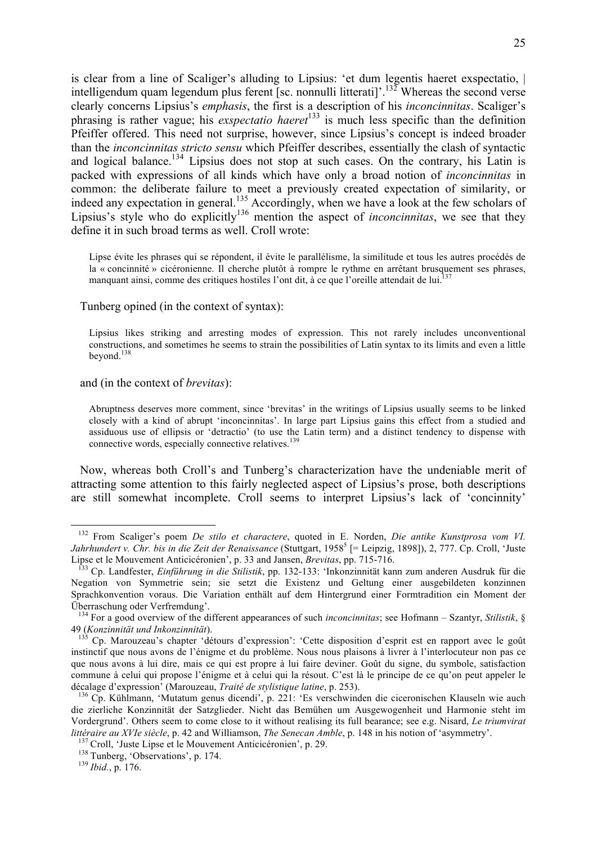is clear from a line of Scaliger's alluding to Lipsius: 'et dum legentis haeret exspectatio, | intelligendum quam legendum plus ferent [sc. nonnulli litterati]'.<sup>132</sup> Whereas the second verse clearly concerns Lipsius's *emphasis*, the first is a description of his *inconcinnitas*. Scaliger's phrasing is rather vague; his *exspectatio haeret*133 is much less specific than the definition Pfeiffer offered. This need not surprise, however, since Lipsius's concept is indeed broader than the *inconcinnitas stricto sensu* which Pfeiffer describes, essentially the clash of syntactic and logical balance.<sup>134</sup> Lipsius does not stop at such cases. On the contrary, his Latin is packed with expressions of all kinds which have only a broad notion of *inconcinnitas* in common: the deliberate failure to meet a previously created expectation of similarity, or indeed any expectation in general.<sup>135</sup> Accordingly, when we have a look at the few scholars of Lipsius's style who do explicitly<sup>136</sup> mention the aspect of *inconcinnitas*, we see that they define it in such broad terms as well. Croll wrote:

Lipse évite les phrases qui se répondent, il évite le parallélisme, la similitude et tous les autres procédés de la « concinnité » cicéronienne. Il cherche plutôt à rompre le rythme en arrêtant brusquement ses phrases, manquant ainsi, comme des critiques hostiles l'ont dit, à ce que l'oreille attendait de lui.<sup>137</sup>

Tunberg opined (in the context of syntax):

Lipsius likes striking and arresting modes of expression. This not rarely includes unconventional constructions, and sometimes he seems to strain the possibilities of Latin syntax to its limits and even a little beyond.<sup>138</sup>

#### and (in the context of *brevitas*):

Abruptness deserves more comment, since 'brevitas' in the writings of Lipsius usually seems to be linked closely with a kind of abrupt 'inconcinnitas'. In large part Lipsius gains this effect from a studied and assiduous use of ellipsis or 'detractio' (to use the Latin term) and a distinct tendency to dispense with connective words, especially connective relatives.<sup>139</sup>

Now, whereas both Croll's and Tunberg's characterization have the undeniable merit of attracting some attention to this fairly neglected aspect of Lipsius's prose, both descriptions are still somewhat incomplete. Croll seems to interpret Lipsius's lack of 'concinnity'

 <sup>132</sup> From Scaliger's poem *De stilo et charactere*, quoted in E. Norden, *Die antike Kunstprosa vom VI.*  Jahrhundert v. Chr. bis in die Zeit der Renaissance (Stuttgart, 1958<sup>5</sup> [= Leipzig, 1898]), 2, 777. Cp. Croll, 'Juste Lipse et le Mouvement Anticicéronien', p. 33 and Jansen, *Brevitas*, pp. 715-716. 133 Cp. Landfester, *Einführung in die Stilistik*, pp. 132-133: 'Inkonzinnität kann zum anderen Ausdruk für die

Negation von Symmetrie sein; sie setzt die Existenz und Geltung einer ausgebildeten konzinnen Sprachkonvention voraus. Die Variation enthält auf dem Hintergrund einer Formtradition ein Moment der Überraschung oder Verfremdung'.

<sup>134</sup> For a good overview of the different appearances of such *inconcinnitas*; see Hofmann – Szantyr, *Stilistik*, § 49 (*Konzinnität und Inkonzinnität*). 135 Cp. Marouzeau's chapter 'détours d'expression': 'Cette disposition d'esprit est en rapport avec le goût

instinctif que nous avons de l'énigme et du problème. Nous nous plaisons à livrer à l'interlocuteur non pas ce que nous avons à lui dire, mais ce qui est propre à lui faire deviner. Goût du signe, du symbole, satisfaction commune à celui qui propose l'énigme et à celui qui la résout. C'est là le principe de ce qu'on peut appeler le décalage d'expression' (Marouzeau, *Traité de stylistique latine*, p. 253).<br><sup>136</sup> Cp. Kühlmann, 'Mutatum genus dicendi', p. 221: 'Es verschwinden die ciceronischen Klauseln wie auch

die zierliche Konzinnität der Satzglieder. Nicht das Bemühen um Ausgewogenheit und Harmonie steht im Vordergrund'. Others seem to come close to it without realising its full bearance; see e.g. Nisard, *Le triumvirat littéraire au XVIe siècle*, p. 42 and Williamson, *The Senecan Amble*, p. 148 in his notion of 'asymmetry'.<br><sup>137</sup> Croll, 'Juste Lipse et le Mouvement Anticicéronien', p. 29.<br><sup>138</sup> Tunberg, 'Observations', p. 174.<br><sup>139</sup> *I*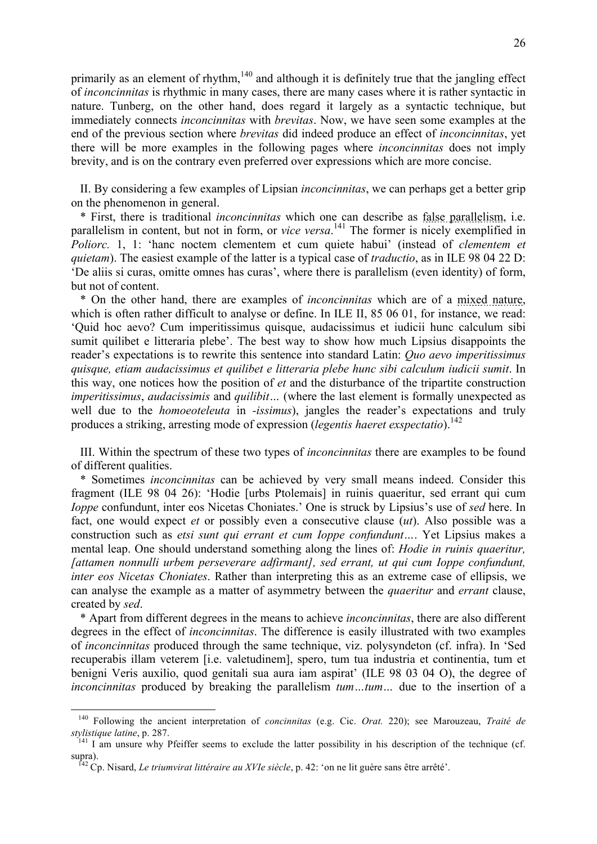primarily as an element of rhythm,<sup>140</sup> and although it is definitely true that the jangling effect of *inconcinnitas* is rhythmic in many cases, there are many cases where it is rather syntactic in nature. Tunberg, on the other hand, does regard it largely as a syntactic technique, but immediately connects *inconcinnitas* with *brevitas*. Now, we have seen some examples at the end of the previous section where *brevitas* did indeed produce an effect of *inconcinnitas*, yet there will be more examples in the following pages where *inconcinnitas* does not imply brevity, and is on the contrary even preferred over expressions which are more concise.

II. By considering a few examples of Lipsian *inconcinnitas*, we can perhaps get a better grip on the phenomenon in general.

\* First, there is traditional *inconcinnitas* which one can describe as false parallelism, i.e. parallelism in content, but not in form, or *vice versa*.<sup>141</sup> The former is nicely exemplified in *Poliorc.* 1, 1: 'hanc noctem clementem et cum quiete habui' (instead of *clementem et quietam*). The easiest example of the latter is a typical case of *traductio*, as in ILE 98 04 22 D: 'De aliis si curas, omitte omnes has curas', where there is parallelism (even identity) of form, but not of content.

\* On the other hand, there are examples of *inconcinnitas* which are of a mixed nature, which is often rather difficult to analyse or define. In ILE II, 85 06 01, for instance, we read: 'Quid hoc aevo? Cum imperitissimus quisque, audacissimus et iudicii hunc calculum sibi sumit quilibet e litteraria plebe'. The best way to show how much Lipsius disappoints the reader's expectations is to rewrite this sentence into standard Latin: *Quo aevo imperitissimus quisque, etiam audacissimus et quilibet e litteraria plebe hunc sibi calculum iudicii sumit*. In this way, one notices how the position of *et* and the disturbance of the tripartite construction *imperitissimus*, *audacissimis* and *quilibit…* (where the last element is formally unexpected as well due to the *homoeoteleuta* in *-issimus*), jangles the reader's expectations and truly produces a striking, arresting mode of expression (*legentis haeret exspectatio*).<sup>142</sup>

III. Within the spectrum of these two types of *inconcinnitas* there are examples to be found of different qualities.

\* Sometimes *inconcinnitas* can be achieved by very small means indeed. Consider this fragment (ILE 98 04 26): 'Hodie [urbs Ptolemais] in ruinis quaeritur, sed errant qui cum *Ioppe* confundunt, inter eos Nicetas Choniates.' One is struck by Lipsius's use of *sed* here. In fact, one would expect *et* or possibly even a consecutive clause (*ut*). Also possible was a construction such as *etsi sunt qui errant et cum Ioppe confundunt…*. Yet Lipsius makes a mental leap. One should understand something along the lines of: *Hodie in ruinis quaeritur, [attamen nonnulli urbem perseverare adfirmant], sed errant, ut qui cum Ioppe confundunt, inter eos Nicetas Choniates*. Rather than interpreting this as an extreme case of ellipsis, we can analyse the example as a matter of asymmetry between the *quaeritur* and *errant* clause, created by *sed*.

\* Apart from different degrees in the means to achieve *inconcinnitas*, there are also different degrees in the effect of *inconcinnitas*. The difference is easily illustrated with two examples of *inconcinnitas* produced through the same technique, viz. polysyndeton (cf. infra). In 'Sed recuperabis illam veterem [i.e. valetudinem], spero, tum tua industria et continentia, tum et benigni Veris auxilio, quod genitali sua aura iam aspirat' (ILE 98 03 04 O), the degree of *inconcinnitas* produced by breaking the parallelism *tum…tum…* due to the insertion of a

 <sup>140</sup> Following the ancient interpretation of *concinnitas* (e.g. Cic. *Orat.* 220); see Marouzeau, *Traité de stylistique latine*, p. 287.<br><sup>141</sup> I am unsure why Pfeiffer seems to exclude the latter possibility in his description of the technique (cf.

supra). 142 Cp. Nisard, *Le triumvirat littéraire au XVIe siècle*, p. 42: 'on ne lit guère sans être arrêté'.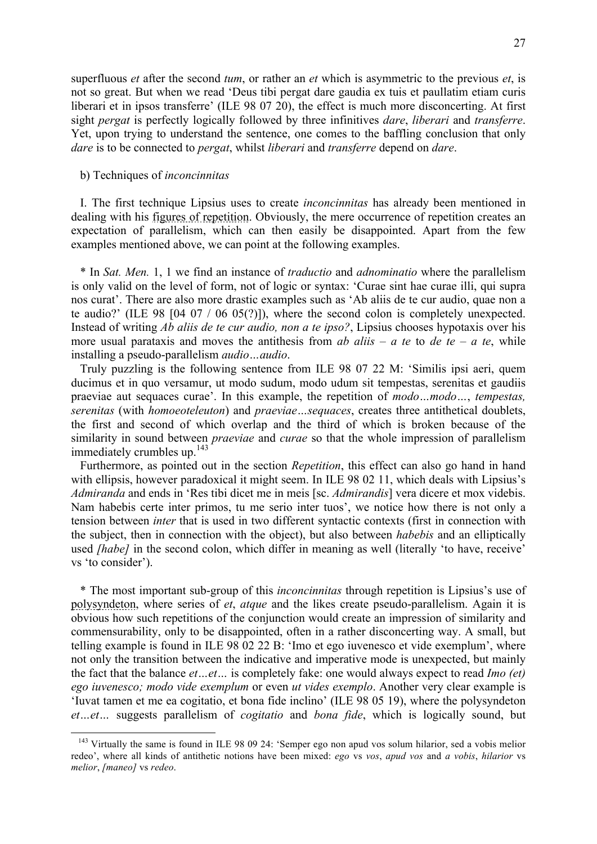superfluous *et* after the second *tum*, or rather an *et* which is asymmetric to the previous *et*, is not so great. But when we read 'Deus tibi pergat dare gaudia ex tuis et paullatim etiam curis liberari et in ipsos transferre' (ILE 98 07 20), the effect is much more disconcerting. At first sight *pergat* is perfectly logically followed by three infinitives *dare*, *liberari* and *transferre*. Yet, upon trying to understand the sentence, one comes to the baffling conclusion that only *dare* is to be connected to *pergat*, whilst *liberari* and *transferre* depend on *dare*.

## b) Techniques of *inconcinnitas*

I. The first technique Lipsius uses to create *inconcinnitas* has already been mentioned in dealing with his figures of repetition. Obviously, the mere occurrence of repetition creates an expectation of parallelism, which can then easily be disappointed. Apart from the few examples mentioned above, we can point at the following examples.

\* In *Sat. Men.* 1, 1 we find an instance of *traductio* and *adnominatio* where the parallelism is only valid on the level of form, not of logic or syntax: 'Curae sint hae curae illi, qui supra nos curat'. There are also more drastic examples such as 'Ab aliis de te cur audio, quae non a te audio?' (ILE 98 [04 07 / 06 05(?)]), where the second colon is completely unexpected. Instead of writing *Ab aliis de te cur audio, non a te ipso?*, Lipsius chooses hypotaxis over his more usual parataxis and moves the antithesis from  $ab$  aliis –  $a$  te to  $de$  te –  $a$  te, while installing a pseudo-parallelism *audio…audio*.

Truly puzzling is the following sentence from ILE 98 07 22 M: 'Similis ipsi aeri, quem ducimus et in quo versamur, ut modo sudum, modo udum sit tempestas, serenitas et gaudiis praeviae aut sequaces curae'. In this example, the repetition of *modo…modo…*, *tempestas, serenitas* (with *homoeoteleuton*) and *praeviae…sequaces*, creates three antithetical doublets, the first and second of which overlap and the third of which is broken because of the similarity in sound between *praeviae* and *curae* so that the whole impression of parallelism immediately crumbles up.<sup>143</sup>

Furthermore, as pointed out in the section *Repetition*, this effect can also go hand in hand with ellipsis, however paradoxical it might seem. In ILE 98 02 11, which deals with Lipsius's *Admiranda* and ends in 'Res tibi dicet me in meis [sc. *Admirandis*] vera dicere et mox videbis. Nam habebis certe inter primos, tu me serio inter tuos', we notice how there is not only a tension between *inter* that is used in two different syntactic contexts (first in connection with the subject, then in connection with the object), but also between *habebis* and an elliptically used *[habe]* in the second colon, which differ in meaning as well (literally 'to have, receive' vs 'to consider').

\* The most important sub-group of this *inconcinnitas* through repetition is Lipsius's use of polysyndeton, where series of *et*, *atque* and the likes create pseudo-parallelism. Again it is obvious how such repetitions of the conjunction would create an impression of similarity and commensurability, only to be disappointed, often in a rather disconcerting way. A small, but telling example is found in ILE 98 02 22 B: 'Imo et ego iuvenesco et vide exemplum', where not only the transition between the indicative and imperative mode is unexpected, but mainly the fact that the balance *et…et…* is completely fake: one would always expect to read *Imo (et) ego iuvenesco; modo vide exemplum* or even *ut vides exemplo*. Another very clear example is 'Iuvat tamen et me ea cogitatio, et bona fide inclino' (ILE 98 05 19), where the polysyndeton *et…et…* suggests parallelism of *cogitatio* and *bona fide*, which is logically sound, but

<sup>&</sup>lt;sup>143</sup> Virtually the same is found in ILE 98 09 24: 'Semper ego non apud vos solum hilarior, sed a vobis melior redeo', where all kinds of antithetic notions have been mixed: *ego* vs *vos*, *apud vos* and *a vobis*, *hilarior* vs *melior*, *[maneo]* vs *redeo*.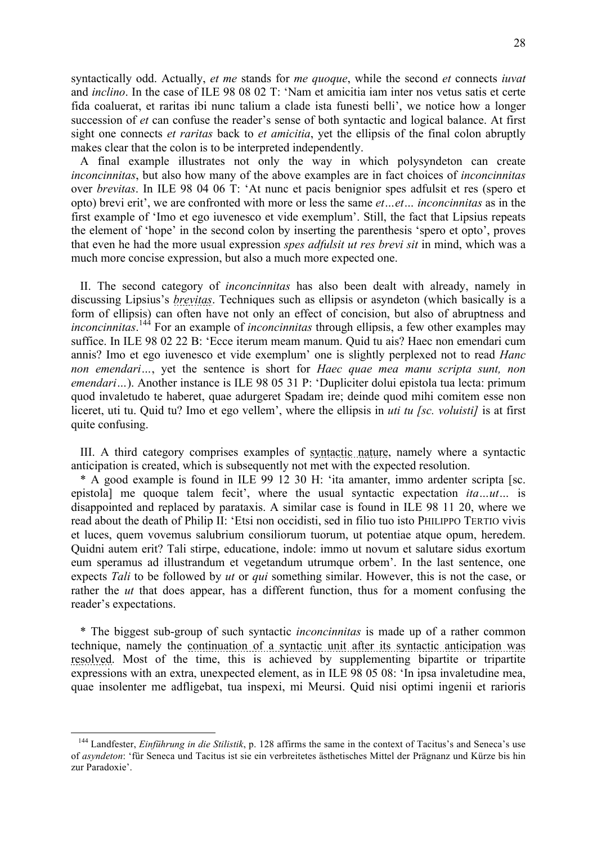syntactically odd. Actually, *et me* stands for *me quoque*, while the second *et* connects *iuvat* and *inclino*. In the case of ILE 98 08 02 T: 'Nam et amicitia iam inter nos vetus satis et certe fida coaluerat, et raritas ibi nunc talium a clade ista funesti belli', we notice how a longer succession of *et* can confuse the reader's sense of both syntactic and logical balance. At first sight one connects *et raritas* back to *et amicitia*, yet the ellipsis of the final colon abruptly makes clear that the colon is to be interpreted independently.

A final example illustrates not only the way in which polysyndeton can create *inconcinnitas*, but also how many of the above examples are in fact choices of *inconcinnitas*  over *brevitas*. In ILE 98 04 06 T: 'At nunc et pacis benignior spes adfulsit et res (spero et opto) brevi erit', we are confronted with more or less the same *et…et… inconcinnitas* as in the first example of 'Imo et ego iuvenesco et vide exemplum'. Still, the fact that Lipsius repeats the element of 'hope' in the second colon by inserting the parenthesis 'spero et opto', proves that even he had the more usual expression *spes adfulsit ut res brevi sit* in mind, which was a much more concise expression, but also a much more expected one.

II. The second category of *inconcinnitas* has also been dealt with already, namely in discussing Lipsius's *brevitas*. Techniques such as ellipsis or asyndeton (which basically is a form of ellipsis) can often have not only an effect of concision, but also of abruptness and *inconcinnitas*. 144 For an example of *inconcinnitas* through ellipsis, a few other examples may suffice. In ILE 98 02 22 B: 'Ecce iterum meam manum. Quid tu ais? Haec non emendari cum annis? Imo et ego iuvenesco et vide exemplum' one is slightly perplexed not to read *Hanc non emendari…*, yet the sentence is short for *Haec quae mea manu scripta sunt, non emendari*...). Another instance is ILE 98 05 31 P: 'Dupliciter dolui epistola tua lecta: primum quod invaletudo te haberet, quae adurgeret Spadam ire; deinde quod mihi comitem esse non liceret, uti tu. Quid tu? Imo et ego vellem', where the ellipsis in *uti tu [sc. voluisti]* is at first quite confusing.

III. A third category comprises examples of syntactic nature, namely where a syntactic anticipation is created, which is subsequently not met with the expected resolution.

\* A good example is found in ILE 99 12 30 H: 'ita amanter, immo ardenter scripta [sc. epistola] me quoque talem fecit', where the usual syntactic expectation *ita…ut…* is disappointed and replaced by parataxis. A similar case is found in ILE 98 11 20, where we read about the death of Philip II: 'Etsi non occidisti, sed in filio tuo isto PHILIPPO TERTIO vivis et luces, quem vovemus salubrium consiliorum tuorum, ut potentiae atque opum, heredem. Quidni autem erit? Tali stirpe, educatione, indole: immo ut novum et salutare sidus exortum eum speramus ad illustrandum et vegetandum utrumque orbem'. In the last sentence, one expects *Tali* to be followed by *ut* or *qui* something similar. However, this is not the case, or rather the *ut* that does appear, has a different function, thus for a moment confusing the reader's expectations.

\* The biggest sub-group of such syntactic *inconcinnitas* is made up of a rather common technique, namely the continuation of a syntactic unit after its syntactic anticipation was resolved. Most of the time, this is achieved by supplementing bipartite or tripartite expressions with an extra, unexpected element, as in ILE 98 05 08: 'In ipsa invaletudine mea, quae insolenter me adfligebat, tua inspexi, mi Meursi. Quid nisi optimi ingenii et rarioris

 <sup>144</sup> Landfester, *Einführung in die Stilistik*, p. 128 affirms the same in the context of Tacitus's and Seneca's use of *asyndeton*: 'für Seneca und Tacitus ist sie ein verbreitetes ästhetisches Mittel der Prägnanz und Kürze bis hin zur Paradoxie'.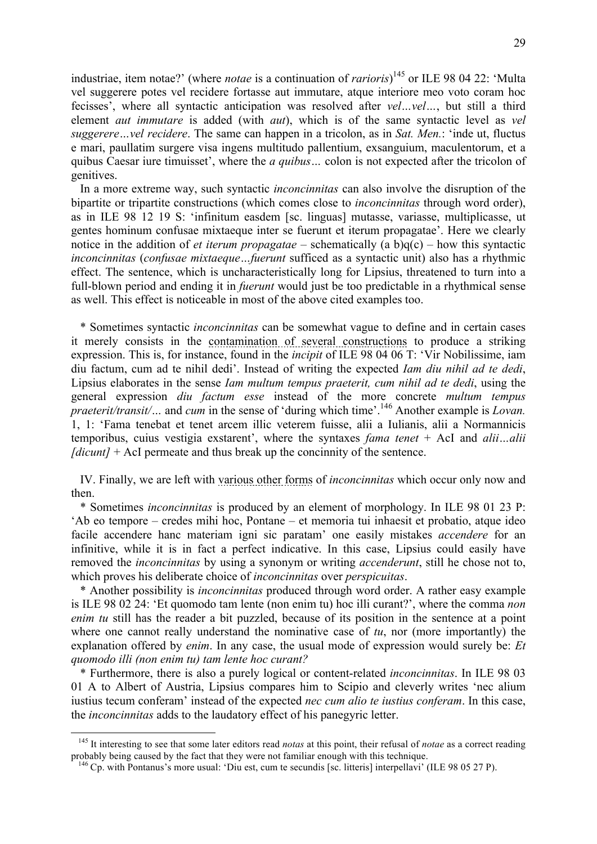industriae, item notae?' (where *notae* is a continuation of *rarioris*) 145 or ILE 98 04 22: 'Multa vel suggerere potes vel recidere fortasse aut immutare, atque interiore meo voto coram hoc fecisses', where all syntactic anticipation was resolved after *vel…vel…*, but still a third element *aut immutare* is added (with *aut*), which is of the same syntactic level as *vel suggerere…vel recidere*. The same can happen in a tricolon, as in *Sat. Men.*: 'inde ut, fluctus e mari, paullatim surgere visa ingens multitudo pallentium, exsanguium, maculentorum, et a quibus Caesar iure timuisset', where the *a quibus…* colon is not expected after the tricolon of genitives.

In a more extreme way, such syntactic *inconcinnitas* can also involve the disruption of the bipartite or tripartite constructions (which comes close to *inconcinnitas* through word order), as in ILE 98 12 19 S: 'infinitum easdem [sc. linguas] mutasse, variasse, multiplicasse, ut gentes hominum confusae mixtaeque inter se fuerunt et iterum propagatae'. Here we clearly notice in the addition of *et iterum propagatae* – schematically (a b)q(c) – how this syntactic *inconcinnitas* (*confusae mixtaeque…fuerunt* sufficed as a syntactic unit) also has a rhythmic effect. The sentence, which is uncharacteristically long for Lipsius, threatened to turn into a full-blown period and ending it in *fuerunt* would just be too predictable in a rhythmical sense as well. This effect is noticeable in most of the above cited examples too.

\* Sometimes syntactic *inconcinnitas* can be somewhat vague to define and in certain cases it merely consists in the contamination of several constructions to produce a striking expression. This is, for instance, found in the *incipit* of ILE 98 04 06 T: 'Vir Nobilissime, iam diu factum, cum ad te nihil dedi'. Instead of writing the expected *Iam diu nihil ad te dedi*, Lipsius elaborates in the sense *Iam multum tempus praeterit, cum nihil ad te dedi*, using the general expression *diu factum esse* instead of the more concrete *multum tempus praeterit/transit/…* and *cum* in the sense of 'during which time'.146 Another example is *Lovan.*  1, 1: 'Fama tenebat et tenet arcem illic veterem fuisse, alii a Iulianis, alii a Normannicis temporibus, cuius vestigia exstarent', where the syntaxes *fama tenet* + AcI and *alii…alii*   $\delta$ *[dicunt]* + AcI permeate and thus break up the concinnity of the sentence.

IV. Finally, we are left with various other forms of *inconcinnitas* which occur only now and then.

\* Sometimes *inconcinnitas* is produced by an element of morphology. In ILE 98 01 23 P: 'Ab eo tempore – credes mihi hoc, Pontane – et memoria tui inhaesit et probatio, atque ideo facile accendere hanc materiam igni sic paratam' one easily mistakes *accendere* for an infinitive, while it is in fact a perfect indicative. In this case, Lipsius could easily have removed the *inconcinnitas* by using a synonym or writing *accenderunt*, still he chose not to, which proves his deliberate choice of *inconcinnitas* over *perspicuitas*.

\* Another possibility is *inconcinnitas* produced through word order. A rather easy example is ILE 98 02 24: 'Et quomodo tam lente (non enim tu) hoc illi curant?', where the comma *non enim tu* still has the reader a bit puzzled, because of its position in the sentence at a point where one cannot really understand the nominative case of *tu*, nor (more importantly) the explanation offered by *enim*. In any case, the usual mode of expression would surely be: *Et quomodo illi (non enim tu) tam lente hoc curant?*

\* Furthermore, there is also a purely logical or content-related *inconcinnitas*. In ILE 98 03 01 A to Albert of Austria, Lipsius compares him to Scipio and cleverly writes 'nec alium iustius tecum conferam' instead of the expected *nec cum alio te iustius conferam*. In this case, the *inconcinnitas* adds to the laudatory effect of his panegyric letter.

 <sup>145</sup> It interesting to see that some later editors read *notas* at this point, their refusal of *notae* as a correct reading probably being caused by the fact that they were not familiar enough with this technique.<br><sup>146</sup> Cp. with Pontanus's more usual: 'Diu est, cum te secundis [sc. litteris] interpellavi' (ILE 98 05 27 P).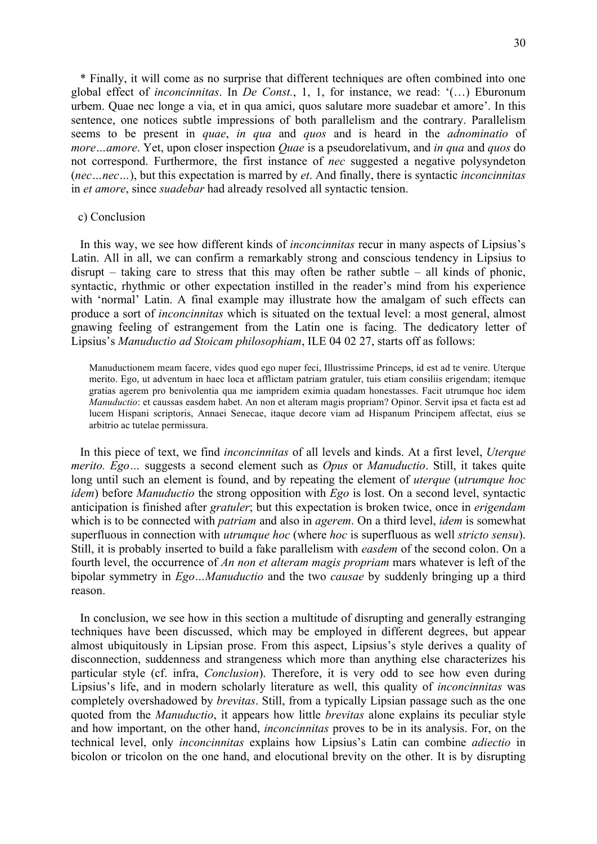\* Finally, it will come as no surprise that different techniques are often combined into one global effect of *inconcinnitas*. In *De Const.*, 1, 1, for instance, we read: '(…) Eburonum urbem. Quae nec longe a via, et in qua amici, quos salutare more suadebar et amore'. In this sentence, one notices subtle impressions of both parallelism and the contrary. Parallelism seems to be present in *quae*, *in qua* and *quos* and is heard in the *adnominatio* of *more…amore*. Yet, upon closer inspection *Quae* is a pseudorelativum, and *in qua* and *quos* do not correspond. Furthermore, the first instance of *nec* suggested a negative polysyndeton (*nec…nec…*), but this expectation is marred by *et*. And finally, there is syntactic *inconcinnitas* in *et amore*, since *suadebar* had already resolved all syntactic tension.

# c) Conclusion

In this way, we see how different kinds of *inconcinnitas* recur in many aspects of Lipsius's Latin. All in all, we can confirm a remarkably strong and conscious tendency in Lipsius to disrupt – taking care to stress that this may often be rather subtle – all kinds of phonic, syntactic, rhythmic or other expectation instilled in the reader's mind from his experience with 'normal' Latin. A final example may illustrate how the amalgam of such effects can produce a sort of *inconcinnitas* which is situated on the textual level: a most general, almost gnawing feeling of estrangement from the Latin one is facing. The dedicatory letter of Lipsius's *Manuductio ad Stoicam philosophiam*, ILE 04 02 27, starts off as follows:

Manuductionem meam facere, vides quod ego nuper feci, Illustrissime Princeps, id est ad te venire. Uterque merito. Ego, ut adventum in haec loca et afflictam patriam gratuler, tuis etiam consiliis erigendam; itemque gratias agerem pro benivolentia qua me iampridem eximia quadam honestasses. Facit utrumque hoc idem *Manuductio*: et caussas easdem habet. An non et alteram magis propriam? Opinor. Servit ipsa et facta est ad lucem Hispani scriptoris, Annaei Senecae, itaque decore viam ad Hispanum Principem affectat, eius se arbitrio ac tutelae permissura.

In this piece of text, we find *inconcinnitas* of all levels and kinds. At a first level, *Uterque merito. Ego…* suggests a second element such as *Opus* or *Manuductio*. Still, it takes quite long until such an element is found, and by repeating the element of *uterque* (*utrumque hoc idem*) before *Manuductio* the strong opposition with *Ego* is lost. On a second level, syntactic anticipation is finished after *gratuler*; but this expectation is broken twice, once in *erigendam* which is to be connected with *patriam* and also in *agerem*. On a third level, *idem* is somewhat superfluous in connection with *utrumque hoc* (where *hoc* is superfluous as well *stricto sensu*). Still, it is probably inserted to build a fake parallelism with *easdem* of the second colon. On a fourth level, the occurrence of *An non et alteram magis propriam* mars whatever is left of the bipolar symmetry in *Ego…Manuductio* and the two *causae* by suddenly bringing up a third reason.

In conclusion, we see how in this section a multitude of disrupting and generally estranging techniques have been discussed, which may be employed in different degrees, but appear almost ubiquitously in Lipsian prose. From this aspect, Lipsius's style derives a quality of disconnection, suddenness and strangeness which more than anything else characterizes his particular style (cf. infra, *Conclusion*). Therefore, it is very odd to see how even during Lipsius's life, and in modern scholarly literature as well, this quality of *inconcinnitas* was completely overshadowed by *brevitas*. Still, from a typically Lipsian passage such as the one quoted from the *Manuductio*, it appears how little *brevitas* alone explains its peculiar style and how important, on the other hand, *inconcinnitas* proves to be in its analysis. For, on the technical level, only *inconcinnitas* explains how Lipsius's Latin can combine *adiectio* in bicolon or tricolon on the one hand, and elocutional brevity on the other. It is by disrupting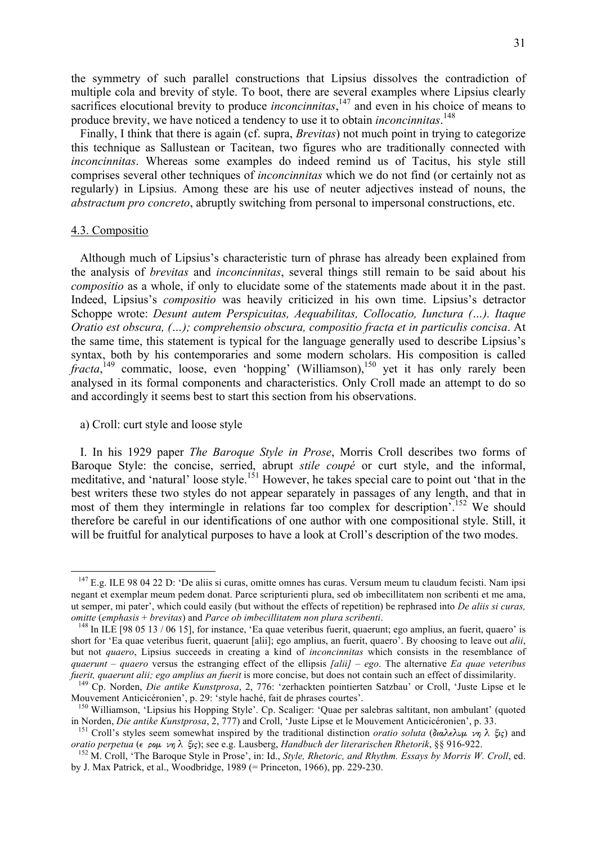the symmetry of such parallel constructions that Lipsius dissolves the contradiction of multiple cola and brevity of style. To boot, there are several examples where Lipsius clearly sacrifices elocutional brevity to produce *inconcinnitas*,<sup>147</sup> and even in his choice of means to produce brevity, we have noticed a tendency to use it to obtain *inconcinnitas*. 148

Finally, I think that there is again (cf. supra, *Brevitas*) not much point in trying to categorize this technique as Sallustean or Tacitean, two figures who are traditionally connected with *inconcinnitas*. Whereas some examples do indeed remind us of Tacitus, his style still comprises several other techniques of *inconcinnitas* which we do not find (or certainly not as regularly) in Lipsius. Among these are his use of neuter adjectives instead of nouns, the *abstractum pro concreto*, abruptly switching from personal to impersonal constructions, etc.

#### 4.3. Compositio

Although much of Lipsius's characteristic turn of phrase has already been explained from the analysis of *brevitas* and *inconcinnitas*, several things still remain to be said about his *compositio* as a whole, if only to elucidate some of the statements made about it in the past. Indeed, Lipsius's *compositio* was heavily criticized in his own time. Lipsius's detractor Schoppe wrote: *Desunt autem Perspicuitas, Aequabilitas, Collocatio, Iunctura (…). Itaque Oratio est obscura, (…); comprehensio obscura, compositio fracta et in particulis concisa*. At the same time, this statement is typical for the language generally used to describe Lipsius's syntax, both by his contemporaries and some modern scholars. His composition is called *fracta*,<sup>149</sup> commatic, loose, even 'hopping' (Williamson),<sup>150</sup> yet it has only rarely been analysed in its formal components and characteristics. Only Croll made an attempt to do so and accordingly it seems best to start this section from his observations.

a) Croll: curt style and loose style

I. In his 1929 paper *The Baroque Style in Prose*, Morris Croll describes two forms of Baroque Style: the concise, serried, abrupt *stile coupé* or curt style, and the informal, meditative, and 'natural' loose style.<sup>151</sup> However, he takes special care to point out 'that in the best writers these two styles do not appear separately in passages of any length, and that in most of them they intermingle in relations far too complex for description'.<sup>152</sup> We should therefore be careful in our identifications of one author with one compositional style. Still, it will be fruitful for analytical purposes to have a look at Croll's description of the two modes.

<sup>&</sup>lt;sup>147</sup> E.g. ILE 98 04 22 D: 'De aliis si curas, omitte omnes has curas. Versum meum tu claudum fecisti. Nam ipsi negant et exemplar meum pedem donat. Parce scripturienti plura, sed ob imbecillitatem non scribenti et me ama, ut semper, mi pater', which could easily (but without the effects of repetition) be rephrased into *De aliis si curas, omitte* (*emphasis* + *brevitas*) and *Parce ob imbecillitatem non plura scribenti*.<br><sup>148</sup> In ILE [98 05 13 / 06 15], for instance, 'Ea quae veteribus fuerit, quaerunt; ego amplius, an fuerit, quaero' is

short for 'Ea quae veteribus fuerit, quaerunt [alii]; ego amplius, an fuerit, quaero'. By choosing to leave out *alii*, but not *quaero*, Lipsius succeeds in creating a kind of *inconcinnitas* which consists in the resemblance of *quaerunt – quaero* versus the estranging effect of the ellipsis *[alii]* – *ego*. The alternative *Ea quae veteribus* 

<sup>&</sup>lt;sup>149</sup> Cp. Norden, *Die antike Kunstprosa*, 2, 776: 'zerhackten pointierten Satzbau' or Croll, 'Juste Lipse et le Mouvement Anticicéronien', p. 29: 'style haché, fait de phrases courtes'.

<sup>&</sup>lt;sup>150</sup> Williamson, 'Lipsius his Hopping Style'. Cp. Scaliger: 'Quae per salebras saltitant, non ambulant' (quoted in Norden, *Die antike Kunstprosa*, 2, 777) and Croll, 'Juste Lipse et le Mouvement Anticicéronien', p. 33.

<sup>&</sup>lt;sup>151</sup> Croll's styles seem somewhat inspired by the traditional distinction *oratio soluta (* $\delta u \lambda \epsilon \lambda \nu \mu \nu \gamma \lambda \xi \kappa$ *)* and *oratio perpetua* (*ε ρομ νη* λ ξ*ις*); see e.g. Lausberg, *Handbuch der literarischen Rhetorik*, §§ 916-922.<br><sup>152</sup> M. Croll, 'The Baroque Style in Prose', in: Id., *Style, Rhetoric, and Rhythm. Essays by Morris W. Croll* 

by J. Max Patrick, et al., Woodbridge, 1989 (= Princeton, 1966), pp. 229-230.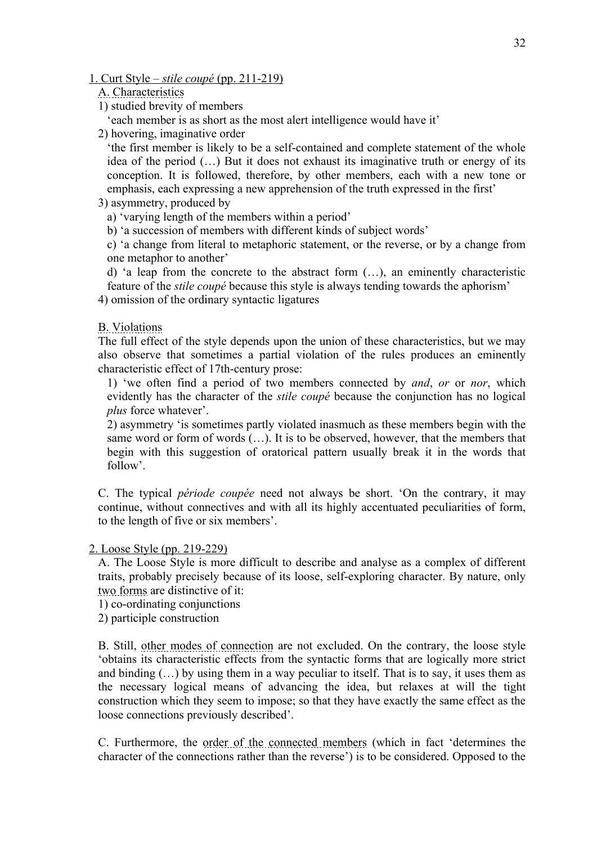# 1. Curt Style – *stile coupé* (pp. 211-219)

# A. Characteristics

- 1) studied brevity of members
	- 'each member is as short as the most alert intelligence would have it'
- 2) hovering, imaginative order

'the first member is likely to be a self-contained and complete statement of the whole idea of the period (…) But it does not exhaust its imaginative truth or energy of its conception. It is followed, therefore, by other members, each with a new tone or emphasis, each expressing a new apprehension of the truth expressed in the first'

# 3) asymmetry, produced by

- a) 'varying length of the members within a period'
- b) 'a succession of members with different kinds of subject words'

c) 'a change from literal to metaphoric statement, or the reverse, or by a change from one metaphor to another'

d) 'a leap from the concrete to the abstract form (…), an eminently characteristic feature of the *stile coupé* because this style is always tending towards the aphorism'

4) omission of the ordinary syntactic ligatures

# B. Violations

The full effect of the style depends upon the union of these characteristics, but we may also observe that sometimes a partial violation of the rules produces an eminently characteristic effect of 17th-century prose:

1) 'we often find a period of two members connected by *and*, *or* or *nor*, which evidently has the character of the *stile coupé* because the conjunction has no logical *plus* force whatever'.

2) asymmetry 'is sometimes partly violated inasmuch as these members begin with the same word or form of words (…). It is to be observed, however, that the members that begin with this suggestion of oratorical pattern usually break it in the words that follow'.

C. The typical *période coupée* need not always be short. 'On the contrary, it may continue, without connectives and with all its highly accentuated peculiarities of form, to the length of five or six members'.

2. Loose Style (pp. 219-229)

A. The Loose Style is more difficult to describe and analyse as a complex of different traits, probably precisely because of its loose, self-exploring character. By nature, only two forms are distinctive of it:

1) co-ordinating conjunctions

2) participle construction

B. Still, other modes of connection are not excluded. On the contrary, the loose style 'obtains its characteristic effects from the syntactic forms that are logically more strict and binding (…) by using them in a way peculiar to itself. That is to say, it uses them as the necessary logical means of advancing the idea, but relaxes at will the tight construction which they seem to impose; so that they have exactly the same effect as the loose connections previously described'.

C. Furthermore, the order of the connected members (which in fact 'determines the character of the connections rather than the reverse') is to be considered. Opposed to the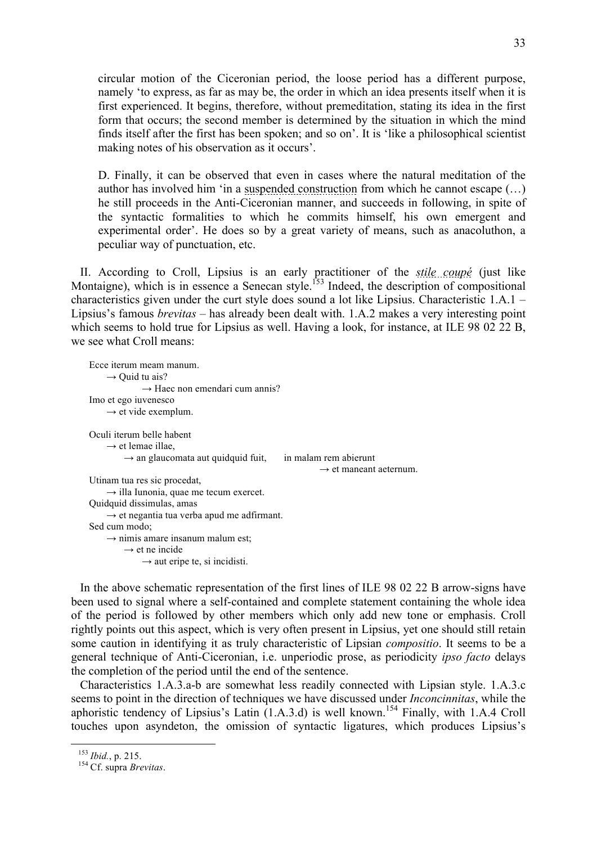circular motion of the Ciceronian period, the loose period has a different purpose, namely 'to express, as far as may be, the order in which an idea presents itself when it is first experienced. It begins, therefore, without premeditation, stating its idea in the first form that occurs; the second member is determined by the situation in which the mind finds itself after the first has been spoken; and so on'. It is 'like a philosophical scientist making notes of his observation as it occurs'.

D. Finally, it can be observed that even in cases where the natural meditation of the author has involved him 'in a suspended construction from which he cannot escape (…) he still proceeds in the Anti-Ciceronian manner, and succeeds in following, in spite of the syntactic formalities to which he commits himself, his own emergent and experimental order'. He does so by a great variety of means, such as anacoluthon, a peculiar way of punctuation, etc.

II. According to Croll, Lipsius is an early practitioner of the *stile coupé* (just like Montaigne), which is in essence a Senecan style.<sup>153</sup> Indeed, the description of compositional characteristics given under the curt style does sound a lot like Lipsius. Characteristic 1.A.1 – Lipsius's famous *brevitas* – has already been dealt with. 1.A.2 makes a very interesting point which seems to hold true for Lipsius as well. Having a look, for instance, at ILE 98 02 22 B, we see what Croll means:

```
Ecce iterum meam manum. 
     \rightarrow Quid tu ais?
               \rightarrow Haec non emendari cum annis?
Imo et ego iuvenesco 
     \rightarrow et vide exemplum.
Oculi iterum belle habent 
     \rightarrow et lemae illae,
          \rightarrow an glaucomata aut quidquid fuit, in malam rem abierunt
                                                                   \rightarrow et maneant aeternum.
Utinam tua res sic procedat, 
     \rightarrow illa Iunonia, quae me tecum exercet.
Quidquid dissimulas, amas 
     \rightarrow et negantia tua verba apud me adfirmant.
Sed cum modo; 
     \rightarrow nimis amare insanum malum est;
          \rightarrow et ne incide
               \rightarrow aut eripe te, si incidisti.
```
In the above schematic representation of the first lines of ILE 98 02 22 B arrow-signs have been used to signal where a self-contained and complete statement containing the whole idea of the period is followed by other members which only add new tone or emphasis. Croll rightly points out this aspect, which is very often present in Lipsius, yet one should still retain some caution in identifying it as truly characteristic of Lipsian *compositio*. It seems to be a general technique of Anti-Ciceronian, i.e. unperiodic prose, as periodicity *ipso facto* delays the completion of the period until the end of the sentence.

Characteristics 1.A.3.a-b are somewhat less readily connected with Lipsian style. 1.A.3.c seems to point in the direction of techniques we have discussed under *Inconcinnitas*, while the aphoristic tendency of Lipsius's Latin  $(1.A.3.d)$  is well known.<sup>154</sup> Finally, with 1.A.4 Croll touches upon asyndeton, the omission of syntactic ligatures, which produces Lipsius's

<sup>153</sup> *Ibid.*, p. 215. 154 Cf. supra *Brevitas*.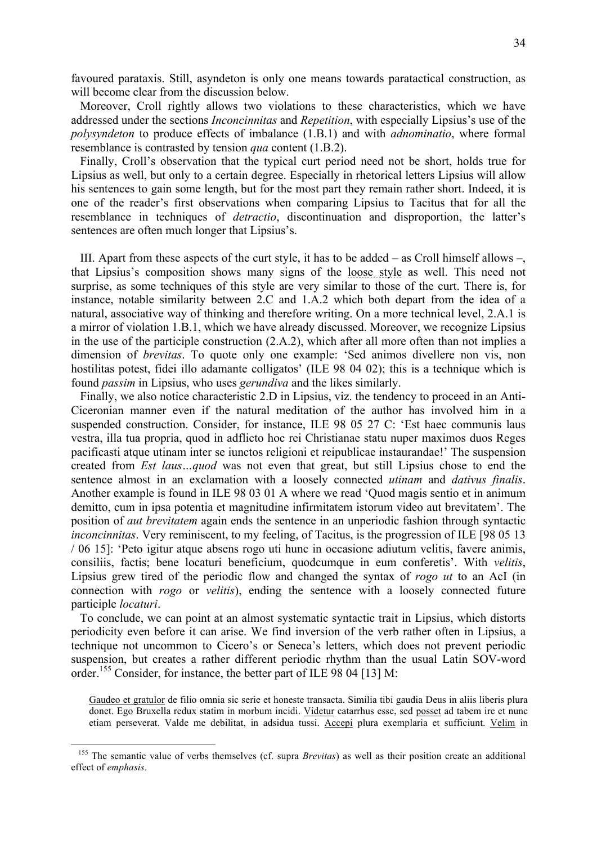favoured parataxis. Still, asyndeton is only one means towards paratactical construction, as will become clear from the discussion below.

Moreover, Croll rightly allows two violations to these characteristics, which we have addressed under the sections *Inconcinnitas* and *Repetition*, with especially Lipsius's use of the *polysyndeton* to produce effects of imbalance (1.B.1) and with *adnominatio*, where formal resemblance is contrasted by tension *qua* content (1.B.2).

Finally, Croll's observation that the typical curt period need not be short, holds true for Lipsius as well, but only to a certain degree. Especially in rhetorical letters Lipsius will allow his sentences to gain some length, but for the most part they remain rather short. Indeed, it is one of the reader's first observations when comparing Lipsius to Tacitus that for all the resemblance in techniques of *detractio*, discontinuation and disproportion, the latter's sentences are often much longer that Lipsius's.

III. Apart from these aspects of the curt style, it has to be added – as Croll himself allows –, that Lipsius's composition shows many signs of the loose style as well. This need not surprise, as some techniques of this style are very similar to those of the curt. There is, for instance, notable similarity between 2.C and 1.A.2 which both depart from the idea of a natural, associative way of thinking and therefore writing. On a more technical level, 2.A.1 is a mirror of violation 1.B.1, which we have already discussed. Moreover, we recognize Lipsius in the use of the participle construction (2.A.2), which after all more often than not implies a dimension of *brevitas*. To quote only one example: 'Sed animos divellere non vis, non hostilitas potest, fidei illo adamante colligatos' (ILE 98 04 02); this is a technique which is found *passim* in Lipsius, who uses *gerundiva* and the likes similarly.

Finally, we also notice characteristic 2.D in Lipsius, viz. the tendency to proceed in an Anti-Ciceronian manner even if the natural meditation of the author has involved him in a suspended construction. Consider, for instance, ILE 98 05 27 C: 'Est haec communis laus vestra, illa tua propria, quod in adflicto hoc rei Christianae statu nuper maximos duos Reges pacificasti atque utinam inter se iunctos religioni et reipublicae instaurandae!' The suspension created from *Est laus…quod* was not even that great, but still Lipsius chose to end the sentence almost in an exclamation with a loosely connected *utinam* and *dativus finalis*. Another example is found in ILE 98 03 01 A where we read 'Quod magis sentio et in animum demitto, cum in ipsa potentia et magnitudine infirmitatem istorum video aut brevitatem'. The position of *aut brevitatem* again ends the sentence in an unperiodic fashion through syntactic *inconcinnitas*. Very reminiscent, to my feeling, of Tacitus, is the progression of ILE [98 05 13 / 06 15]: 'Peto igitur atque absens rogo uti hunc in occasione adiutum velitis, favere animis, consiliis, factis; bene locaturi beneficium, quodcumque in eum conferetis'. With *velitis*, Lipsius grew tired of the periodic flow and changed the syntax of *rogo ut* to an AcI (in connection with *rogo* or *velitis*), ending the sentence with a loosely connected future participle *locaturi*.

To conclude, we can point at an almost systematic syntactic trait in Lipsius, which distorts periodicity even before it can arise. We find inversion of the verb rather often in Lipsius, a technique not uncommon to Cicero's or Seneca's letters, which does not prevent periodic suspension, but creates a rather different periodic rhythm than the usual Latin SOV-word order.155 Consider, for instance, the better part of ILE 98 04 [13] M:

Gaudeo et gratulor de filio omnia sic serie et honeste transacta. Similia tibi gaudia Deus in aliis liberis plura donet. Ego Bruxella redux statim in morbum incidi. Videtur catarrhus esse, sed posset ad tabem ire et nunc etiam perseverat. Valde me debilitat, in adsidua tussi. Accepi plura exemplaria et sufficiunt. Velim in

<sup>&</sup>lt;sup>155</sup> The semantic value of verbs themselves (cf. supra *Brevitas*) as well as their position create an additional effect of *emphasis*.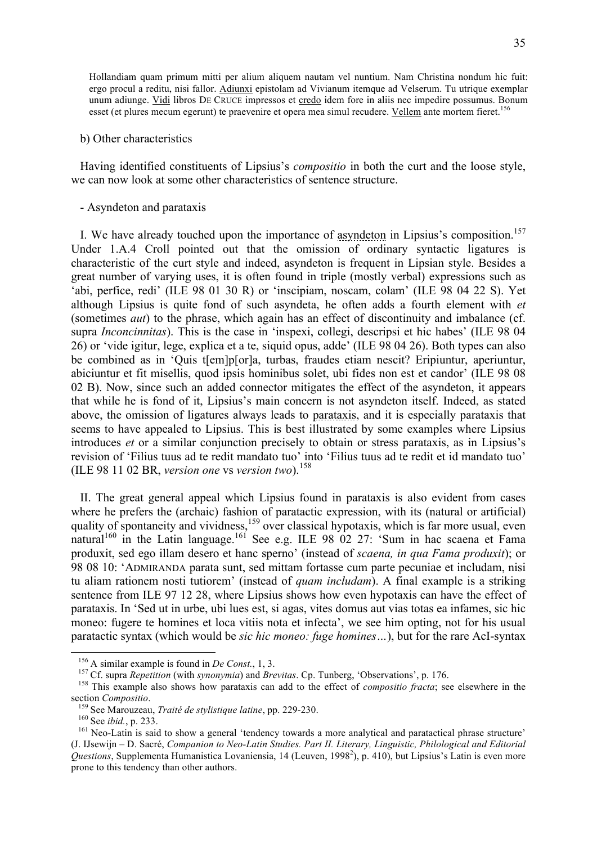Hollandiam quam primum mitti per alium aliquem nautam vel nuntium. Nam Christina nondum hic fuit: ergo procul a reditu, nisi fallor. Adiunxi epistolam ad Vivianum itemque ad Velserum. Tu utrique exemplar unum adiunge. Vidi libros DE CRUCE impressos et credo idem fore in aliis nec impedire possumus. Bonum esset (et plures mecum egerunt) te praevenire et opera mea simul recudere. Vellem ante mortem fieret.<sup>156</sup>

### b) Other characteristics

Having identified constituents of Lipsius's *compositio* in both the curt and the loose style, we can now look at some other characteristics of sentence structure.

### - Asyndeton and parataxis

I. We have already touched upon the importance of asyndeton in Lipsius's composition.<sup>157</sup> Under 1.A.4 Croll pointed out that the omission of ordinary syntactic ligatures is characteristic of the curt style and indeed, asyndeton is frequent in Lipsian style. Besides a great number of varying uses, it is often found in triple (mostly verbal) expressions such as 'abi, perfice, redi' (ILE 98 01 30 R) or 'inscipiam, noscam, colam' (ILE 98 04 22 S). Yet although Lipsius is quite fond of such asyndeta, he often adds a fourth element with *et*  (sometimes *aut*) to the phrase, which again has an effect of discontinuity and imbalance (cf. supra *Inconcinnitas*). This is the case in 'inspexi, collegi, descripsi et hic habes' (ILE 98 04 26) or 'vide igitur, lege, explica et a te, siquid opus, adde' (ILE 98 04 26). Both types can also be combined as in 'Quis t[em]p[or]a, turbas, fraudes etiam nescit? Eripiuntur, aperiuntur, abiciuntur et fit misellis, quod ipsis hominibus solet, ubi fides non est et candor' (ILE 98 08 02 B). Now, since such an added connector mitigates the effect of the asyndeton, it appears that while he is fond of it, Lipsius's main concern is not asyndeton itself. Indeed, as stated above, the omission of ligatures always leads to parataxis, and it is especially parataxis that seems to have appealed to Lipsius. This is best illustrated by some examples where Lipsius introduces *et* or a similar conjunction precisely to obtain or stress parataxis, as in Lipsius's revision of 'Filius tuus ad te redit mandato tuo' into 'Filius tuus ad te redit et id mandato tuo' (ILE 98 11 02 BR, *version one* vs *version two*).<sup>158</sup>

II. The great general appeal which Lipsius found in parataxis is also evident from cases where he prefers the (archaic) fashion of paratactic expression, with its (natural or artificial) quality of spontaneity and vividness,<sup>159</sup> over classical hypotaxis, which is far more usual, even natural<sup>160</sup> in the Latin language.<sup>161</sup> See e.g. ILE 98 02 27: 'Sum in hac scaena et Fama produxit, sed ego illam desero et hanc sperno' (instead of *scaena, in qua Fama produxit*); or 98 08 10: 'ADMIRANDA parata sunt, sed mittam fortasse cum parte pecuniae et includam, nisi tu aliam rationem nosti tutiorem' (instead of *quam includam*). A final example is a striking sentence from ILE 97 12 28, where Lipsius shows how even hypotaxis can have the effect of parataxis. In 'Sed ut in urbe, ubi lues est, si agas, vites domus aut vias totas ea infames, sic hic moneo: fugere te homines et loca vitiis nota et infecta', we see him opting, not for his usual paratactic syntax (which would be *sic hic moneo: fuge homines…*), but for the rare AcI-syntax

<sup>&</sup>lt;sup>156</sup> A similar example is found in *De Const.*, 1, 3.<br><sup>157</sup> Cf. supra *Repetition* (with *synonymia*) and *Brevitas*. Cp. Tunberg, 'Observations', p. 176.<br><sup>158</sup> This example also shows how parataxis can add to the effect section *Compositio*.<br><sup>159</sup> See Marouzeau, *Traité de stylistique latine*, pp. 229-230.<br><sup>160</sup> See *ibid.*, p. 233.<br><sup>161</sup> Neo-Latin is said to show a general 'tendency towards a more analytical and paratactical phrase stru

<sup>(</sup>J. IJsewijn – D. Sacré, *Companion to Neo-Latin Studies. Part II. Literary, Linguistic, Philological and Editorial*  Questions, Supplementa Humanistica Lovaniensia, 14 (Leuven, 1998<sup>2</sup>), p. 410), but Lipsius's Latin is even more prone to this tendency than other authors.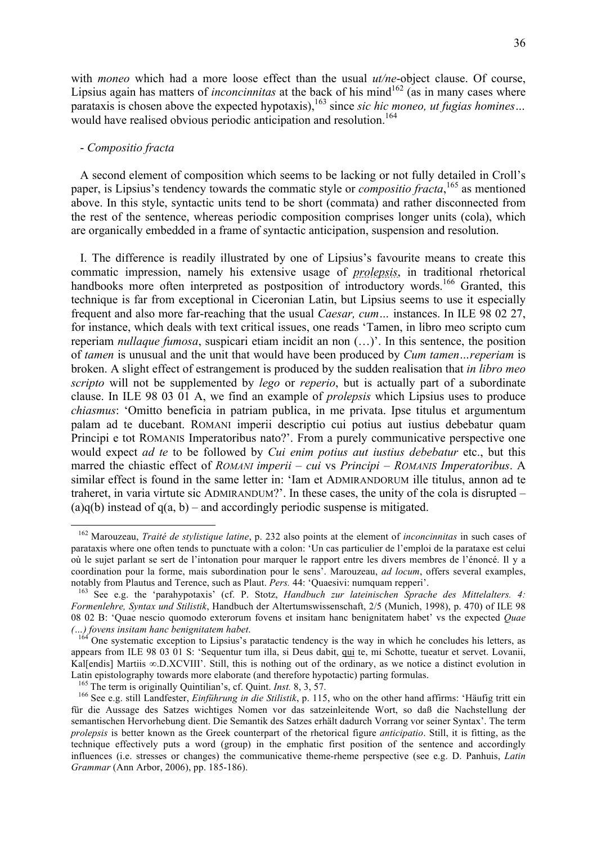with *moneo* which had a more loose effect than the usual *ut/ne*-object clause. Of course, Lipsius again has matters of *inconcinnitas* at the back of his mind<sup>162</sup> (as in many cases where parataxis is chosen above the expected hypotaxis),<sup>163</sup> since *sic hic moneo, ut fugias homines*... would have realised obvious periodic anticipation and resolution.<sup>164</sup>

# - *Compositio fracta*

A second element of composition which seems to be lacking or not fully detailed in Croll's paper, is Lipsius's tendency towards the commatic style or *compositio fracta*, 165 as mentioned above. In this style, syntactic units tend to be short (commata) and rather disconnected from the rest of the sentence, whereas periodic composition comprises longer units (cola), which are organically embedded in a frame of syntactic anticipation, suspension and resolution.

I. The difference is readily illustrated by one of Lipsius's favourite means to create this commatic impression, namely his extensive usage of *prolepsis*, in traditional rhetorical handbooks more often interpreted as postposition of introductory words.<sup>166</sup> Granted, this technique is far from exceptional in Ciceronian Latin, but Lipsius seems to use it especially frequent and also more far-reaching that the usual *Caesar, cum…* instances. In ILE 98 02 27, for instance, which deals with text critical issues, one reads 'Tamen, in libro meo scripto cum reperiam *nullaque fumosa*, suspicari etiam incidit an non (…)'. In this sentence, the position of *tamen* is unusual and the unit that would have been produced by *Cum tamen…reperiam* is broken. A slight effect of estrangement is produced by the sudden realisation that *in libro meo scripto* will not be supplemented by *lego* or *reperio*, but is actually part of a subordinate clause. In ILE 98 03 01 A, we find an example of *prolepsis* which Lipsius uses to produce *chiasmus*: 'Omitto beneficia in patriam publica, in me privata. Ipse titulus et argumentum palam ad te ducebant. ROMANI imperii descriptio cui potius aut iustius debebatur quam Principi e tot ROMANIS Imperatoribus nato?'. From a purely communicative perspective one would expect *ad te* to be followed by *Cui enim potius aut iustius debebatur* etc., but this marred the chiastic effect of *ROMANI imperii – cui* vs *Principi – ROMANIS Imperatoribus*. A similar effect is found in the same letter in: 'Iam et ADMIRANDORUM ille titulus, annon ad te traheret, in varia virtute sic ADMIRANDUM?'. In these cases, the unity of the cola is disrupted –  $(a)q(b)$  instead of  $q(a, b)$  – and accordingly periodic suspense is mitigated.

 <sup>162</sup> Marouzeau, *Traité de stylistique latine*, p. 232 also points at the element of *inconcinnitas* in such cases of parataxis where one often tends to punctuate with a colon: 'Un cas particulier de l'emploi de la parataxe est celui où le sujet parlant se sert de l'intonation pour marquer le rapport entre les divers membres de l'énoncé. Il y a coordination pour la forme, mais subordination pour le sens'. Marouzeau, *ad locum*, offers several examples, notably from Plautus and Terence, such as Plaut. Pers. 44: 'Quaesivi: numquam repperi'.

<sup>&</sup>lt;sup>163</sup> See e.g. the 'parahypotaxis' (cf. P. Stotz, *Handbuch zur lateinischen Sprache des Mittelalters. 4: Formenlehre, Syntax und Stilistik*, Handbuch der Altertumswissenschaft, 2/5 (Munich, 1998), p. 470) of ILE 98 08 02 B: 'Quae nescio quomodo exterorum fovens et insitam hanc benignitatem habet' vs the expected *Quae*  $\binom{104}{104}$  Ovens insitam hanc benignitatem habet.

One systematic exception to Lipsius's paratactic tendency is the way in which he concludes his letters, as appears from ILE 98 03 01 S: 'Sequentur tum illa, si Deus dabit, qui te, mi Schotte, tueatur et servet. Lovanii, Kal[endis] Martiis ∞.D.XCVIII'. Still, this is nothing out of the ordinary, as we notice a distinct evolution in Latin epistolography towards more elaborate (and therefore hypotactic) parting formulas.<br><sup>165</sup> The term is originally Quintilian's, cf. Quint. *Inst.* 8, 3, 57.<br><sup>166</sup> See e.g. still Landfester, *Einführung in die Stilisti* 

für die Aussage des Satzes wichtiges Nomen vor das satzeinleitende Wort, so daß die Nachstellung der semantischen Hervorhebung dient. Die Semantik des Satzes erhält dadurch Vorrang vor seiner Syntax'. The term *prolepsis* is better known as the Greek counterpart of the rhetorical figure *anticipatio*. Still, it is fitting, as the technique effectively puts a word (group) in the emphatic first position of the sentence and accordingly influences (i.e. stresses or changes) the communicative theme-rheme perspective (see e.g. D. Panhuis, *Latin Grammar* (Ann Arbor, 2006), pp. 185-186).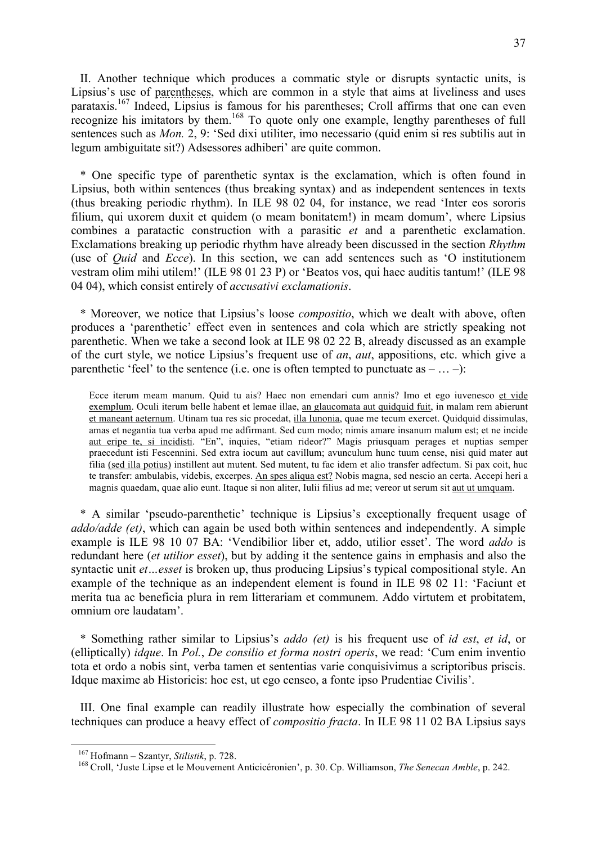II. Another technique which produces a commatic style or disrupts syntactic units, is Lipsius's use of parentheses, which are common in a style that aims at liveliness and uses parataxis.<sup>167</sup> Indeed, Lipsius is famous for his parentheses; Croll affirms that one can even recognize his imitators by them.<sup>168</sup> To quote only one example, lengthy parentheses of full sentences such as *Mon.* 2, 9: 'Sed dixi utiliter, imo necessario (quid enim si res subtilis aut in legum ambiguitate sit?) Adsessores adhiberi' are quite common.

\* One specific type of parenthetic syntax is the exclamation, which is often found in Lipsius, both within sentences (thus breaking syntax) and as independent sentences in texts (thus breaking periodic rhythm). In ILE 98 02 04, for instance, we read 'Inter eos sororis filium, qui uxorem duxit et quidem (o meam bonitatem!) in meam domum', where Lipsius combines a paratactic construction with a parasitic *et* and a parenthetic exclamation. Exclamations breaking up periodic rhythm have already been discussed in the section *Rhythm*  (use of *Quid* and *Ecce*). In this section, we can add sentences such as 'O institutionem vestram olim mihi utilem!' (ILE 98 01 23 P) or 'Beatos vos, qui haec auditis tantum!' (ILE 98 04 04), which consist entirely of *accusativi exclamationis*.

\* Moreover, we notice that Lipsius's loose *compositio*, which we dealt with above, often produces a 'parenthetic' effect even in sentences and cola which are strictly speaking not parenthetic. When we take a second look at ILE 98 02 22 B, already discussed as an example of the curt style, we notice Lipsius's frequent use of *an*, *aut*, appositions, etc. which give a parenthetic 'feel' to the sentence (i.e. one is often tempted to punctuate as  $-\ldots$ ):

Ecce iterum meam manum. Quid tu ais? Haec non emendari cum annis? Imo et ego iuvenesco et vide exemplum. Oculi iterum belle habent et lemae illae, an glaucomata aut quidquid fuit, in malam rem abierunt et maneant aeternum. Utinam tua res sic procedat, illa Iunonia, quae me tecum exercet. Quidquid dissimulas, amas et negantia tua verba apud me adfirmant. Sed cum modo; nimis amare insanum malum est; et ne incide aut eripe te, si incidisti. "En", inquies, "etiam rideor?" Magis priusquam perages et nuptias semper praecedunt isti Fescennini. Sed extra iocum aut cavillum; avunculum hunc tuum cense, nisi quid mater aut filia (sed illa potius) instillent aut mutent. Sed mutent, tu fac idem et alio transfer adfectum. Si pax coit, huc te transfer: ambulabis, videbis, excerpes. An spes aliqua est? Nobis magna, sed nescio an certa. Accepi heri a magnis quaedam, quae alio eunt. Itaque si non aliter, Iulii filius ad me; vereor ut serum sit aut ut umquam.

\* A similar 'pseudo-parenthetic' technique is Lipsius's exceptionally frequent usage of *addo/adde (et)*, which can again be used both within sentences and independently. A simple example is ILE 98 10 07 BA: 'Vendibilior liber et, addo, utilior esset'. The word *addo* is redundant here (*et utilior esset*), but by adding it the sentence gains in emphasis and also the syntactic unit *et…esset* is broken up, thus producing Lipsius's typical compositional style. An example of the technique as an independent element is found in ILE 98 02 11: 'Faciunt et merita tua ac beneficia plura in rem litterariam et communem. Addo virtutem et probitatem, omnium ore laudatam'.

\* Something rather similar to Lipsius's *addo (et)* is his frequent use of *id est*, *et id*, or (elliptically) *idque*. In *Pol.*, *De consilio et forma nostri operis*, we read: 'Cum enim inventio tota et ordo a nobis sint, verba tamen et sententias varie conquisivimus a scriptoribus priscis. Idque maxime ab Historicis: hoc est, ut ego censeo, a fonte ipso Prudentiae Civilis'.

III. One final example can readily illustrate how especially the combination of several techniques can produce a heavy effect of *compositio fracta*. In ILE 98 11 02 BA Lipsius says

<sup>&</sup>lt;sup>167</sup> Hofmann – Szantyr, *Stilistik*, p. 728.<br><sup>168</sup> Croll, 'Juste Lipse et le Mouvement Anticicéronien', p. 30. Cp. Williamson, *The Senecan Amble*, p. 242.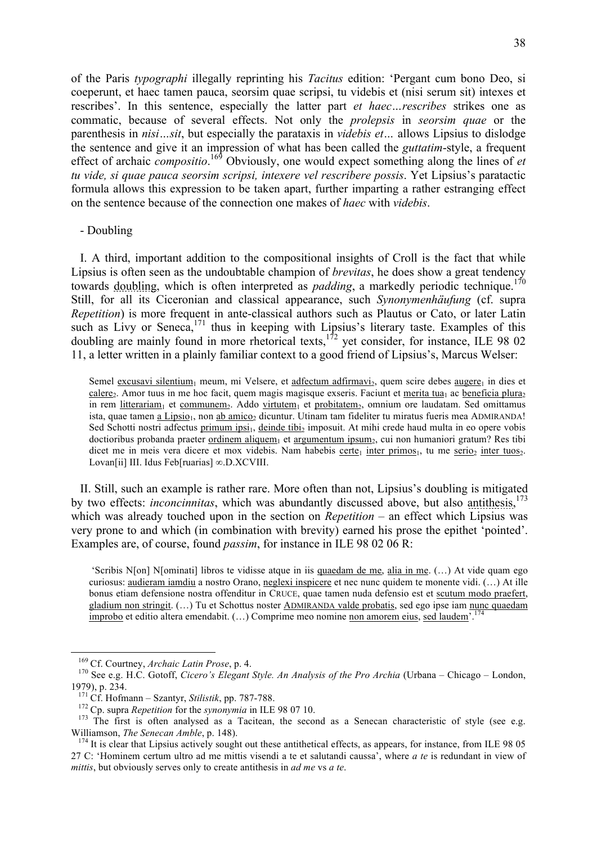of the Paris *typographi* illegally reprinting his *Tacitus* edition: 'Pergant cum bono Deo, si coeperunt, et haec tamen pauca, seorsim quae scripsi, tu videbis et (nisi serum sit) intexes et rescribes'. In this sentence, especially the latter part *et haec…rescribes* strikes one as commatic, because of several effects. Not only the *prolepsis* in *seorsim quae* or the parenthesis in *nisi…sit*, but especially the parataxis in *videbis et…* allows Lipsius to dislodge the sentence and give it an impression of what has been called the *guttatim*-style, a frequent effect of archaic *compositio*.<sup>169</sup> Obviously, one would expect something along the lines of *et tu vide, si quae pauca seorsim scripsi, intexere vel rescribere possis*. Yet Lipsius's paratactic formula allows this expression to be taken apart, further imparting a rather estranging effect on the sentence because of the connection one makes of *haec* with *videbis*.

#### - Doubling

I. A third, important addition to the compositional insights of Croll is the fact that while Lipsius is often seen as the undoubtable champion of *brevitas*, he does show a great tendency towards <u>doubling</u>, which is often interpreted as *padding*, a markedly periodic technique.<sup>170</sup> Still, for all its Ciceronian and classical appearance, such *Synonymenhäufung* (cf. supra *Repetition*) is more frequent in ante-classical authors such as Plautus or Cato, or later Latin such as Livy or Seneca, $171$  thus in keeping with Lipsius's literary taste. Examples of this doubling are mainly found in more rhetorical texts,<sup>172</sup> yet consider, for instance, ILE 98 02 11, a letter written in a plainly familiar context to a good friend of Lipsius's, Marcus Welser:

Semel excusavi silentium<sub>1</sub> meum, mi Velsere, et adfectum adfirmavi<sub>2</sub>, quem scire debes augere<sub>1</sub> in dies et calere<sub>2</sub>. Amor tuus in me hoc facit, quem magis magisque exseris. Faciunt et merita tua<sub>1</sub> ac beneficia plura<sub>2</sub> in rem litterariam<sub>1</sub> et communem<sub>2</sub>. Addo virtutem<sub>1</sub> et probitatem<sub>2</sub>, omnium ore laudatam. Sed omittamus ista, quae tamen a Lipsio<sub>1</sub>, non ab amico<sub>2</sub> dicuntur. Utinam tam fideliter tu miratus fueris mea ADMIRANDA! Sed Schotti nostri adfectus primum ipsi<sub>1</sub>, deinde tibi<sub>2</sub> imposuit. At mihi crede haud multa in eo opere vobis doctioribus probanda praeter <u>ordinem aliquem<sub>1</sub></u> et <u>argumentum ipsum</u><sub>2</sub>, cui non humaniori gratum? Res tibi dicet me in meis vera dicere et mox videbis. Nam habebis certe<sub>1</sub> inter primos<sub>1</sub>, tu me serio<sub>2</sub> inter tuos<sub>2</sub>. Lovan[ii] III. Idus Feb[ruarias] ∞.D.XCVIII.

II. Still, such an example is rather rare. More often than not, Lipsius's doubling is mitigated by two effects: *inconcinnitas*, which was abundantly discussed above, but also antithesis,<sup>173</sup> which was already touched upon in the section on *Repetition* – an effect which Lipsius was very prone to and which (in combination with brevity) earned his prose the epithet 'pointed'. Examples are, of course, found *passim*, for instance in ILE 98 02 06 R:

 'Scribis N[on] N[ominati] libros te vidisse atque in iis quaedam de me, alia in me. (…) At vide quam ego curiosus: audieram iamdiu a nostro Orano, neglexi inspicere et nec nunc quidem te monente vidi. (…) At ille bonus etiam defensione nostra offenditur in CRUCE, quae tamen nuda defensio est et scutum modo praefert, gladium non stringit. (…) Tu et Schottus noster ADMIRANDA valde probatis, sed ego ipse iam nunc quaedam improbo et editio altera emendabit.  $(...)$  Comprime meo nomine non amorem eius, sed laudem'.<sup>17</sup>

 <sup>169</sup> Cf. Courtney, *Archaic Latin Prose*, p. 4. 170 See e.g. H.C. Gotoff, *Cicero's Elegant Style. An Analysis of the Pro Archia* (Urbana – Chicago – London, 1979), p. 234.<br><sup>171</sup> Cf. Hofmann – Szantyr, *Stilistik*, pp. 787-788.<br><sup>172</sup> Cp. supra *Repetition* for the *synonymia* in ILE 98 07 10.<br><sup>173</sup> The first is often analysed as a Tacitean, the second as a Senecan characterist

Williamson, *The Senecan Amble*, p. 148).<br><sup>174</sup> It is clear that Lipsius actively sought out these antithetical effects, as appears, for instance, from ILE 98 05

<sup>27</sup> C: 'Hominem certum ultro ad me mittis visendi a te et salutandi caussa', where *a te* is redundant in view of *mittis*, but obviously serves only to create antithesis in *ad me* vs *a te*.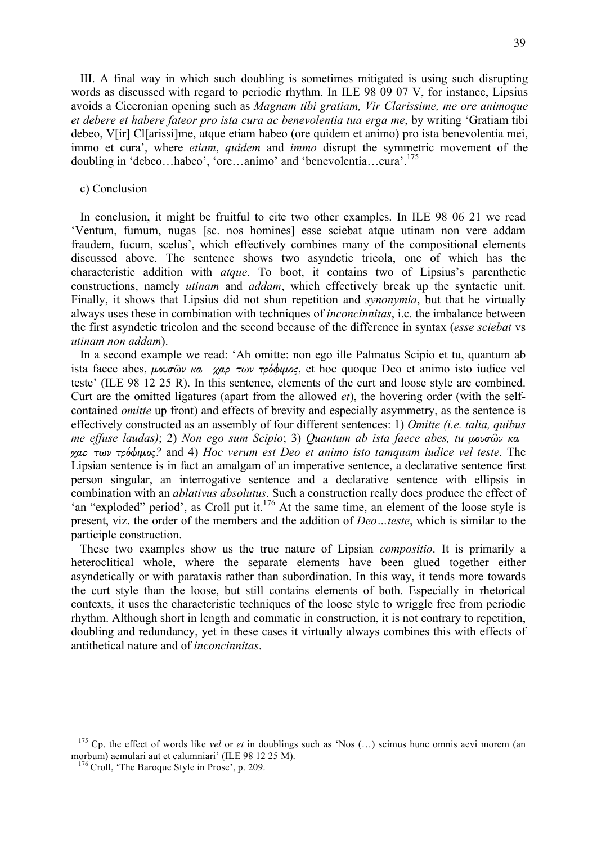III. A final way in which such doubling is sometimes mitigated is using such disrupting words as discussed with regard to periodic rhythm. In ILE 98 09 07 V, for instance, Lipsius avoids a Ciceronian opening such as *Magnam tibi gratiam, Vir Clarissime, me ore animoque et debere et habere fateor pro ista cura ac benevolentia tua erga me*, by writing 'Gratiam tibi debeo, V[ir] Cl[arissi]me, atque etiam habeo (ore quidem et animo) pro ista benevolentia mei, immo et cura', where *etiam*, *quidem* and *immo* disrupt the symmetric movement of the doubling in 'debeo…habeo', 'ore…animo' and 'benevolentia…cura'.175

# c) Conclusion

In conclusion, it might be fruitful to cite two other examples. In ILE 98 06 21 we read 'Ventum, fumum, nugas [sc. nos homines] esse sciebat atque utinam non vere addam fraudem, fucum, scelus', which effectively combines many of the compositional elements discussed above. The sentence shows two asyndetic tricola, one of which has the characteristic addition with *atque*. To boot, it contains two of Lipsius's parenthetic constructions, namely *utinam* and *addam*, which effectively break up the syntactic unit. Finally, it shows that Lipsius did not shun repetition and *synonymia*, but that he virtually always uses these in combination with techniques of *inconcinnitas*, i.c. the imbalance between the first asyndetic tricolon and the second because of the difference in syntax (*esse sciebat* vs *utinam non addam*).

In a second example we read: 'Ah omitte: non ego ille Palmatus Scipio et tu, quantum ab ista faece abes,  $\mu \circ \sigma \circ \nu$  ka  $\chi \circ \sigma \circ \nu$   $\tau \circ \sigma \circ \nu$  for est hoc quoque Deo et animo isto iudice vel teste' (ILE 98 12 25 R). In this sentence, elements of the curt and loose style are combined. Curt are the omitted ligatures (apart from the allowed *et*), the hovering order (with the selfcontained *omitte* up front) and effects of brevity and especially asymmetry, as the sentence is effectively constructed as an assembly of four different sentences: 1) *Omitte (i.e. talia, quibus me effuse laudas)*; 2) *Non ego sum Scipio*; 3) *Quantum ab ista faece abes, tu* µ µ*?* and 4) *Hoc verum est Deo et animo isto tamquam iudice vel teste*. The Lipsian sentence is in fact an amalgam of an imperative sentence, a declarative sentence first person singular, an interrogative sentence and a declarative sentence with ellipsis in combination with an *ablativus absolutus*. Such a construction really does produce the effect of 'an "exploded" period', as Croll put it.<sup>176</sup> At the same time, an element of the loose style is present, viz. the order of the members and the addition of *Deo…teste*, which is similar to the participle construction.

These two examples show us the true nature of Lipsian *compositio*. It is primarily a heteroclitical whole, where the separate elements have been glued together either asyndetically or with parataxis rather than subordination. In this way, it tends more towards the curt style than the loose, but still contains elements of both. Especially in rhetorical contexts, it uses the characteristic techniques of the loose style to wriggle free from periodic rhythm. Although short in length and commatic in construction, it is not contrary to repetition, doubling and redundancy, yet in these cases it virtually always combines this with effects of antithetical nature and of *inconcinnitas*.

 <sup>175</sup> Cp. the effect of words like *vel* or *et* in doublings such as 'Nos (…) scimus hunc omnis aevi morem (an morbum) aemulari aut et calumniari' (ILE 98 12 25 M).<br><sup>176</sup> Croll, 'The Baroque Style in Prose', p. 209.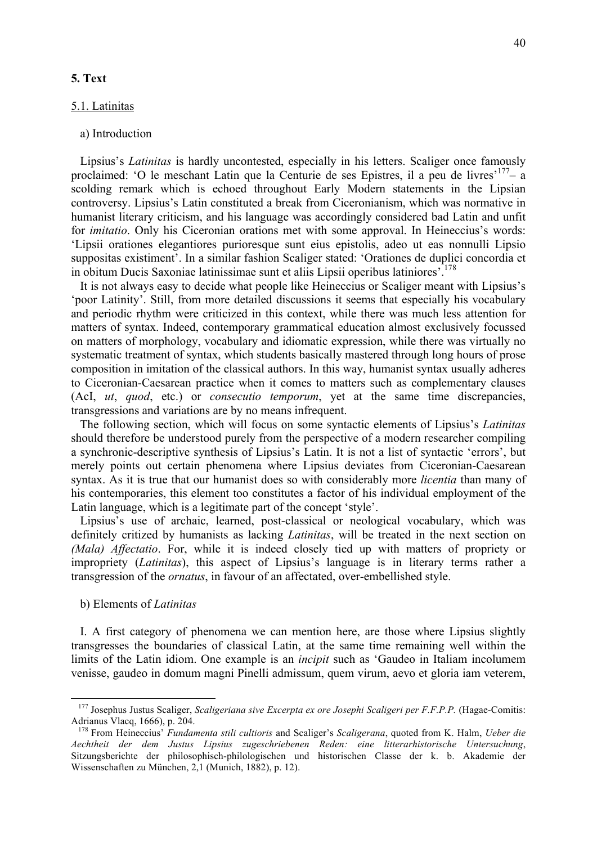# **5. Text**

# 5.1. Latinitas

# a) Introduction

Lipsius's *Latinitas* is hardly uncontested, especially in his letters. Scaliger once famously proclaimed: 'O le meschant Latin que la Centurie de ses Epistres, il a peu de livres'177– a scolding remark which is echoed throughout Early Modern statements in the Lipsian controversy. Lipsius's Latin constituted a break from Ciceronianism, which was normative in humanist literary criticism, and his language was accordingly considered bad Latin and unfit for *imitatio*. Only his Ciceronian orations met with some approval. In Heineccius's words: 'Lipsii orationes elegantiores purioresque sunt eius epistolis, adeo ut eas nonnulli Lipsio suppositas existiment'. In a similar fashion Scaliger stated: 'Orationes de duplici concordia et in obitum Ducis Saxoniae latinissimae sunt et aliis Lipsii operibus latiniores'.178

It is not always easy to decide what people like Heineccius or Scaliger meant with Lipsius's 'poor Latinity'. Still, from more detailed discussions it seems that especially his vocabulary and periodic rhythm were criticized in this context, while there was much less attention for matters of syntax. Indeed, contemporary grammatical education almost exclusively focussed on matters of morphology, vocabulary and idiomatic expression, while there was virtually no systematic treatment of syntax, which students basically mastered through long hours of prose composition in imitation of the classical authors. In this way, humanist syntax usually adheres to Ciceronian-Caesarean practice when it comes to matters such as complementary clauses (AcI, *ut*, *quod*, etc.) or *consecutio temporum*, yet at the same time discrepancies, transgressions and variations are by no means infrequent.

The following section, which will focus on some syntactic elements of Lipsius's *Latinitas* should therefore be understood purely from the perspective of a modern researcher compiling a synchronic-descriptive synthesis of Lipsius's Latin. It is not a list of syntactic 'errors', but merely points out certain phenomena where Lipsius deviates from Ciceronian-Caesarean syntax. As it is true that our humanist does so with considerably more *licentia* than many of his contemporaries, this element too constitutes a factor of his individual employment of the Latin language, which is a legitimate part of the concept 'style'.

Lipsius's use of archaic, learned, post-classical or neological vocabulary, which was definitely critized by humanists as lacking *Latinitas*, will be treated in the next section on *(Mala) Affectatio*. For, while it is indeed closely tied up with matters of propriety or impropriety (*Latinitas*), this aspect of Lipsius's language is in literary terms rather a transgression of the *ornatus*, in favour of an affectated, over-embellished style.

# b) Elements of *Latinitas*

I. A first category of phenomena we can mention here, are those where Lipsius slightly transgresses the boundaries of classical Latin, at the same time remaining well within the limits of the Latin idiom. One example is an *incipit* such as 'Gaudeo in Italiam incolumem venisse, gaudeo in domum magni Pinelli admissum, quem virum, aevo et gloria iam veterem,

<sup>&</sup>lt;sup>177</sup> Josephus Justus Scaliger, *Scaligeriana sive Excerpta ex ore Josephi Scaligeri per F.F.P.P.* (Hagae-Comitis: Adrianus Vlacq. 1666), p. 204.

<sup>&</sup>lt;sup>178</sup> From Heineccius' *Fundamenta stili cultioris* and Scaliger's *Scaligerana*, quoted from K. Halm, *Ueber die Aechtheit der dem Justus Lipsius zugeschriebenen Reden: eine litterarhistorische Untersuchung*, Sitzungsberichte der philosophisch-philologischen und historischen Classe der k. b. Akademie der Wissenschaften zu München, 2,1 (Munich, 1882), p. 12).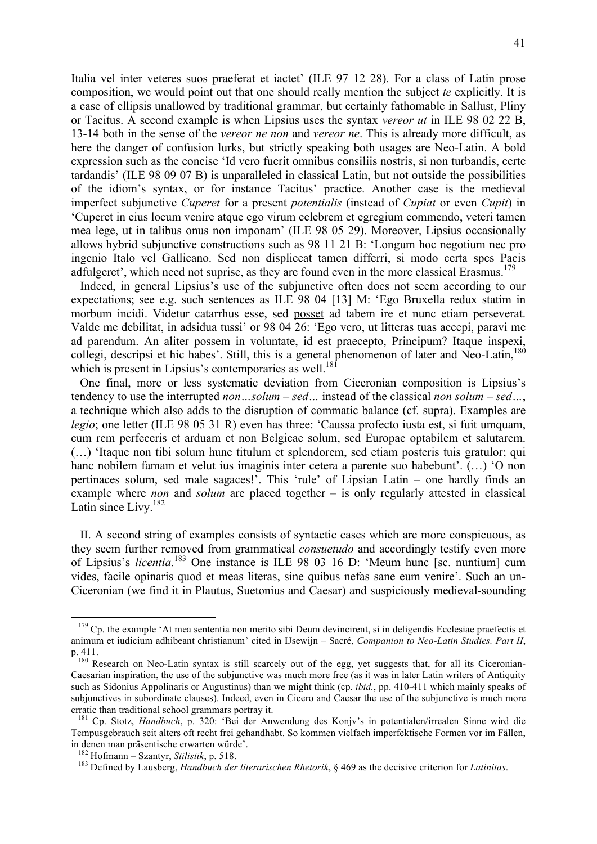Italia vel inter veteres suos praeferat et iactet' (ILE 97 12 28). For a class of Latin prose composition, we would point out that one should really mention the subject *te* explicitly. It is a case of ellipsis unallowed by traditional grammar, but certainly fathomable in Sallust, Pliny or Tacitus. A second example is when Lipsius uses the syntax *vereor ut* in ILE 98 02 22 B, 13-14 both in the sense of the *vereor ne non* and *vereor ne*. This is already more difficult, as here the danger of confusion lurks, but strictly speaking both usages are Neo-Latin. A bold expression such as the concise 'Id vero fuerit omnibus consiliis nostris, si non turbandis, certe tardandis' (ILE 98 09 07 B) is unparalleled in classical Latin, but not outside the possibilities of the idiom's syntax, or for instance Tacitus' practice. Another case is the medieval imperfect subjunctive *Cuperet* for a present *potentialis* (instead of *Cupiat* or even *Cupit*) in 'Cuperet in eius locum venire atque ego virum celebrem et egregium commendo, veteri tamen mea lege, ut in talibus onus non imponam' (ILE 98 05 29). Moreover, Lipsius occasionally allows hybrid subjunctive constructions such as 98 11 21 B: 'Longum hoc negotium nec pro ingenio Italo vel Gallicano. Sed non displiceat tamen differri, si modo certa spes Pacis adfulgeret', which need not suprise, as they are found even in the more classical Erasmus.<sup>179</sup>

Indeed, in general Lipsius's use of the subjunctive often does not seem according to our expectations; see e.g. such sentences as ILE 98 04 [13] M: 'Ego Bruxella redux statim in morbum incidi. Videtur catarrhus esse, sed posset ad tabem ire et nunc etiam perseverat. Valde me debilitat, in adsidua tussi' or 98 04 26: 'Ego vero, ut litteras tuas accepi, paravi me ad parendum. An aliter possem in voluntate, id est praecepto, Principum? Itaque inspexi, collegi, descripsi et hic habes'. Still, this is a general phenomenon of later and Neo-Latin,<sup>180</sup> which is present in Lipsius's contemporaries as well.<sup>181</sup>

One final, more or less systematic deviation from Ciceronian composition is Lipsius's tendency to use the interrupted *non…solum – sed…* instead of the classical *non solum – sed…*, a technique which also adds to the disruption of commatic balance (cf. supra). Examples are *legio*; one letter (ILE 98 05 31 R) even has three: 'Caussa profecto iusta est, si fuit umquam, cum rem perfeceris et arduam et non Belgicae solum, sed Europae optabilem et salutarem. (…) 'Itaque non tibi solum hunc titulum et splendorem, sed etiam posteris tuis gratulor; qui hanc nobilem famam et velut ius imaginis inter cetera a parente suo habebunt'. (…) 'O non pertinaces solum, sed male sagaces!'. This 'rule' of Lipsian Latin – one hardly finds an example where *non* and *solum* are placed together – is only regularly attested in classical Latin since Livy.182

II. A second string of examples consists of syntactic cases which are more conspicuous, as they seem further removed from grammatical *consuetudo* and accordingly testify even more of Lipsius's *licentia*. 183 One instance is ILE 98 03 16 D: 'Meum hunc [sc. nuntium] cum vides, facile opinaris quod et meas literas, sine quibus nefas sane eum venire'. Such an un-Ciceronian (we find it in Plautus, Suetonius and Caesar) and suspiciously medieval-sounding

 $179$  Cp. the example 'At mea sententia non merito sibi Deum devincirent, si in deligendis Ecclesiae praefectis et animum et iudicium adhibeant christianum' cited in IJsewijn – Sacré, *Companion to Neo-Latin Studies. Part II*,

 $180$  Research on Neo-Latin syntax is still scarcely out of the egg, yet suggests that, for all its Ciceronian-Caesarian inspiration, the use of the subjunctive was much more free (as it was in later Latin writers of Antiquity such as Sidonius Appolinaris or Augustinus) than we might think (cp. *ibid.*, pp. 410-411 which mainly speaks of subjunctives in subordinate clauses). Indeed, even in Cicero and Caesar the use of the subjunctive is much more erratic than traditional school grammars portray it. 181 Cp. Stotz, *Handbuch*, p. 320: 'Bei der Anwendung des Konjv's in potentialen/irrealen Sinne wird die

Tempusgebrauch seit alters oft recht frei gehandhabt. So kommen vielfach imperfektische Formen vor im Fällen, in denen man präsentische erwarten würde'. 182 Hofmann – Szantyr, *Stilistik*, p. 518. 183 Defined by Lausberg, *Handbuch der literarischen Rhetorik*, § 469 as the decisive criterion for *Latinitas*.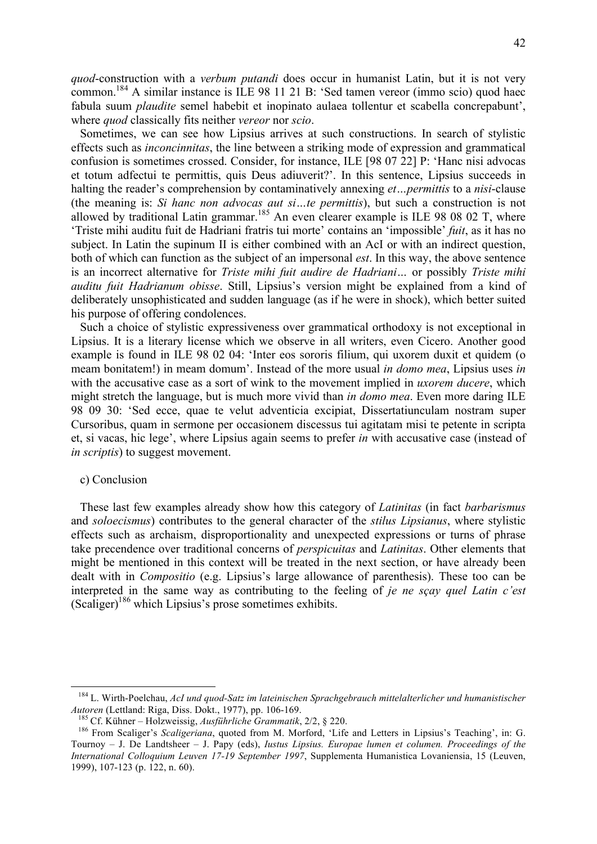*quod*-construction with a *verbum putandi* does occur in humanist Latin, but it is not very common. 184 A similar instance is ILE 98 11 21 B: 'Sed tamen vereor (immo scio) quod haec fabula suum *plaudite* semel habebit et inopinato aulaea tollentur et scabella concrepabunt', where *quod* classically fits neither *vereor* nor *scio*.

Sometimes, we can see how Lipsius arrives at such constructions. In search of stylistic effects such as *inconcinnitas*, the line between a striking mode of expression and grammatical confusion is sometimes crossed. Consider, for instance, ILE [98 07 22] P: 'Hanc nisi advocas et totum adfectui te permittis, quis Deus adiuverit?'. In this sentence, Lipsius succeeds in halting the reader's comprehension by contaminatively annexing *et…permittis* to a *nisi*-clause (the meaning is: *Si hanc non advocas aut si…te permittis*), but such a construction is not allowed by traditional Latin grammar.<sup>185</sup> An even clearer example is ILE 98 08 02 T, where 'Triste mihi auditu fuit de Hadriani fratris tui morte' contains an 'impossible' *fuit*, as it has no subject. In Latin the supinum II is either combined with an AcI or with an indirect question, both of which can function as the subject of an impersonal *est*. In this way, the above sentence is an incorrect alternative for *Triste mihi fuit audire de Hadriani…* or possibly *Triste mihi auditu fuit Hadrianum obisse*. Still, Lipsius's version might be explained from a kind of deliberately unsophisticated and sudden language (as if he were in shock), which better suited his purpose of offering condolences.

Such a choice of stylistic expressiveness over grammatical orthodoxy is not exceptional in Lipsius. It is a literary license which we observe in all writers, even Cicero. Another good example is found in ILE 98 02 04: 'Inter eos sororis filium, qui uxorem duxit et quidem (o meam bonitatem!) in meam domum'. Instead of the more usual *in domo mea*, Lipsius uses *in*  with the accusative case as a sort of wink to the movement implied in *uxorem ducere*, which might stretch the language, but is much more vivid than *in domo mea*. Even more daring ILE 98 09 30: 'Sed ecce, quae te velut adventicia excipiat, Dissertatiunculam nostram super Cursoribus, quam in sermone per occasionem discessus tui agitatam misi te petente in scripta et, si vacas, hic lege', where Lipsius again seems to prefer *in* with accusative case (instead of *in scriptis*) to suggest movement.

# c) Conclusion

These last few examples already show how this category of *Latinitas* (in fact *barbarismus*  and *soloecismus*) contributes to the general character of the *stilus Lipsianus*, where stylistic effects such as archaism, disproportionality and unexpected expressions or turns of phrase take precendence over traditional concerns of *perspicuitas* and *Latinitas*. Other elements that might be mentioned in this context will be treated in the next section, or have already been dealt with in *Compositio* (e.g. Lipsius's large allowance of parenthesis). These too can be interpreted in the same way as contributing to the feeling of *je ne sçay quel Latin c'est*   $(Scaliger)<sup>186</sup>$  which Lipsius's prose sometimes exhibits.

<sup>&</sup>lt;sup>184</sup> L. Wirth-Poelchau, *AcI und quod-Satz im lateinischen Sprachgebrauch mittelalterlicher und humanistischer Autoren (Lettland: Riga, Diss. Dokt., 1977), pp. 106-169.* 

<sup>&</sup>lt;sup>185</sup> Cf. Kühner – Holzweissig, Ausführliche Grammatik, 2/2, § 220.<br><sup>186</sup> From Scaliger's *Scaligeriana*, quoted from M. Morford, 'Life and Letters in Lipsius's Teaching', in: G. Tournoy – J. De Landtsheer – J. Papy (eds), *Iustus Lipsius. Europae lumen et columen. Proceedings of the International Colloquium Leuven 17-19 September 1997*, Supplementa Humanistica Lovaniensia, 15 (Leuven, 1999), 107-123 (p. 122, n. 60).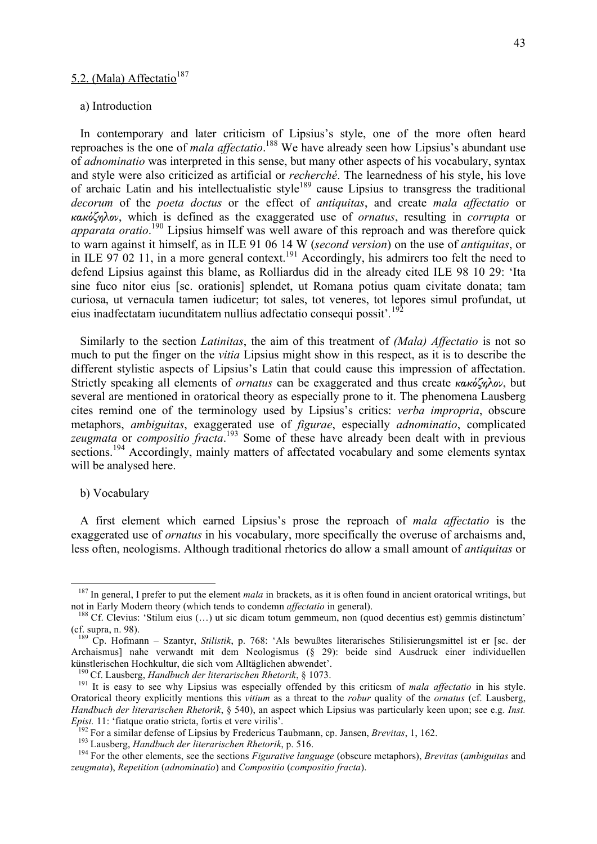# 5.2. (Mala) Affectatio<sup>187</sup>

#### a) Introduction

In contemporary and later criticism of Lipsius's style, one of the more often heard reproaches is the one of *mala affectatio*. 188 We have already seen how Lipsius's abundant use of *adnominatio* was interpreted in this sense, but many other aspects of his vocabulary, syntax and style were also criticized as artificial or *recherché*. The learnedness of his style, his love of archaic Latin and his intellectualistic style<sup>189</sup> cause Lipsius to transgress the traditional *decorum* of the *poeta doctus* or the effect of *antiquitas*, and create *mala affectatio* or , which is defined as the exaggerated use of *ornatus*, resulting in *corrupta* or *apparata oratio*. 190 Lipsius himself was well aware of this reproach and was therefore quick to warn against it himself, as in ILE 91 06 14 W (*second version*) on the use of *antiquitas*, or in ILE 97 02 11, in a more general context.<sup>191</sup> Accordingly, his admirers too felt the need to defend Lipsius against this blame, as Rolliardus did in the already cited ILE 98 10 29: 'Ita sine fuco nitor eius [sc. orationis] splendet, ut Romana potius quam civitate donata; tam curiosa, ut vernacula tamen iudicetur; tot sales, tot veneres, tot lepores simul profundat, ut eius inadfectatam iucunditatem nullius adfectatio consequi possit'*.* 192

Similarly to the section *Latinitas*, the aim of this treatment of *(Mala) Affectatio* is not so much to put the finger on the *vitia* Lipsius might show in this respect, as it is to describe the different stylistic aspects of Lipsius's Latin that could cause this impression of affectation. Strictly speaking all elements of *ornatus* can be exaggerated and thus create κακόζηλον, but several are mentioned in oratorical theory as especially prone to it. The phenomena Lausberg cites remind one of the terminology used by Lipsius's critics: *verba impropria*, obscure metaphors, *ambiguitas*, exaggerated use of *figurae*, especially *adnominatio*, complicated *zeugmata* or *compositio fracta*. <sup>193</sup> Some of these have already been dealt with in previous sections.<sup>194</sup> Accordingly, mainly matters of affectated vocabulary and some elements syntax will be analysed here.

# b) Vocabulary

A first element which earned Lipsius's prose the reproach of *mala affectatio* is the exaggerated use of *ornatus* in his vocabulary, more specifically the overuse of archaisms and, less often, neologisms. Although traditional rhetorics do allow a small amount of *antiquitas* or

<sup>&</sup>lt;sup>187</sup> In general, I prefer to put the element *mala* in brackets, as it is often found in ancient oratorical writings, but not in Early Modern theory (which tends to condemn *affectatio* in general).<br><sup>188</sup> Cf. Clevius: 'Stilum eius (...) ut sic dicam totum gemmeum, non (quod decentius est) gemmis distinctum'

<sup>(</sup>cf. supra, n. 98). 189 Cp. Hofmann – Szantyr, *Stilistik*, p. 768: 'Als bewußtes literarisches Stilisierungsmittel ist er [sc. der

Archaismus] nahe verwandt mit dem Neologismus (§ 29): beide sind Ausdruck einer individuellen künstlerischen Hochkultur, die sich vom Alltäglichen abwendet'.<br><sup>190</sup> Cf. Lausberg, *Handbuch der literarischen Rhetorik*, § 1073.<br><sup>191</sup> It is easy to see why Lipsius was especially offended by this criticsm of *mala affe* 

Oratorical theory explicitly mentions this *vitium* as a threat to the *robur* quality of the *ornatus* (cf. Lausberg, *Handbuch der literarischen Rhetorik*, § 540), an aspect which Lipsius was particularly keen upon; see e.g. *Inst. Epist.* 11: 'fiatque oratio stricta, fortis et vere virilis'.<br><sup>192</sup> For a similar defense of Lipsius by Fredericus Taubmann, cp. Jansen, *Brevitas*, 1, 162.<br><sup>193</sup> Lausberg, *Handbuch der literarischen Rhetorik*, p. 516.<br>

*zeugmata*), *Repetition* (*adnominatio*) and *Compositio* (*compositio fracta*).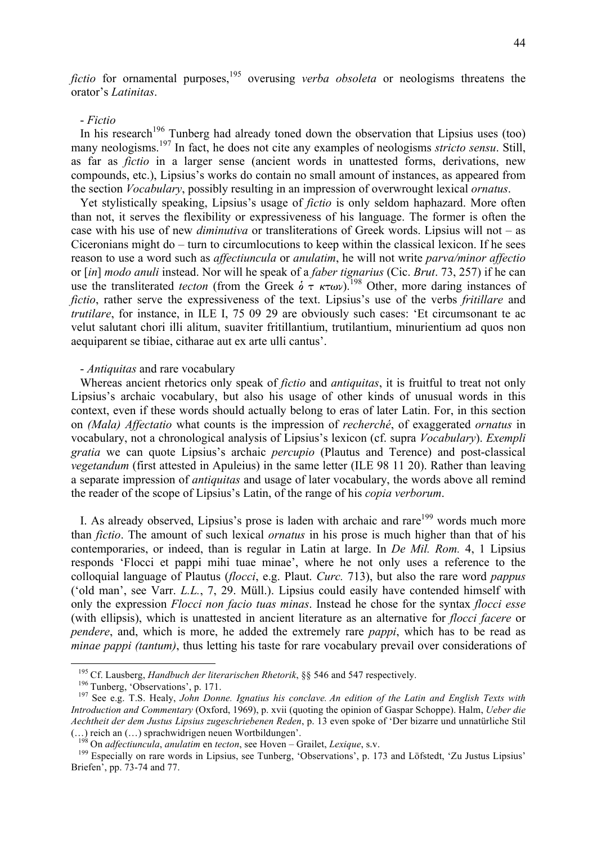*fictio* for ornamental purposes,<sup>195</sup> overusing *verba obsoleta* or neologisms threatens the orator's *Latinitas*.

#### - *Fictio*

In his research<sup>196</sup> Tunberg had already toned down the observation that Lipsius uses (too) many neologisms.<sup>197</sup> In fact, he does not cite any examples of neologisms *stricto sensu*. Still, as far as *fictio* in a larger sense (ancient words in unattested forms, derivations, new compounds, etc.), Lipsius's works do contain no small amount of instances, as appeared from the section *Vocabulary*, possibly resulting in an impression of overwrought lexical *ornatus*.

Yet stylistically speaking, Lipsius's usage of *fictio* is only seldom haphazard. More often than not, it serves the flexibility or expressiveness of his language. The former is often the case with his use of new *diminutiva* or transliterations of Greek words. Lipsius will not – as Ciceronians might do – turn to circumlocutions to keep within the classical lexicon. If he sees reason to use a word such as *affectiuncula* or *anulatim*, he will not write *parva/minor affectio*  or [*in*] *modo anuli* instead. Nor will he speak of a *faber tignarius* (Cic. *Brut*. 73, 257) if he can use the transliterated *tecton* (from the Greek  $\delta \tau \kappa \tau \omega v$ ).<sup>198</sup> Other, more daring instances of *fictio*, rather serve the expressiveness of the text. Lipsius's use of the verbs *fritillare* and *trutilare*, for instance, in ILE I, 75 09 29 are obviously such cases: 'Et circumsonant te ac velut salutant chori illi alitum, suaviter fritillantium, trutilantium, minurientium ad quos non aequiparent se tibiae, citharae aut ex arte ulli cantus'.

# - *Antiquitas* and rare vocabulary

Whereas ancient rhetorics only speak of *fictio* and *antiquitas*, it is fruitful to treat not only Lipsius's archaic vocabulary, but also his usage of other kinds of unusual words in this context, even if these words should actually belong to eras of later Latin. For, in this section on *(Mala) Affectatio* what counts is the impression of *recherché*, of exaggerated *ornatus* in vocabulary, not a chronological analysis of Lipsius's lexicon (cf. supra *Vocabulary*). *Exempli gratia* we can quote Lipsius's archaic *percupio* (Plautus and Terence) and post-classical *vegetandum* (first attested in Apuleius) in the same letter (ILE 98 11 20). Rather than leaving a separate impression of *antiquitas* and usage of later vocabulary, the words above all remind the reader of the scope of Lipsius's Latin, of the range of his *copia verborum*.

I. As already observed, Lipsius's prose is laden with archaic and rare $199$  words much more than *fictio*. The amount of such lexical *ornatus* in his prose is much higher than that of his contemporaries, or indeed, than is regular in Latin at large. In *De Mil. Rom.* 4, 1 Lipsius responds 'Flocci et pappi mihi tuae minae', where he not only uses a reference to the colloquial language of Plautus (*flocci*, e.g. Plaut. *Curc.* 713), but also the rare word *pappus*  ('old man', see Varr. *L.L.*, 7, 29. Müll.). Lipsius could easily have contended himself with only the expression *Flocci non facio tuas minas*. Instead he chose for the syntax *flocci esse* (with ellipsis), which is unattested in ancient literature as an alternative for *flocci facere* or *pendere*, and, which is more, he added the extremely rare *pappi*, which has to be read as *minae pappi (tantum)*, thus letting his taste for rare vocabulary prevail over considerations of

<sup>&</sup>lt;sup>195</sup> Cf. Lausberg, *Handbuch der literarischen Rhetorik*, §§ 546 and 547 respectively.<br><sup>196</sup> Tunberg, 'Observations', p. 171.<br><sup>197</sup> See e.g. T.S. Healy, *John Donne. Ignatius his conclave. An edition of the Latin and Eng Introduction and Commentary* (Oxford, 1969), p. xvii (quoting the opinion of Gaspar Schoppe). Halm, *Ueber die Aechtheit der dem Justus Lipsius zugeschriebenen Reden*, p. 13 even spoke of 'Der bizarre und unnatürliche Stil (...) reich an (...) sprachwidrigen neuen Wortbildungen'.<br><sup>198</sup> On *adfectiuncula, anulatim* en *tecton*, see Hoven – Grailet, *Lexique*, s.v.<br><sup>199</sup> Especially on rare words in Lipsius, see Tunberg, 'Observations', p. 173

Briefen', pp. 73-74 and 77.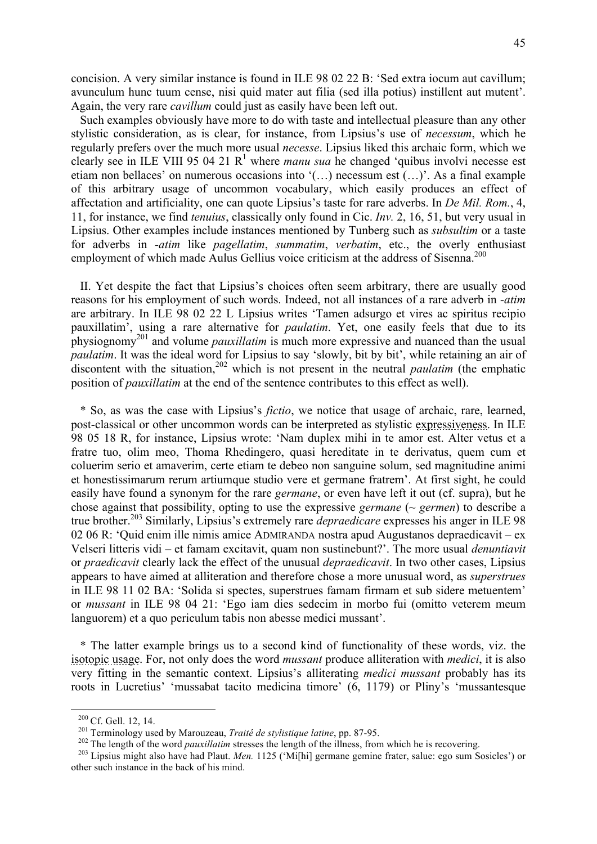concision. A very similar instance is found in ILE 98 02 22 B: 'Sed extra iocum aut cavillum; avunculum hunc tuum cense, nisi quid mater aut filia (sed illa potius) instillent aut mutent'. Again, the very rare *cavillum* could just as easily have been left out.

Such examples obviously have more to do with taste and intellectual pleasure than any other stylistic consideration, as is clear, for instance, from Lipsius's use of *necessum*, which he regularly prefers over the much more usual *necesse*. Lipsius liked this archaic form, which we clearly see in ILE VIII 95 04 21  $R<sup>1</sup>$  where *manu sua* he changed 'quibus involvi necesse est etiam non bellaces' on numerous occasions into '(…) necessum est (…)'. As a final example of this arbitrary usage of uncommon vocabulary, which easily produces an effect of affectation and artificiality, one can quote Lipsius's taste for rare adverbs. In *De Mil. Rom.*, 4, 11, for instance, we find *tenuius*, classically only found in Cic. *Inv.* 2, 16, 51, but very usual in Lipsius. Other examples include instances mentioned by Tunberg such as *subsultim* or a taste for adverbs in *-atim* like *pagellatim*, *summatim*, *verbatim*, etc., the overly enthusiast employment of which made Aulus Gellius voice criticism at the address of Sisenna.<sup>200</sup>

II. Yet despite the fact that Lipsius's choices often seem arbitrary, there are usually good reasons for his employment of such words. Indeed, not all instances of a rare adverb in *-atim* are arbitrary. In ILE 98 02 22 L Lipsius writes 'Tamen adsurgo et vires ac spiritus recipio pauxillatim', using a rare alternative for *paulatim*. Yet, one easily feels that due to its physiognomy201 and volume *pauxillatim* is much more expressive and nuanced than the usual *paulatim*. It was the ideal word for Lipsius to say 'slowly, bit by bit', while retaining an air of discontent with the situation,<sup>202</sup> which is not present in the neutral *paulatim* (the emphatic position of *pauxillatim* at the end of the sentence contributes to this effect as well).

\* So, as was the case with Lipsius's *fictio*, we notice that usage of archaic, rare, learned, post-classical or other uncommon words can be interpreted as stylistic expressiveness. In ILE 98 05 18 R, for instance, Lipsius wrote: 'Nam duplex mihi in te amor est. Alter vetus et a fratre tuo, olim meo, Thoma Rhedingero, quasi hereditate in te derivatus, quem cum et coluerim serio et amaverim, certe etiam te debeo non sanguine solum, sed magnitudine animi et honestissimarum rerum artiumque studio vere et germane fratrem'. At first sight, he could easily have found a synonym for the rare *germane*, or even have left it out (cf. supra), but he chose against that possibility, opting to use the expressive *germane* (~ *germen*) to describe a true brother.203 Similarly, Lipsius's extremely rare *depraedicare* expresses his anger in ILE 98 02 06 R: 'Quid enim ille nimis amice ADMIRANDA nostra apud Augustanos depraedicavit – ex Velseri litteris vidi – et famam excitavit, quam non sustinebunt?'. The more usual *denuntiavit* or *praedicavit* clearly lack the effect of the unusual *depraedicavit*. In two other cases, Lipsius appears to have aimed at alliteration and therefore chose a more unusual word, as *superstrues*  in ILE 98 11 02 BA: 'Solida si spectes, superstrues famam firmam et sub sidere metuentem' or *mussant* in ILE 98 04 21: 'Ego iam dies sedecim in morbo fui (omitto veterem meum languorem) et a quo periculum tabis non abesse medici mussant'.

\* The latter example brings us to a second kind of functionality of these words, viz. the isotopic usage. For, not only does the word *mussant* produce alliteration with *medici*, it is also very fitting in the semantic context. Lipsius's alliterating *medici mussant* probably has its roots in Lucretius' 'mussabat tacito medicina timore' (6, 1179) or Pliny's 'mussantesque

<sup>&</sup>lt;sup>200</sup> Cf. Gell. 12, 14.<br><sup>201</sup> Terminology used by Marouzeau, *Traité de stylistique latine*, pp. 87-95.<br><sup>202</sup> The length of the word *pauxillatim* stresses the length of the illness, from which he is recovering.<br><sup>203</sup> Lip other such instance in the back of his mind.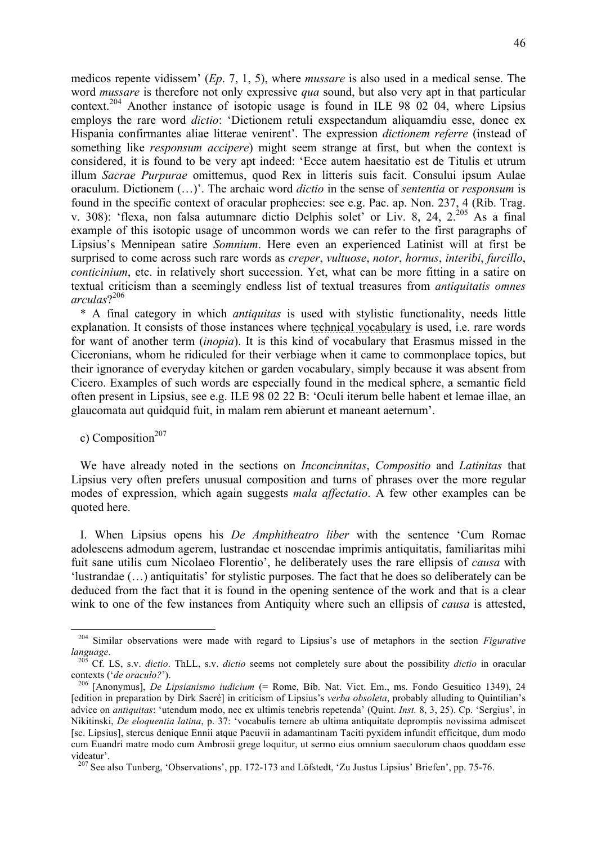medicos repente vidissem' (*Ep*. 7, 1, 5), where *mussare* is also used in a medical sense. The word *mussare* is therefore not only expressive *qua* sound, but also very apt in that particular context.<sup>204</sup> Another instance of isotopic usage is found in ILE 98 02 04, where Lipsius employs the rare word *dictio*: 'Dictionem retuli exspectandum aliquamdiu esse, donec ex Hispania confirmantes aliae litterae venirent'. The expression *dictionem referre* (instead of something like *responsum accipere*) might seem strange at first, but when the context is considered, it is found to be very apt indeed: 'Ecce autem haesitatio est de Titulis et utrum illum *Sacrae Purpurae* omittemus, quod Rex in litteris suis facit. Consului ipsum Aulae oraculum. Dictionem (…)'. The archaic word *dictio* in the sense of *sententia* or *responsum* is found in the specific context of oracular prophecies: see e.g. Pac. ap. Non. 237, 4 (Rib. Trag. v. 308): 'flexa, non falsa autumnare dictio Delphis solet' or Liv. 8, 24,  $2^{205}$  As a final example of this isotopic usage of uncommon words we can refer to the first paragraphs of Lipsius's Mennipean satire *Somnium*. Here even an experienced Latinist will at first be surprised to come across such rare words as *creper*, *vultuose*, *notor*, *hornus*, *interibi*, *furcillo*, *conticinium*, etc. in relatively short succession. Yet, what can be more fitting in a satire on textual criticism than a seemingly endless list of textual treasures from *antiquitatis omnes arculas*? 206

\* A final category in which *antiquitas* is used with stylistic functionality, needs little explanation. It consists of those instances where technical vocabulary is used, i.e. rare words for want of another term (*inopia*). It is this kind of vocabulary that Erasmus missed in the Ciceronians, whom he ridiculed for their verbiage when it came to commonplace topics, but their ignorance of everyday kitchen or garden vocabulary, simply because it was absent from Cicero. Examples of such words are especially found in the medical sphere, a semantic field often present in Lipsius, see e.g. ILE 98 02 22 B: 'Oculi iterum belle habent et lemae illae, an glaucomata aut quidquid fuit, in malam rem abierunt et maneant aeternum'.

# c) Composition<sup>207</sup>

We have already noted in the sections on *Inconcinnitas*, *Compositio* and *Latinitas* that Lipsius very often prefers unusual composition and turns of phrases over the more regular modes of expression, which again suggests *mala affectatio*. A few other examples can be quoted here.

I. When Lipsius opens his *De Amphitheatro liber* with the sentence 'Cum Romae adolescens admodum agerem, lustrandae et noscendae imprimis antiquitatis, familiaritas mihi fuit sane utilis cum Nicolaeo Florentio', he deliberately uses the rare ellipsis of *causa* with 'lustrandae (…) antiquitatis' for stylistic purposes. The fact that he does so deliberately can be deduced from the fact that it is found in the opening sentence of the work and that is a clear wink to one of the few instances from Antiquity where such an ellipsis of *causa* is attested,

 <sup>204</sup> Similar observations were made with regard to Lipsius's use of metaphors in the section *Figurative language*. <sup>205</sup> Cf. LS, s.v. *dictio*. ThLL, s.v. *dictio* seems not completely sure about the possibility *dictio* in oracular

contexts ('*de oraculo?'*).<br><sup>206</sup> [Anonymus], *De Lipsianismo iudicium* (= Rome, Bib. Nat. Vict. Em., ms. Fondo Gesuitico 1349), 24

<sup>[</sup>edition in preparation by Dirk Sacré] in criticism of Lipsius's *verba obsoleta*, probably alluding to Quintilian's advice on *antiquitas*: 'utendum modo, nec ex ultimis tenebris repetenda' (Quint. *Inst.* 8, 3, 25). Cp. 'Sergius', in Nikitinski, *De eloquentia latina*, p. 37: 'vocabulis temere ab ultima antiquitate depromptis novissima admiscet [sc. Lipsius], stercus denique Ennii atque Pacuvii in adamantinam Taciti pyxidem infundit efficitque, dum modo cum Euandri matre modo cum Ambrosii grege loquitur, ut sermo eius omnium saeculorum chaos quoddam esse videatur'.<br><sup>207</sup> See also Tunberg, 'Observations', pp. 172-173 and Löfstedt, 'Zu Justus Lipsius' Briefen', pp. 75-76.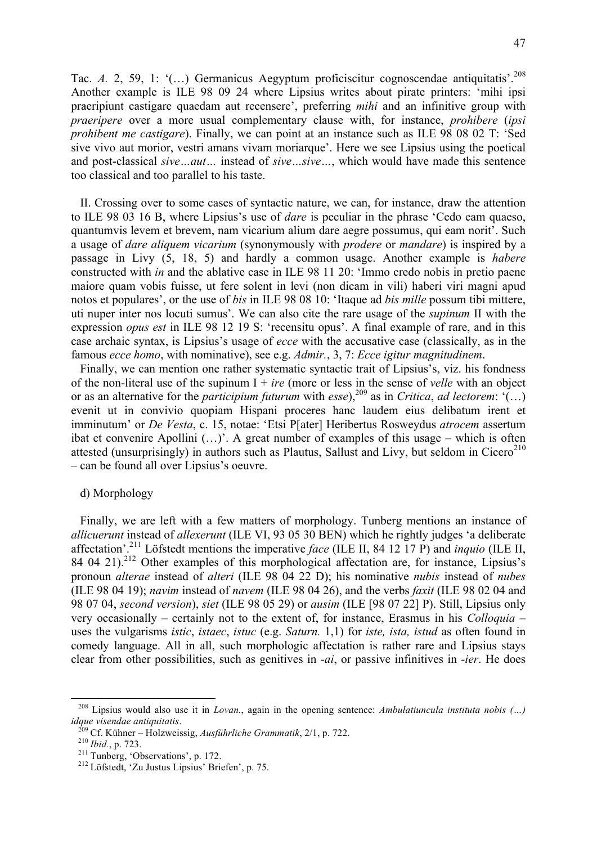Tac. *A.* 2, 59, 1: '(...) Germanicus Aegyptum proficiscitur cognoscendae antiquitatis'.<sup>208</sup> Another example is ILE 98 09 24 where Lipsius writes about pirate printers: 'mihi ipsi praeripiunt castigare quaedam aut recensere', preferring *mihi* and an infinitive group with *praeripere* over a more usual complementary clause with, for instance, *prohibere* (*ipsi prohibent me castigare*). Finally, we can point at an instance such as ILE 98 08 02 T: 'Sed sive vivo aut morior, vestri amans vivam moriarque'. Here we see Lipsius using the poetical and post-classical *sive…aut…* instead of *sive…sive…*, which would have made this sentence too classical and too parallel to his taste.

II. Crossing over to some cases of syntactic nature, we can, for instance, draw the attention to ILE 98 03 16 B, where Lipsius's use of *dare* is peculiar in the phrase 'Cedo eam quaeso, quantumvis levem et brevem, nam vicarium alium dare aegre possumus, qui eam norit'. Such a usage of *dare aliquem vicarium* (synonymously with *prodere* or *mandare*) is inspired by a passage in Livy (5, 18, 5) and hardly a common usage. Another example is *habere*  constructed with *in* and the ablative case in ILE 98 11 20: 'Immo credo nobis in pretio paene maiore quam vobis fuisse, ut fere solent in levi (non dicam in vili) haberi viri magni apud notos et populares', or the use of *bis* in ILE 98 08 10: 'Itaque ad *bis mille* possum tibi mittere, uti nuper inter nos locuti sumus'. We can also cite the rare usage of the *supinum* II with the expression *opus est* in ILE 98 12 19 S: 'recensitu opus'. A final example of rare, and in this case archaic syntax, is Lipsius's usage of *ecce* with the accusative case (classically, as in the famous *ecce homo*, with nominative), see e.g. *Admir.*, 3, 7: *Ecce igitur magnitudinem*.

Finally, we can mention one rather systematic syntactic trait of Lipsius's, viz. his fondness of the non-literal use of the supinum I + *ire* (more or less in the sense of *velle* with an object or as an alternative for the *participium futurum* with *esse*),209 as in *Critica*, *ad lectorem*: '(…) evenit ut in convivio quopiam Hispani proceres hanc laudem eius delibatum irent et imminutum' or *De Vesta*, c. 15, notae: 'Etsi P[ater] Heribertus Rosweydus *atrocem* assertum ibat et convenire Apollini (…)'. A great number of examples of this usage – which is often attested (unsurprisingly) in authors such as Plautus, Sallust and Livy, but seldom in Cicero<sup>210</sup> – can be found all over Lipsius's oeuvre.

# d) Morphology

Finally, we are left with a few matters of morphology. Tunberg mentions an instance of *allicuerunt* instead of *allexerunt* (ILE VI, 93 05 30 BEN) which he rightly judges 'a deliberate affectation'.211 Löfstedt mentions the imperative *face* (ILE II, 84 12 17 P) and *inquio* (ILE II, 84 04 21).<sup>212</sup> Other examples of this morphological affectation are, for instance, Lipsius's pronoun *alterae* instead of *alteri* (ILE 98 04 22 D); his nominative *nubis* instead of *nubes*  (ILE 98 04 19); *navim* instead of *navem* (ILE 98 04 26), and the verbs *faxit* (ILE 98 02 04 and 98 07 04, *second version*), *siet* (ILE 98 05 29) or *ausim* (ILE [98 07 22] P). Still, Lipsius only very occasionally – certainly not to the extent of, for instance, Erasmus in his *Colloquia* – uses the vulgarisms *istic*, *istaec*, *istuc* (e.g. *Saturn.* 1,1) for *iste, ista, istud* as often found in comedy language. All in all, such morphologic affectation is rather rare and Lipsius stays clear from other possibilities, such as genitives in *-ai*, or passive infinitives in *-ier*. He does

 <sup>208</sup> Lipsius would also use it in *Lovan.*, again in the opening sentence: *Ambulatiuncula instituta nobis (…) idque visendae antiquitatis.*<br><sup>209</sup> Cf. Kühner – Holzweissig, *Ausführliche Grammatik*, 2/1, p. 722.<br><sup>210</sup> *Ibid.*, p. 723.<br><sup>212</sup> Löfstedt, 'Zu Justus Lipsius' Briefen', p. 75.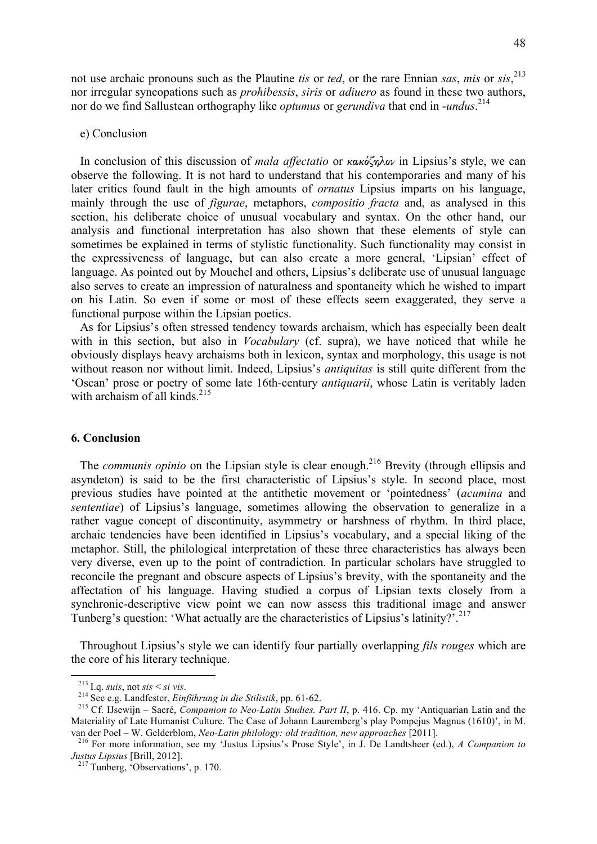not use archaic pronouns such as the Plautine *tis* or *ted*, or the rare Ennian *sas*, *mis* or *sis*, 213 nor irregular syncopations such as *prohibessis*, *siris* or *adiuero* as found in these two authors, nor do we find Sallustean orthography like *optumus* or *gerundiva* that end in -*undus*. 214

e) Conclusion

In conclusion of this discussion of *mala affectatio* or *κακό*ζηλον in Lipsius's style, we can observe the following. It is not hard to understand that his contemporaries and many of his later critics found fault in the high amounts of *ornatus* Lipsius imparts on his language, mainly through the use of *figurae*, metaphors, *compositio fracta* and, as analysed in this section, his deliberate choice of unusual vocabulary and syntax. On the other hand, our analysis and functional interpretation has also shown that these elements of style can sometimes be explained in terms of stylistic functionality. Such functionality may consist in the expressiveness of language, but can also create a more general, 'Lipsian' effect of language. As pointed out by Mouchel and others, Lipsius's deliberate use of unusual language also serves to create an impression of naturalness and spontaneity which he wished to impart on his Latin. So even if some or most of these effects seem exaggerated, they serve a functional purpose within the Lipsian poetics.

As for Lipsius's often stressed tendency towards archaism, which has especially been dealt with in this section, but also in *Vocabulary* (cf. supra), we have noticed that while he obviously displays heavy archaisms both in lexicon, syntax and morphology, this usage is not without reason nor without limit. Indeed, Lipsius's *antiquitas* is still quite different from the 'Oscan' prose or poetry of some late 16th-century *antiquarii*, whose Latin is veritably laden with archaism of all kinds. 215

# **6. Conclusion**

The *communis opinio* on the Lipsian style is clear enough.<sup>216</sup> Brevity (through ellipsis and asyndeton) is said to be the first characteristic of Lipsius's style. In second place, most previous studies have pointed at the antithetic movement or 'pointedness' (*acumina* and *sententiae*) of Lipsius's language, sometimes allowing the observation to generalize in a rather vague concept of discontinuity, asymmetry or harshness of rhythm. In third place, archaic tendencies have been identified in Lipsius's vocabulary, and a special liking of the metaphor. Still, the philological interpretation of these three characteristics has always been very diverse, even up to the point of contradiction. In particular scholars have struggled to reconcile the pregnant and obscure aspects of Lipsius's brevity, with the spontaneity and the affectation of his language. Having studied a corpus of Lipsian texts closely from a synchronic-descriptive view point we can now assess this traditional image and answer Tunberg's question: 'What actually are the characteristics of Lipsius's latinity?'.<sup>217</sup>

Throughout Lipsius's style we can identify four partially overlapping *fils rouges* which are the core of his literary technique.

<sup>&</sup>lt;sup>213</sup> I.q. *suis*, not *sis* < *si vis*.<br><sup>214</sup> See e.g. Landfester, *Einführung in die Stilistik*, pp. 61-62.<br><sup>215</sup> Cf. IJsewijn – Sacré, *Companion to Neo-Latin Studies. Part II*, p. 416. Cp. my 'Antiquarian Latin and th Materiality of Late Humanist Culture. The Case of Johann Lauremberg's play Pompejus Magnus (1610)', in M. van der Poel – W. Gelderblom, *Neo-Latin philology: old tradition, new approaches* [2011].<br><sup>216</sup> For more information, see my 'Justus Lipsius's Prose Style', in J. De Landtsheer (ed.), *A Companion to* 

*Justus Lipsius* [Brill, 2012]. 217 Tunberg, 'Observations', p. 170.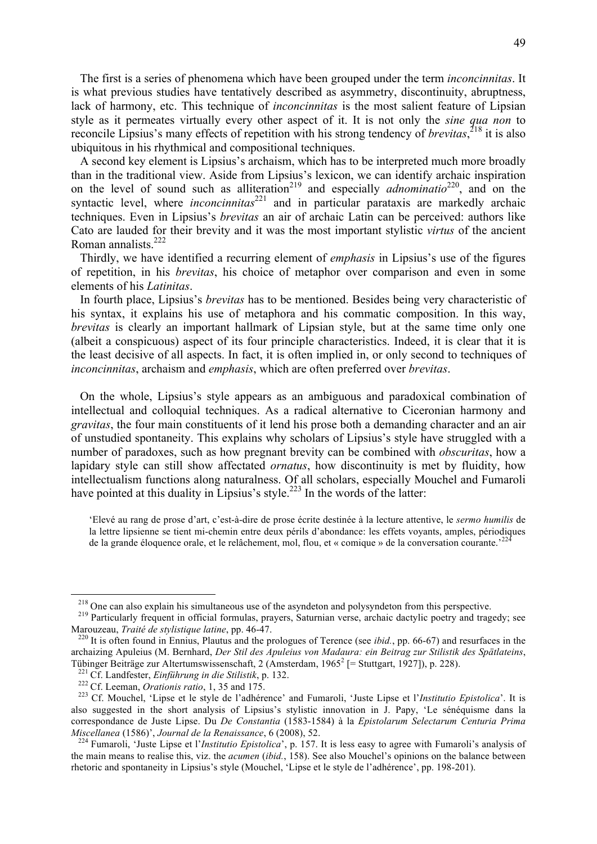The first is a series of phenomena which have been grouped under the term *inconcinnitas*. It is what previous studies have tentatively described as asymmetry, discontinuity, abruptness, lack of harmony, etc. This technique of *inconcinnitas* is the most salient feature of Lipsian style as it permeates virtually every other aspect of it. It is not only the *sine qua non* to reconcile Lipsius's many effects of repetition with his strong tendency of *brevitas*, 218 it is also ubiquitous in his rhythmical and compositional techniques.

A second key element is Lipsius's archaism, which has to be interpreted much more broadly than in the traditional view. Aside from Lipsius's lexicon, we can identify archaic inspiration on the level of sound such as alliteration<sup>219</sup> and especially *adnominatio*<sup>220</sup>, and on the syntactic level, where *inconcinnitas*<sup>221</sup> and in particular parataxis are markedly archaic techniques. Even in Lipsius's *brevitas* an air of archaic Latin can be perceived: authors like Cato are lauded for their brevity and it was the most important stylistic *virtus* of the ancient Roman annalists.222

Thirdly, we have identified a recurring element of *emphasis* in Lipsius's use of the figures of repetition, in his *brevitas*, his choice of metaphor over comparison and even in some elements of his *Latinitas*.

In fourth place, Lipsius's *brevitas* has to be mentioned. Besides being very characteristic of his syntax, it explains his use of metaphora and his commatic composition. In this way, *brevitas* is clearly an important hallmark of Lipsian style, but at the same time only one (albeit a conspicuous) aspect of its four principle characteristics. Indeed, it is clear that it is the least decisive of all aspects. In fact, it is often implied in, or only second to techniques of *inconcinnitas*, archaism and *emphasis*, which are often preferred over *brevitas*.

On the whole, Lipsius's style appears as an ambiguous and paradoxical combination of intellectual and colloquial techniques. As a radical alternative to Ciceronian harmony and *gravitas*, the four main constituents of it lend his prose both a demanding character and an air of unstudied spontaneity. This explains why scholars of Lipsius's style have struggled with a number of paradoxes, such as how pregnant brevity can be combined with *obscuritas*, how a lapidary style can still show affectated *ornatus*, how discontinuity is met by fluidity, how intellectualism functions along naturalness. Of all scholars, especially Mouchel and Fumaroli have pointed at this duality in Lipsius's style.<sup>223</sup> In the words of the latter:

'Elevé au rang de prose d'art, c'est-à-dire de prose écrite destinée à la lecture attentive, le *sermo humilis* de la lettre lipsienne se tient mi-chemin entre deux périls d'abondance: les effets voyants, amples, périodiques de la grande éloquence orale, et le relâchement, mol, flou, et « comique » de la conversation courante.'<sup>224</sup>

<sup>&</sup>lt;sup>218</sup> One can also explain his simultaneous use of the asyndeton and polysyndeton from this perspective. <sup>219</sup> Particularly frequent in official formulas, prayers, Saturnian verse, archaic dactylic poetry and tragedy; see Marouzeau, *Traité de stylistique latine*, pp. 46-47.<br><sup>220</sup> It is often found in Ennius, Plautus and the prologues of Terence (see *ibid.*, pp. 66-67) and resurfaces in the

archaizing Apuleius (M. Bernhard, *Der Stil des Apuleius von Madaura: ein Beitrag zur Stilistik des Spätlateins*, Tübinger Beiträge zur Altertumswissenschaft, 2 (Amsterdam, 1965<sup>2</sup> [= Stuttgart, 1927]), p. 228).<br><sup>221</sup> Cf. Landfester, *Einführung in die Stilistik*, p. 132.

<sup>&</sup>lt;sup>222</sup> Cf. Leeman, *Orationis ratio*, 1, 35 and 175.<br><sup>223</sup> Cf. Mouchel, 'Lipse et le style de l'adhérence' and Fumaroli, 'Juste Lipse et l'*Institutio Epistolica*'. It is also suggested in the short analysis of Lipsius's stylistic innovation in J. Papy, 'Le sénéquisme dans la correspondance de Juste Lipse. Du *De Constantia* (1583-1584) à la *Epistolarum Selectarum Centuria Prima Miscellanea* (1586)', *Journal de la Renaissance*, 6 (2008), 52.<br><sup>224</sup> Fumaroli, 'Juste Lipse et l'*Institutio Epistolica*', p. 157. It is less easy to agree with Fumaroli's analysis of

the main means to realise this, viz. the *acumen* (*ibid.*, 158). See also Mouchel's opinions on the balance between rhetoric and spontaneity in Lipsius's style (Mouchel, 'Lipse et le style de l'adhérence', pp. 198-201).